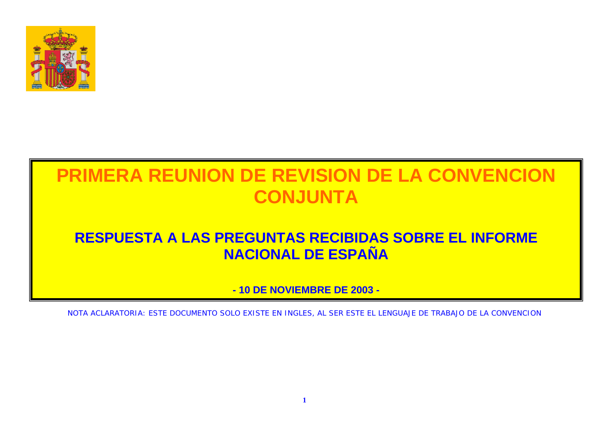

### **RESPUESTA A LAS PREGUNTAS RECIBIDAS SOBRE EL INFORME NACIONAL DE ESPAÑA**

**- 10 DE NOVIEMBRE DE 2003 -** 

NOTA ACLARATORIA: ESTE DOCUMENTO SOLO EXISTE EN INGLES, AL SER ESTE EL LENGUAJE DE TRABAJO DE LA CONVENCION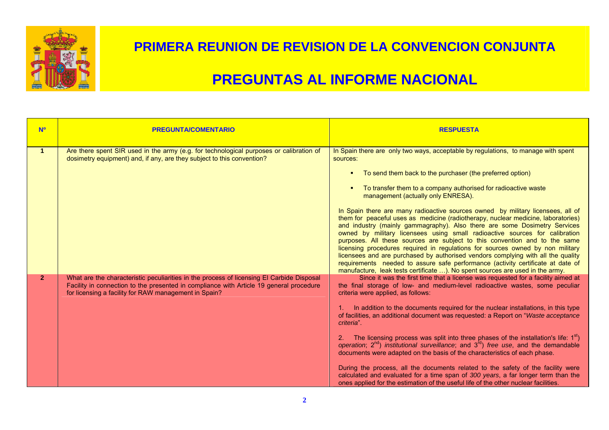

| <b>Nº</b>      | <b>PREGUNTA/COMENTARIO</b>                                                                                                                                                                                                                    | <b>RESPUESTA</b>                                                                                                                                                                                                                                                                                                                                                                                                                                                                                                                                                                                                                                                                                                                                                                                                                                                                                                                                                                                                                                                                                                 |
|----------------|-----------------------------------------------------------------------------------------------------------------------------------------------------------------------------------------------------------------------------------------------|------------------------------------------------------------------------------------------------------------------------------------------------------------------------------------------------------------------------------------------------------------------------------------------------------------------------------------------------------------------------------------------------------------------------------------------------------------------------------------------------------------------------------------------------------------------------------------------------------------------------------------------------------------------------------------------------------------------------------------------------------------------------------------------------------------------------------------------------------------------------------------------------------------------------------------------------------------------------------------------------------------------------------------------------------------------------------------------------------------------|
| 1.             | Are there spent SIR used in the army (e.g. for technological purposes or calibration of<br>dosimetry equipment) and, if any, are they subject to this convention?                                                                             | In Spain there are only two ways, acceptable by regulations, to manage with spent<br>sources:<br>To send them back to the purchaser (the preferred option)<br>п.<br>To transfer them to a company authorised for radioactive waste<br>п.<br>management (actually only ENRESA).<br>In Spain there are many radioactive sources owned by military licensees, all of<br>them for peaceful uses as medicine (radiotherapy, nuclear medicine, laboratories)<br>and industry (mainly gammagraphy). Also there are some Dosimetry Services<br>owned by military licensees using small radioactive sources for calibration<br>purposes. All these sources are subject to this convention and to the same<br>licensing procedures required in regulations for sources owned by non military<br>licensees and are purchased by authorised vendors complying with all the quality                                                                                                                                                                                                                                           |
| 2 <sup>1</sup> | What are the characteristic peculiarities in the process of licensing El Carbide Disposal<br>Facility in connection to the presented in compliance with Article 19 general procedure<br>for licensing a facility for RAW management in Spain? | requirements needed to assure safe performance (activity certificate at date of<br>manufacture, leak tests certificate ). No spent sources are used in the army.<br>Since it was the first time that a license was requested for a facility aimed at<br>the final storage of low- and medium-level radioactive wastes, some peculiar<br>criteria were applied, as follows:<br>1. In addition to the documents required for the nuclear installations, in this type<br>of facilities, an additional document was requested: a Report on "Waste acceptance<br>criteria".<br>2. The licensing process was split into three phases of the installation's life: $1st$ )<br>operation; $2^{nd}$ ) institutional surveillance; and $3^{rd}$ ) free use, and the demandable<br>documents were adapted on the basis of the characteristics of each phase.<br>During the process, all the documents related to the safety of the facility were<br>calculated and evaluated for a time span of 300 years, a far longer term than the<br>ones applied for the estimation of the useful life of the other nuclear facilities. |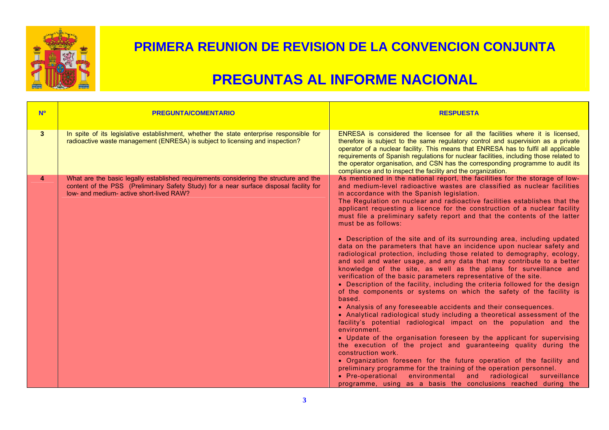

| <b>N<sup>o</sup></b> | <b>PREGUNTA/COMENTARIO</b>                                                                                                                                                                                                  | <b>RESPUESTA</b>                                                                                                                                                                                                                                                                                                                                                                                                                                                                                                                                                                                                                                                                                                                                                                                                                                                                                                                                                                                                                                                                                                                                                                                                                                                                                                                                                                                                                                                                                                                                                                                                                                                                                                                                                                     |
|----------------------|-----------------------------------------------------------------------------------------------------------------------------------------------------------------------------------------------------------------------------|--------------------------------------------------------------------------------------------------------------------------------------------------------------------------------------------------------------------------------------------------------------------------------------------------------------------------------------------------------------------------------------------------------------------------------------------------------------------------------------------------------------------------------------------------------------------------------------------------------------------------------------------------------------------------------------------------------------------------------------------------------------------------------------------------------------------------------------------------------------------------------------------------------------------------------------------------------------------------------------------------------------------------------------------------------------------------------------------------------------------------------------------------------------------------------------------------------------------------------------------------------------------------------------------------------------------------------------------------------------------------------------------------------------------------------------------------------------------------------------------------------------------------------------------------------------------------------------------------------------------------------------------------------------------------------------------------------------------------------------------------------------------------------------|
| $\mathbf{3}$         | In spite of its legislative establishment, whether the state enterprise responsible for<br>radioactive waste management (ENRESA) is subject to licensing and inspection?                                                    | ENRESA is considered the licensee for all the facilities where it is licensed,<br>therefore is subject to the same regulatory control and supervision as a private<br>operator of a nuclear facility. This means that ENRESA has to fulfil all applicable<br>requirements of Spanish regulations for nuclear facilities, including those related to<br>the operator organisation, and CSN has the corresponding programme to audit its<br>compliance and to inspect the facility and the organization.                                                                                                                                                                                                                                                                                                                                                                                                                                                                                                                                                                                                                                                                                                                                                                                                                                                                                                                                                                                                                                                                                                                                                                                                                                                                               |
| 4                    | What are the basic legally established requirements considering the structure and the<br>content of the PSS (Preliminary Safety Study) for a near surface disposal facility for<br>low- and medium- active short-lived RAW? | As mentioned in the national report, the facilities for the storage of low-<br>and medium-level radioactive wastes are classified as nuclear facilities<br>in accordance with the Spanish legislation.<br>The Regulation on nuclear and radioactive facilities establishes that the<br>applicant requesting a licence for the construction of a nuclear facility<br>must file a preliminary safety report and that the contents of the latter<br>must be as follows:<br>• Description of the site and of its surrounding area, including updated<br>data on the parameters that have an incidence upon nuclear safety and<br>radiological protection, including those related to demography, ecology,<br>and soil and water usage, and any data that may contribute to a better<br>knowledge of the site, as well as the plans for surveillance and<br>verification of the basic parameters representative of the site.<br>• Description of the facility, including the criteria followed for the design<br>of the components or systems on which the safety of the facility is<br>based.<br>• Analysis of any foreseeable accidents and their consequences.<br>• Analytical radiological study including a theoretical assessment of the<br>facility's potential radiological impact on the population and the<br>environment.<br>• Update of the organisation foreseen by the applicant for supervising<br>the execution of the project and guaranteeing quality during the<br>construction work.<br>• Organization foreseen for the future operation of the facility and<br>preliminary programme for the training of the operation personnel.<br>• Pre-operational environmental and radiological surveillance<br>programme, using as a basis the conclusions reached during the |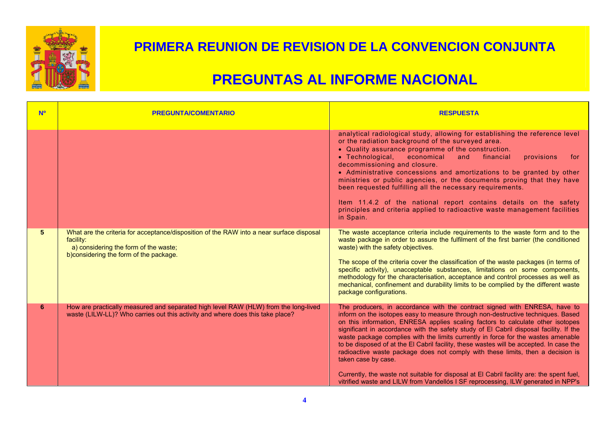

| <b>No</b>      | <b>PREGUNTA/COMENTARIO</b>                                                                                                                                                                | <b>RESPUESTA</b>                                                                                                                                                                                                                                                                                                                                                                                                                                                                                                                                                                                                                                                                                                                                                                                                        |
|----------------|-------------------------------------------------------------------------------------------------------------------------------------------------------------------------------------------|-------------------------------------------------------------------------------------------------------------------------------------------------------------------------------------------------------------------------------------------------------------------------------------------------------------------------------------------------------------------------------------------------------------------------------------------------------------------------------------------------------------------------------------------------------------------------------------------------------------------------------------------------------------------------------------------------------------------------------------------------------------------------------------------------------------------------|
|                |                                                                                                                                                                                           | analytical radiological study, allowing for establishing the reference level<br>or the radiation background of the surveyed area.<br>• Quality assurance programme of the construction.<br>• Technological,<br>economical<br>and<br>financial<br>provisions<br>for<br>decommissioning and closure.<br>• Administrative concessions and amortizations to be granted by other<br>ministries or public agencies, or the documents proving that they have<br>been requested fulfilling all the necessary requirements.<br>Item 11.4.2 of the national report contains details on the safety<br>principles and criteria applied to radioactive waste management facilities<br>in Spain.                                                                                                                                      |
| 5 <sup>5</sup> | What are the criteria for acceptance/disposition of the RAW into a near surface disposal<br>facility:<br>a) considering the form of the waste;<br>b) considering the form of the package. | The waste acceptance criteria include requirements to the waste form and to the<br>waste package in order to assure the fulfilment of the first barrier (the conditioned<br>waste) with the safety objectives.<br>The scope of the criteria cover the classification of the waste packages (in terms of<br>specific activity), unacceptable substances, limitations on some components,<br>methodology for the characterisation, acceptance and control processes as well as<br>mechanical, confinement and durability limits to be complied by the different waste<br>package configurations.                                                                                                                                                                                                                          |
| 6              | How are practically measured and separated high level RAW (HLW) from the long-lived<br>waste (LILW-LL)? Who carries out this activity and where does this take place?                     | The producers, in accordance with the contract signed with ENRESA, have to<br>inform on the isotopes easy to measure through non-destructive techniques. Based<br>on this information, ENRESA applies scaling factors to calculate other isotopes<br>significant in accordance with the safety study of El Cabril disposal facility. If the<br>waste package complies with the limits currently in force for the wastes amenable<br>to be disposed of at the EI Cabril facility, these wastes will be accepted. In case the<br>radioactive waste package does not comply with these limits, then a decision is<br>taken case by case.<br>Currently, the waste not suitable for disposal at El Cabril facility are: the spent fuel,<br>vitrified waste and LILW from Vandellós I SF reprocessing, ILW generated in NPP's |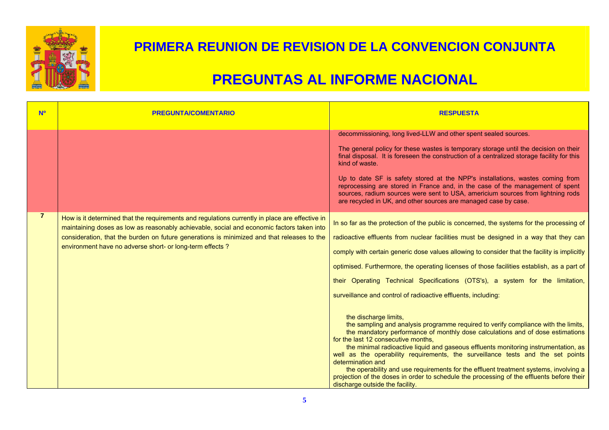

| <b>Nº</b>      | <b>PREGUNTA/COMENTARIO</b>                                                                                                                                                                                                                                                                                                                             | <b>RESPUESTA</b>                                                                                                                                                                                                                                                                                                                                                                                                                                                                                                                                                                                                                                                                                                                                                                                                                                                                                                                                                                                                                                                                                                                                                                                   |
|----------------|--------------------------------------------------------------------------------------------------------------------------------------------------------------------------------------------------------------------------------------------------------------------------------------------------------------------------------------------------------|----------------------------------------------------------------------------------------------------------------------------------------------------------------------------------------------------------------------------------------------------------------------------------------------------------------------------------------------------------------------------------------------------------------------------------------------------------------------------------------------------------------------------------------------------------------------------------------------------------------------------------------------------------------------------------------------------------------------------------------------------------------------------------------------------------------------------------------------------------------------------------------------------------------------------------------------------------------------------------------------------------------------------------------------------------------------------------------------------------------------------------------------------------------------------------------------------|
|                |                                                                                                                                                                                                                                                                                                                                                        | decommissioning, long lived-LLW and other spent sealed sources.<br>The general policy for these wastes is temporary storage until the decision on their<br>final disposal. It is foreseen the construction of a centralized storage facility for this<br>kind of waste.<br>Up to date SF is safety stored at the NPP's installations, wastes coming from<br>reprocessing are stored in France and, in the case of the management of spent<br>sources, radium sources were sent to USA, americium sources from lightning rods<br>are recycled in UK, and other sources are managed case by case.                                                                                                                                                                                                                                                                                                                                                                                                                                                                                                                                                                                                    |
| $\overline{7}$ | How is it determined that the requirements and regulations currently in place are effective in<br>maintaining doses as low as reasonably achievable, social and economic factors taken into<br>consideration, that the burden on future generations is minimized and that releases to the<br>environment have no adverse short- or long-term effects ? | In so far as the protection of the public is concerned, the systems for the processing of<br>radioactive effluents from nuclear facilities must be designed in a way that they can<br>comply with certain generic dose values allowing to consider that the facility is implicitly<br>optimised. Furthermore, the operating licenses of those facilities establish, as a part of<br>their Operating Technical Specifications (OTS's), a system for the limitation,<br>surveillance and control of radioactive effluents, including:<br>the discharge limits,<br>the sampling and analysis programme required to verify compliance with the limits,<br>the mandatory performance of monthly dose calculations and of dose estimations<br>for the last 12 consecutive months,<br>the minimal radioactive liquid and gaseous effluents monitoring instrumentation, as<br>well as the operability requirements, the surveillance tests and the set points<br>determination and<br>the operability and use requirements for the effluent treatment systems, involving a<br>projection of the doses in order to schedule the processing of the effluents before their<br>discharge outside the facility. |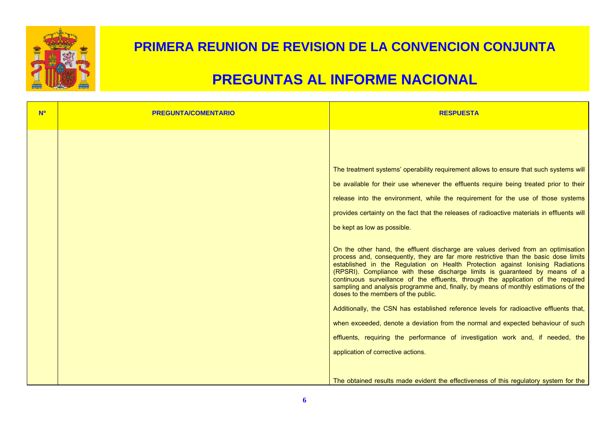

| The treatment systems' operability requirement allows to ensure that such systems will<br>be available for their use whenever the effluents require being treated prior to their<br>release into the environment, while the requirement for the use of those systems<br>provides certainty on the fact that the releases of radioactive materials in effluents will<br>be kept as low as possible.<br>On the other hand, the effluent discharge are values derived from an optimisation<br>process and, consequently, they are far more restrictive than the basic dose limits<br>established in the Regulation on Health Protection against lonising Radiations<br>(RPSRI). Compliance with these discharge limits is guaranteed by means of a<br>continuous surveillance of the effluents, through the application of the required<br>sampling and analysis programme and, finally, by means of monthly estimations of the<br>doses to the members of the public.<br>Additionally, the CSN has established reference levels for radioactive effluents that,<br>when exceeded, denote a deviation from the normal and expected behaviour of such<br>effluents, requiring the performance of investigation work and, if needed, the<br>application of corrective actions.<br>The obtained results made evident the effectiveness of this regulatory system for the |  |
|--------------------------------------------------------------------------------------------------------------------------------------------------------------------------------------------------------------------------------------------------------------------------------------------------------------------------------------------------------------------------------------------------------------------------------------------------------------------------------------------------------------------------------------------------------------------------------------------------------------------------------------------------------------------------------------------------------------------------------------------------------------------------------------------------------------------------------------------------------------------------------------------------------------------------------------------------------------------------------------------------------------------------------------------------------------------------------------------------------------------------------------------------------------------------------------------------------------------------------------------------------------------------------------------------------------------------------------------------------------------|--|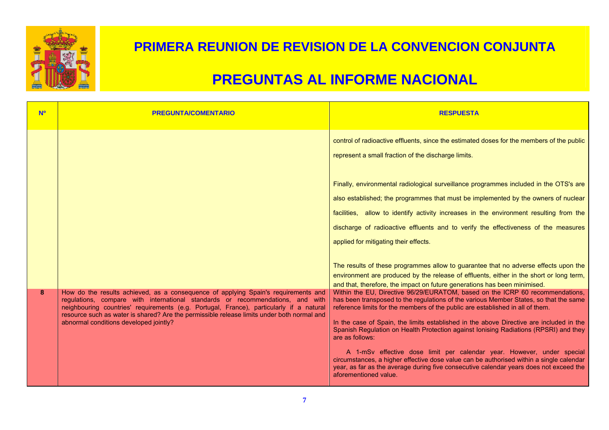

| <b>No</b> | <b>PREGUNTA/COMENTARIO</b>                                                                                                                                                                                                                                                                                                                                                                              | <b>RESPUESTA</b>                                                                                                                                                                                                                                                                                                                                                                                                                                                                                                                                                                                                                                                                                                                                       |
|-----------|---------------------------------------------------------------------------------------------------------------------------------------------------------------------------------------------------------------------------------------------------------------------------------------------------------------------------------------------------------------------------------------------------------|--------------------------------------------------------------------------------------------------------------------------------------------------------------------------------------------------------------------------------------------------------------------------------------------------------------------------------------------------------------------------------------------------------------------------------------------------------------------------------------------------------------------------------------------------------------------------------------------------------------------------------------------------------------------------------------------------------------------------------------------------------|
|           |                                                                                                                                                                                                                                                                                                                                                                                                         | control of radioactive effluents, since the estimated doses for the members of the public<br>represent a small fraction of the discharge limits.<br>Finally, environmental radiological surveillance programmes included in the OTS's are                                                                                                                                                                                                                                                                                                                                                                                                                                                                                                              |
|           |                                                                                                                                                                                                                                                                                                                                                                                                         | also established; the programmes that must be implemented by the owners of nuclear<br>facilities, allow to identify activity increases in the environment resulting from the<br>discharge of radioactive effluents and to verify the effectiveness of the measures<br>applied for mitigating their effects.                                                                                                                                                                                                                                                                                                                                                                                                                                            |
|           |                                                                                                                                                                                                                                                                                                                                                                                                         | The results of these programmes allow to guarantee that no adverse effects upon the<br>environment are produced by the release of effluents, either in the short or long term,<br>and that, therefore, the impact on future generations has been minimised.                                                                                                                                                                                                                                                                                                                                                                                                                                                                                            |
| 8         | How do the results achieved, as a consequence of applying Spain's requirements and<br>regulations, compare with international standards or recommendations, and with<br>neighbouring countries' requirements (e.g. Portugal, France), particularly if a natural<br>resource such as water is shared? Are the permissible release limits under both normal and<br>abnormal conditions developed jointly? | Within the EU, Directive 96/29/EURATOM, based on the ICRP 60 recommendations,<br>has been transposed to the regulations of the various Member States, so that the same<br>reference limits for the members of the public are established in all of them.<br>In the case of Spain, the limits established in the above Directive are included in the<br>Spanish Regulation on Health Protection against lonising Radiations (RPSRI) and they<br>are as follows:<br>A 1-mSv effective dose limit per calendar year. However, under special<br>circumstances, a higher effective dose value can be authorised within a single calendar<br>year, as far as the average during five consecutive calendar years does not exceed the<br>aforementioned value. |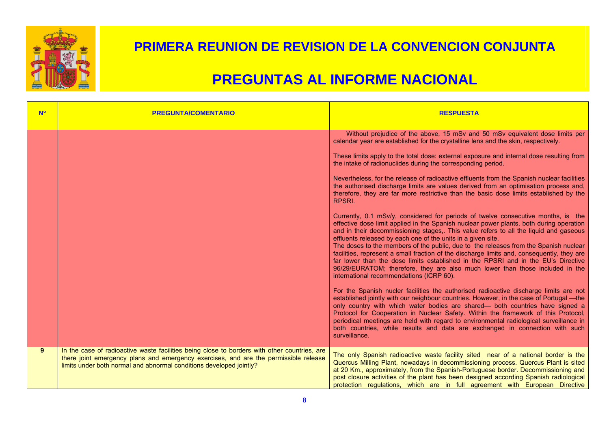

| <b>Nº</b>   | <b>PREGUNTA/COMENTARIO</b>                                                                                                                                                                                                                                  | <b>RESPUESTA</b>                                                                                                                                                                                                                                                                                                                                                                                                                                                                                                                                                                                                                                                                                                                                                                                                                                                                                                                                                                                                                                                                                                                                        |
|-------------|-------------------------------------------------------------------------------------------------------------------------------------------------------------------------------------------------------------------------------------------------------------|---------------------------------------------------------------------------------------------------------------------------------------------------------------------------------------------------------------------------------------------------------------------------------------------------------------------------------------------------------------------------------------------------------------------------------------------------------------------------------------------------------------------------------------------------------------------------------------------------------------------------------------------------------------------------------------------------------------------------------------------------------------------------------------------------------------------------------------------------------------------------------------------------------------------------------------------------------------------------------------------------------------------------------------------------------------------------------------------------------------------------------------------------------|
|             |                                                                                                                                                                                                                                                             | Without prejudice of the above, 15 mSv and 50 mSv equivalent dose limits per<br>calendar year are established for the crystalline lens and the skin, respectively.<br>These limits apply to the total dose: external exposure and internal dose resulting from<br>the intake of radionuclides during the corresponding period.<br>Nevertheless, for the release of radioactive effluents from the Spanish nuclear facilities<br>the authorised discharge limits are values derived from an optimisation process and,<br>therefore, they are far more restrictive than the basic dose limits established by the<br>RPSRI.<br>Currently, 0.1 mSv/y, considered for periods of twelve consecutive months, is the<br>effective dose limit applied in the Spanish nuclear power plants, both during operation<br>and in their decommissioning stages,. This value refers to all the liquid and gaseous<br>effluents released by each one of the units in a given site.<br>The doses to the members of the public, due to the releases from the Spanish nuclear<br>facilities, represent a small fraction of the discharge limits and, consequently, they are |
|             |                                                                                                                                                                                                                                                             | far lower than the dose limits established in the RPSRI and in the EU's Directive<br>96/29/EURATOM; therefore, they are also much lower than those included in the<br>international recommendations (ICRP 60).<br>For the Spanish nucler facilities the authorised radioactive discharge limits are not<br>established jointly with our neighbour countries. However, in the case of Portugal - the<br>only country with which water bodies are shared— both countries have signed a<br>Protocol for Cooperation in Nuclear Safety. Within the framework of this Protocol,<br>periodical meetings are held with regard to environmental radiological surveillance in<br>both countries, while results and data are exchanged in connection with such<br>surveillance.                                                                                                                                                                                                                                                                                                                                                                                   |
| $9^{\circ}$ | In the case of radioactive waste facilities being close to borders with other countries, are<br>there joint emergency plans and emergency exercises, and are the permissible release<br>limits under both normal and abnormal conditions developed jointly? | The only Spanish radioactive waste facility sited near of a national border is the<br>Quercus Milling Plant, nowadays in decommissioning process. Quercus Plant is sited<br>at 20 Km., approximately, from the Spanish-Portuguese border. Decommissioning and<br>post closure activities of the plant has been designed according Spanish radiological<br>protection regulations, which are in full agreement with European Directive                                                                                                                                                                                                                                                                                                                                                                                                                                                                                                                                                                                                                                                                                                                   |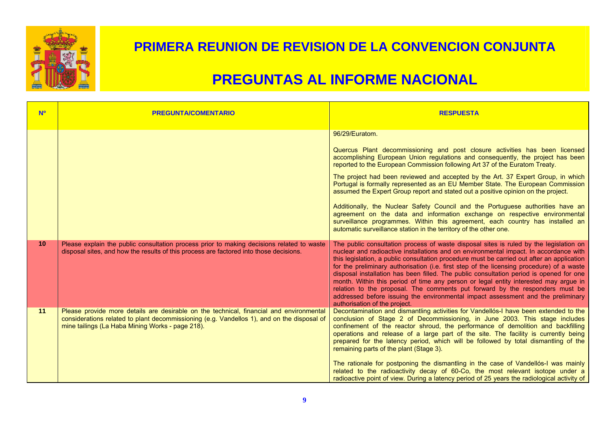

| <b>No</b>       | <b>PREGUNTA/COMENTARIO</b>                                                                                                                                                                                                                | <b>RESPUESTA</b>                                                                                                                                                                                                                                                                                                                                                                                                                                                                                                                                                                                                                                                                                                                                                                                                                                   |
|-----------------|-------------------------------------------------------------------------------------------------------------------------------------------------------------------------------------------------------------------------------------------|----------------------------------------------------------------------------------------------------------------------------------------------------------------------------------------------------------------------------------------------------------------------------------------------------------------------------------------------------------------------------------------------------------------------------------------------------------------------------------------------------------------------------------------------------------------------------------------------------------------------------------------------------------------------------------------------------------------------------------------------------------------------------------------------------------------------------------------------------|
|                 |                                                                                                                                                                                                                                           | 96/29/Euratom.<br>Quercus Plant decommissioning and post closure activities has been licensed<br>accomplishing European Union regulations and consequently, the project has been<br>reported to the European Commission following Art 37 of the Euratom Treaty.<br>The project had been reviewed and accepted by the Art. 37 Expert Group, in which<br>Portugal is formally represented as an EU Member State. The European Commission<br>assumed the Expert Group report and stated out a positive opinion on the project.<br>Additionally, the Nuclear Safety Council and the Portuguese authorities have an<br>agreement on the data and information exchange on respective environmental<br>surveillance programmes. Within this agreement, each country has installed an<br>automatic surveillance station in the territory of the other one. |
| 10 <sup>1</sup> | Please explain the public consultation process prior to making decisions related to waste<br>disposal sites, and how the results of this process are factored into those decisions.                                                       | The public consultation process of waste disposal sites is ruled by the legislation on<br>nuclear and radioactive installations and on environmental impact. In accordance with<br>this legislation, a public consultation procedure must be carried out after an application<br>for the preliminary authorisation (i.e. first step of the licensing procedure) of a waste<br>disposal installation has been filled. The public consultation period is opened for one<br>month. Within this period of time any person or legal entity interested may argue in<br>relation to the proposal. The comments put forward by the responders must be<br>addressed before issuing the environmental impact assessment and the preliminary<br>authorisation of the project.                                                                                 |
| 11              | Please provide more details are desirable on the technical, financial and environmental<br>considerations related to plant decommissioning (e.g. Vandellos 1), and on the disposal of<br>mine tailings (La Haba Mining Works - page 218). | Decontamination and dismantling activities for Vandellós-I have been extended to the<br>conclusion of Stage 2 of Decommissioning, in June 2003. This stage includes<br>confinement of the reactor shroud, the performance of demolition and backfilling<br>operations and release of a large part of the site. The facility is currently being<br>prepared for the latency period, which will be followed by total dismantling of the<br>remaining parts of the plant (Stage 3).<br>The rationale for postponing the dismantling in the case of Vandellós-I was mainly<br>related to the radioactivity decay of 60-Co, the most relevant isotope under a<br>radioactive point of view. During a latency period of 25 years the radiological activity of                                                                                            |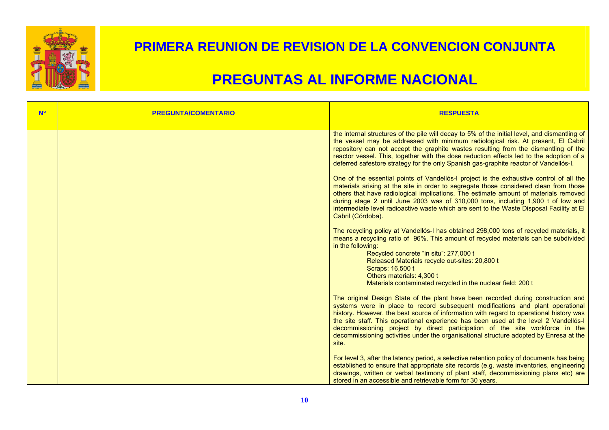

| <b>N<sup>o</sup></b> | <b>PREGUNTA/COMENTARIO</b> | <b>RESPUESTA</b>                                                                                                                                                                                                                                                                                                                                                                                                                                                                                                                                                                                                                                                                                                                                                                                                                                                                                                                                                                                                                                                                                                                                                                                                                                                                                                                                                  |
|----------------------|----------------------------|-------------------------------------------------------------------------------------------------------------------------------------------------------------------------------------------------------------------------------------------------------------------------------------------------------------------------------------------------------------------------------------------------------------------------------------------------------------------------------------------------------------------------------------------------------------------------------------------------------------------------------------------------------------------------------------------------------------------------------------------------------------------------------------------------------------------------------------------------------------------------------------------------------------------------------------------------------------------------------------------------------------------------------------------------------------------------------------------------------------------------------------------------------------------------------------------------------------------------------------------------------------------------------------------------------------------------------------------------------------------|
|                      |                            | the internal structures of the pile will decay to 5% of the initial level, and dismantling of<br>the vessel may be addressed with minimum radiological risk. At present, El Cabril<br>repository can not accept the graphite wastes resulting from the dismantling of the<br>reactor vessel. This, together with the dose reduction effects led to the adoption of a<br>deferred safestore strategy for the only Spanish gas-graphite reactor of Vandellós-I.<br>One of the essential points of Vandellós-I project is the exhaustive control of all the<br>materials arising at the site in order to segregate those considered clean from those<br>others that have radiological implications. The estimate amount of materials removed<br>during stage 2 until June 2003 was of 310,000 tons, including 1,900 t of low and<br>intermediate level radioactive waste which are sent to the Waste Disposal Facility at El<br>Cabril (Córdoba).<br>The recycling policy at Vandellós-I has obtained 298,000 tons of recycled materials, it<br>means a recycling ratio of 96%. This amount of recycled materials can be subdivided<br>in the following:<br>Recycled concrete "in situ": 277,000 t<br>Released Materials recycle out-sites: 20,800 t<br>Scraps: 16,500 t<br>Others materials: 4,300 t<br>Materials contaminated recycled in the nuclear field: 200 t |
|                      |                            | The original Design State of the plant have been recorded during construction and<br>systems were in place to record subsequent modifications and plant operational<br>history. However, the best source of information with regard to operational history was<br>the site staff. This operational experience has been used at the level 2 Vandellós-I<br>decommissioning project by direct participation of the site workforce in the<br>decommissioning activities under the organisational structure adopted by Enresa at the<br>site.<br>For level 3, after the latency period, a selective retention policy of documents has being<br>established to ensure that appropriate site records (e.g. waste inventories, engineering<br>drawings, written or verbal testimony of plant staff, decommissioning plans etc) are<br>stored in an accessible and retrievable form for 30 years.                                                                                                                                                                                                                                                                                                                                                                                                                                                                         |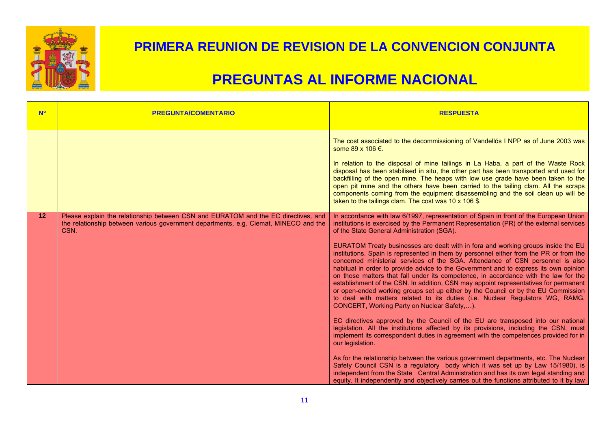

| <b>N<sup>o</sup></b> | <b>PREGUNTA/COMENTARIO</b>                                                                                                                                                         | <b>RESPUESTA</b>                                                                                                                                                                                                                                                                                                                                                                                                                                                                                                                                                                                                                                                                                                                                                                                                                                                                                                                                                                                                                                                                                                                                                                                                                                                                                                                                                                                                                                                                                                                                                                                                                                      |
|----------------------|------------------------------------------------------------------------------------------------------------------------------------------------------------------------------------|-------------------------------------------------------------------------------------------------------------------------------------------------------------------------------------------------------------------------------------------------------------------------------------------------------------------------------------------------------------------------------------------------------------------------------------------------------------------------------------------------------------------------------------------------------------------------------------------------------------------------------------------------------------------------------------------------------------------------------------------------------------------------------------------------------------------------------------------------------------------------------------------------------------------------------------------------------------------------------------------------------------------------------------------------------------------------------------------------------------------------------------------------------------------------------------------------------------------------------------------------------------------------------------------------------------------------------------------------------------------------------------------------------------------------------------------------------------------------------------------------------------------------------------------------------------------------------------------------------------------------------------------------------|
|                      |                                                                                                                                                                                    | The cost associated to the decommissioning of Vandellós I NPP as of June 2003 was<br>some 89 x 106 €.<br>In relation to the disposal of mine tailings in La Haba, a part of the Waste Rock<br>disposal has been stabilised in situ, the other part has been transported and used for<br>backfilling of the open mine. The heaps with low use grade have been taken to the<br>open pit mine and the others have been carried to the tailing clam. All the scraps<br>components coming from the equipment disassembling and the soil clean up will be<br>taken to the tailings clam. The cost was 10 x 106 \$.                                                                                                                                                                                                                                                                                                                                                                                                                                                                                                                                                                                                                                                                                                                                                                                                                                                                                                                                                                                                                                          |
| 12                   | Please explain the relationship between CSN and EURATOM and the EC directives, and<br>the relationship between various government departments, e.g. Ciemat, MINECO and the<br>CSN. | In accordance with law 6/1997, representation of Spain in front of the European Union<br>institutions is exercised by the Permanent Representation (PR) of the external services<br>of the State General Administration (SGA).<br>EURATOM Treaty businesses are dealt with in fora and working groups inside the EU<br>institutions. Spain is represented in them by personnel either from the PR or from the<br>concerned ministerial services of the SGA. Attendance of CSN personnel is also<br>habitual in order to provide advice to the Government and to express its own opinion<br>on those matters that fall under its competence, in accordance with the law for the<br>establishment of the CSN. In addition, CSN may appoint representatives for permanent<br>or open-ended working groups set up either by the Council or by the EU Commission<br>to deal with matters related to its duties (i.e. Nuclear Regulators WG, RAMG,<br>CONCERT, Working Party on Nuclear Safety,).<br>EC directives approved by the Council of the EU are transposed into our national<br>legislation. All the institutions affected by its provisions, including the CSN, must<br>implement its correspondent duties in agreement with the competences provided for in<br>our legislation.<br>As for the relationship between the various government departments, etc. The Nuclear<br>Safety Council CSN is a regulatory body which it was set up by Law 15/1980), is<br>independent from the State Central Administration and has its own legal standing and<br>equity. It independently and objectively carries out the functions attributed to it by law |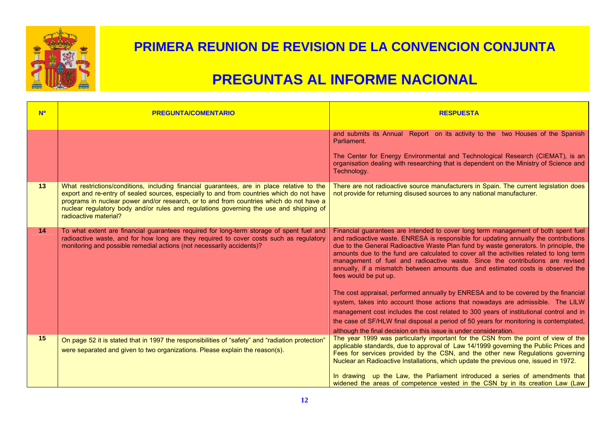

| <b>N<sup>o</sup></b> | <b>PREGUNTA/COMENTARIO</b>                                                                                                                                                                                                                                                                                                                                                                            | <b>RESPUESTA</b>                                                                                                                                                                                                                                                                                                                                                                                                                                                                                                                                            |
|----------------------|-------------------------------------------------------------------------------------------------------------------------------------------------------------------------------------------------------------------------------------------------------------------------------------------------------------------------------------------------------------------------------------------------------|-------------------------------------------------------------------------------------------------------------------------------------------------------------------------------------------------------------------------------------------------------------------------------------------------------------------------------------------------------------------------------------------------------------------------------------------------------------------------------------------------------------------------------------------------------------|
|                      |                                                                                                                                                                                                                                                                                                                                                                                                       | and submits its Annual Report on its activity to the two Houses of the Spanish<br>Parliament.                                                                                                                                                                                                                                                                                                                                                                                                                                                               |
|                      |                                                                                                                                                                                                                                                                                                                                                                                                       | The Center for Energy Environmental and Technological Research (CIEMAT), is an<br>organisation dealing with researching that is dependent on the Ministry of Science and<br>Technology.                                                                                                                                                                                                                                                                                                                                                                     |
| 13                   | What restrictions/conditions, including financial guarantees, are in place relative to the<br>export and re-entry of sealed sources, especially to and from countries which do not have<br>programs in nuclear power and/or research, or to and from countries which do not have a<br>nuclear regulatory body and/or rules and regulations governing the use and shipping of<br>radioactive material? | There are not radioactive source manufacturers in Spain. The current legislation does<br>not provide for returning disused sources to any national manufacturer.                                                                                                                                                                                                                                                                                                                                                                                            |
| 14                   | To what extent are financial guarantees required for long-term storage of spent fuel and<br>radioactive waste, and for how long are they required to cover costs such as regulatory<br>monitoring and possible remedial actions (not necessarily accidents)?                                                                                                                                          | Financial guarantees are intended to cover long term management of both spent fuel<br>and radioactive waste. ENRESA is responsible for updating annually the contributions<br>due to the General Radioactive Waste Plan fund by waste generators. In principle, the<br>amounts due to the fund are calculated to cover all the activities related to long term<br>management of fuel and radioactive waste. Since the contributions are revised<br>annually, if a mismatch between amounts due and estimated costs is observed the<br>fees would be put up. |
|                      |                                                                                                                                                                                                                                                                                                                                                                                                       | The cost appraisal, performed annually by ENRESA and to be covered by the financial<br>system, takes into account those actions that nowadays are admissible. The LILW<br>management cost includes the cost related to 300 years of institutional control and in<br>the case of SF/HLW final disposal a period of 50 years for monitoring is contemplated,<br>although the final decision on this issue is under consideration.                                                                                                                             |
| 15                   | On page 52 it is stated that in 1997 the responsibilities of "safety" and "radiation protection"<br>were separated and given to two organizations. Please explain the reason(s).                                                                                                                                                                                                                      | The year 1999 was particularly important for the CSN from the point of view of the<br>applicable standards, due to approval of Law 14/1999 governing the Public Prices and<br>Fees for services provided by the CSN, and the other new Regulations governing<br>Nuclear an Radioactive Installations, which update the previous one, issued in 1972.<br>In drawing up the Law, the Parliament introduced a series of amendments that<br>widened the areas of competence vested in the CSN by in its creation Law (Law                                       |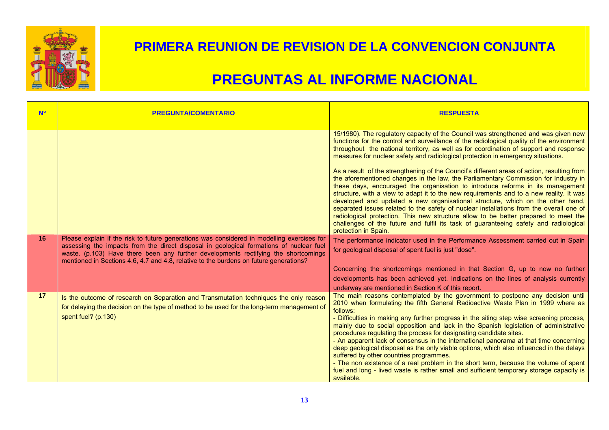

| <b>No</b> | <b>PREGUNTA/COMENTARIO</b>                                                                                                                                                                                                                                                                                                                                             | <b>RESPUESTA</b>                                                                                                                                                                                                                                                                                                                                                                                                                                                                                                                                                                                                                                                                                                                                                                                                                                                                                                                                                                                                                                                                                                      |
|-----------|------------------------------------------------------------------------------------------------------------------------------------------------------------------------------------------------------------------------------------------------------------------------------------------------------------------------------------------------------------------------|-----------------------------------------------------------------------------------------------------------------------------------------------------------------------------------------------------------------------------------------------------------------------------------------------------------------------------------------------------------------------------------------------------------------------------------------------------------------------------------------------------------------------------------------------------------------------------------------------------------------------------------------------------------------------------------------------------------------------------------------------------------------------------------------------------------------------------------------------------------------------------------------------------------------------------------------------------------------------------------------------------------------------------------------------------------------------------------------------------------------------|
|           |                                                                                                                                                                                                                                                                                                                                                                        | 15/1980). The regulatory capacity of the Council was strengthened and was given new<br>functions for the control and surveillance of the radiological quality of the environment<br>throughout the national territory, as well as for coordination of support and response<br>measures for nuclear safety and radiological protection in emergency situations.<br>As a result of the strengthening of the Council's different areas of action, resulting from<br>the aforementioned changes in the law, the Parliamentary Commission for Industry in<br>these days, encouraged the organisation to introduce reforms in its management<br>structure, with a view to adapt it to the new requirements and to a new reality. It was<br>developed and updated a new organisational structure, which on the other hand,<br>separated issues related to the safety of nuclear installations from the overall one of<br>radiological protection. This new structure allow to be better prepared to meet the<br>challenges of the future and fulfil its task of guaranteeing safety and radiological<br>protection in Spain. |
| 16        | Please explain if the risk to future generations was considered in modelling exercises for<br>assessing the impacts from the direct disposal in geological formations of nuclear fuel<br>waste. (p.103) Have there been any further developments rectifying the shortcomings<br>mentioned in Sections 4.6, 4.7 and 4.8, relative to the burdens on future generations? | The performance indicator used in the Performance Assessment carried out in Spain<br>for geological disposal of spent fuel is just "dose".<br>Concerning the shortcomings mentioned in that Section G, up to now no further<br>developments has been achieved yet. Indications on the lines of analysis currently<br>underway are mentioned in Section K of this report.                                                                                                                                                                                                                                                                                                                                                                                                                                                                                                                                                                                                                                                                                                                                              |
| 17        | Is the outcome of research on Separation and Transmutation techniques the only reason<br>for delaying the decision on the type of method to be used for the long-term management of<br>spent fuel? (p.130)                                                                                                                                                             | The main reasons contemplated by the government to postpone any decision until<br>2010 when formulating the fifth General Radioactive Waste Plan in 1999 where as<br>follows:<br>- Difficulties in making any further progress in the siting step wise screening process,<br>mainly due to social opposition and lack in the Spanish legislation of administrative<br>procedures regulating the process for designating candidate sites.<br>- An apparent lack of consensus in the international panorama at that time concerning<br>deep geological disposal as the only viable options, which also influenced in the delays<br>suffered by other countries programmes.<br>- The non existence of a real problem in the short term, because the volume of spent<br>fuel and long - lived waste is rather small and sufficient temporary storage capacity is<br>available.                                                                                                                                                                                                                                            |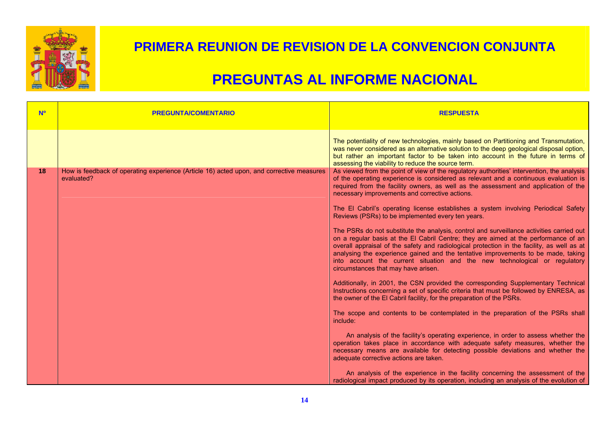

| <b>N<sup>o</sup></b> | <b>PREGUNTA/COMENTARIO</b>                                                                             | <b>RESPUESTA</b>                                                                                                                                                                                                                                                                                                                                                                                                                                                                        |
|----------------------|--------------------------------------------------------------------------------------------------------|-----------------------------------------------------------------------------------------------------------------------------------------------------------------------------------------------------------------------------------------------------------------------------------------------------------------------------------------------------------------------------------------------------------------------------------------------------------------------------------------|
|                      |                                                                                                        | The potentiality of new technologies, mainly based on Partitioning and Transmutation,<br>was never considered as an alternative solution to the deep geological disposal option,<br>but rather an important factor to be taken into account in the future in terms of<br>assessing the viability to reduce the source term.                                                                                                                                                             |
| 18                   | How is feedback of operating experience (Article 16) acted upon, and corrective measures<br>evaluated? | As viewed from the point of view of the regulatory authorities' intervention, the analysis<br>of the operating experience is considered as relevant and a continuous evaluation is<br>required from the facility owners, as well as the assessment and application of the<br>necessary improvements and corrective actions.                                                                                                                                                             |
|                      |                                                                                                        | The El Cabril's operating license establishes a system involving Periodical Safety<br>Reviews (PSRs) to be implemented every ten years.                                                                                                                                                                                                                                                                                                                                                 |
|                      |                                                                                                        | The PSRs do not substitute the analysis, control and surveillance activities carried out<br>on a regular basis at the El Cabril Centre; they are aimed at the performance of an<br>overall appraisal of the safety and radiological protection in the facility, as well as at<br>analysing the experience gained and the tentative improvements to be made, taking<br>into account the current situation and the new technological or regulatory<br>circumstances that may have arisen. |
|                      |                                                                                                        | Additionally, in 2001, the CSN provided the corresponding Supplementary Technical<br>Instructions concerning a set of specific criteria that must be followed by ENRESA, as<br>the owner of the El Cabril facility, for the preparation of the PSRs.                                                                                                                                                                                                                                    |
|                      |                                                                                                        | The scope and contents to be contemplated in the preparation of the PSRs shall<br>include:                                                                                                                                                                                                                                                                                                                                                                                              |
|                      |                                                                                                        | An analysis of the facility's operating experience, in order to assess whether the<br>operation takes place in accordance with adequate safety measures, whether the<br>necessary means are available for detecting possible deviations and whether the<br>adequate corrective actions are taken.                                                                                                                                                                                       |
|                      |                                                                                                        | An analysis of the experience in the facility concerning the assessment of the<br>radiological impact produced by its operation, including an analysis of the evolution of                                                                                                                                                                                                                                                                                                              |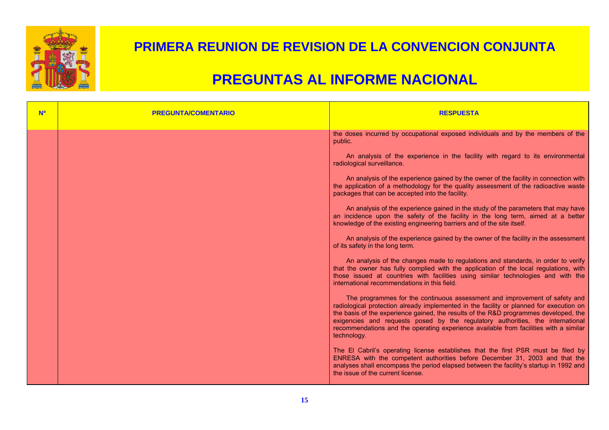

| <b>N<sup>o</sup></b> | <b>PREGUNTA/COMENTARIO</b> | <b>RESPUESTA</b>                                                                                                                                                                                                                                                                                                                                                                                                                                        |
|----------------------|----------------------------|---------------------------------------------------------------------------------------------------------------------------------------------------------------------------------------------------------------------------------------------------------------------------------------------------------------------------------------------------------------------------------------------------------------------------------------------------------|
|                      |                            | the doses incurred by occupational exposed individuals and by the members of the<br>public.                                                                                                                                                                                                                                                                                                                                                             |
|                      |                            | An analysis of the experience in the facility with regard to its environmental<br>radiological surveillance.                                                                                                                                                                                                                                                                                                                                            |
|                      |                            | An analysis of the experience gained by the owner of the facility in connection with<br>the application of a methodology for the quality assessment of the radioactive waste<br>packages that can be accepted into the facility.                                                                                                                                                                                                                        |
|                      |                            | An analysis of the experience gained in the study of the parameters that may have<br>an incidence upon the safety of the facility in the long term, aimed at a better<br>knowledge of the existing engineering barriers and of the site itself.                                                                                                                                                                                                         |
|                      |                            | An analysis of the experience gained by the owner of the facility in the assessment<br>of its safety in the long term.                                                                                                                                                                                                                                                                                                                                  |
|                      |                            | An analysis of the changes made to regulations and standards, in order to verify<br>that the owner has fully complied with the application of the local regulations, with<br>those issued at countries with facilities using similar technologies and with the<br>international recommendations in this field.                                                                                                                                          |
|                      |                            | The programmes for the continuous assessment and improvement of safety and<br>radiological protection already implemented in the facility or planned for execution on<br>the basis of the experience gained, the results of the R&D programmes developed, the<br>exigencies and requests posed by the regulatory authorities, the international<br>recommendations and the operating experience available from facilities with a similar<br>technology. |
|                      |                            | The El Cabril's operating license establishes that the first PSR must be filed by<br>ENRESA with the competent authorities before December 31, 2003 and that the<br>analyses shall encompass the period elapsed between the facility's startup in 1992 and<br>the issue of the current license.                                                                                                                                                         |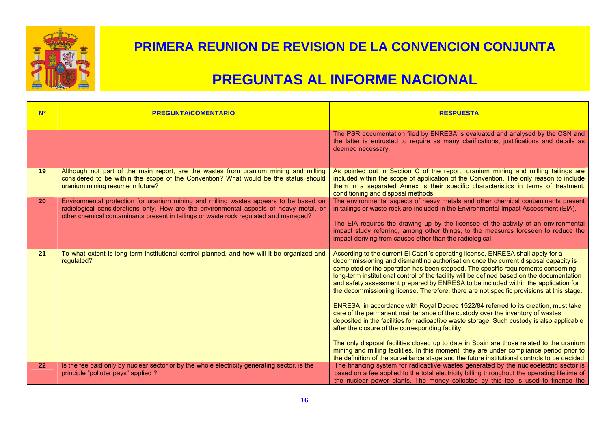

| <b>No</b> | <b>PREGUNTA/COMENTARIO</b>                                                                                                                                                                                                                                                                                                                                                                                                                                                                  | <b>RESPUESTA</b>                                                                                                                                                                                                                                                                                                                                                                                                                                                                                                                                                                                                                                                                                                                                                                                                                                                                                                                                                                                                                                                                                                                                               |
|-----------|---------------------------------------------------------------------------------------------------------------------------------------------------------------------------------------------------------------------------------------------------------------------------------------------------------------------------------------------------------------------------------------------------------------------------------------------------------------------------------------------|----------------------------------------------------------------------------------------------------------------------------------------------------------------------------------------------------------------------------------------------------------------------------------------------------------------------------------------------------------------------------------------------------------------------------------------------------------------------------------------------------------------------------------------------------------------------------------------------------------------------------------------------------------------------------------------------------------------------------------------------------------------------------------------------------------------------------------------------------------------------------------------------------------------------------------------------------------------------------------------------------------------------------------------------------------------------------------------------------------------------------------------------------------------|
|           |                                                                                                                                                                                                                                                                                                                                                                                                                                                                                             | The PSR documentation filed by ENRESA is evaluated and analysed by the CSN and<br>the latter is entrusted to require as many clarifications, justifications and details as<br>deemed necessary.                                                                                                                                                                                                                                                                                                                                                                                                                                                                                                                                                                                                                                                                                                                                                                                                                                                                                                                                                                |
| 19<br>20  | Although not part of the main report, are the wastes from uranium mining and milling<br>considered to be within the scope of the Convention? What would be the status should<br>uranium mining resume in future?<br>Environmental protection for uranium mining and milling wastes appears to be based on<br>radiological considerations only. How are the environmental aspects of heavy metal, or<br>other chemical contaminants present in tailings or waste rock regulated and managed? | As pointed out in Section C of the report, uranium mining and milling tailings are<br>included within the scope of application of the Convention. The only reason to include<br>them in a separated Annex is their specific characteristics in terms of treatment,<br>conditioning and disposal methods.<br>The environmental aspects of heavy metals and other chemical contaminants present<br>in tailings or waste rock are included in the Environmental Impact Assessment (EIA).<br>The EIA requires the drawing up by the licensee of the activity of an environmental<br>impact study referring, among other things, to the measures foreseen to reduce the<br>impact deriving from causes other than the radiological.                                                                                                                                                                                                                                                                                                                                                                                                                                 |
| 21        | To what extent is long-term institutional control planned, and how will it be organized and<br>regulated?                                                                                                                                                                                                                                                                                                                                                                                   | According to the current El Cabril's operating license, ENRESA shall apply for a<br>decommissioning and dismantling authorisation once the current disposal capacity is<br>completed or the operation has been stopped. The specific requirements concerning<br>long-term institutional control of the facility will be defined based on the documentation<br>and safety assessment prepared by ENRESA to be included within the application for<br>the decommissioning license. Therefore, there are not specific provisions at this stage.<br>ENRESA, in accordance with Royal Decree 1522/84 referred to its creation, must take<br>care of the permanent maintenance of the custody over the inventory of wastes<br>deposited in the facilities for radioactive waste storage. Such custody is also applicable<br>after the closure of the corresponding facility.<br>The only disposal facilities closed up to date in Spain are those related to the uranium<br>mining and milling facilities. In this moment, they are under compliance period prior to<br>the definition of the surveillance stage and the future institutional controls to be decided |
| 22        | Is the fee paid only by nuclear sector or by the whole electricity generating sector, is the<br>principle "polluter pays" applied ?                                                                                                                                                                                                                                                                                                                                                         | The financing system for radioactive wastes generated by the nucleoelectric sector is<br>based on a fee applied to the total electricity billing throughout the operating lifetime of<br>the nuclear power plants. The money collected by this fee is used to finance the                                                                                                                                                                                                                                                                                                                                                                                                                                                                                                                                                                                                                                                                                                                                                                                                                                                                                      |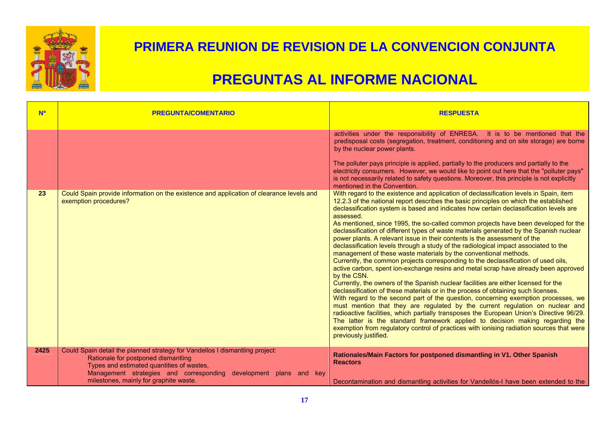

| <b>No</b> | <b>PREGUNTA/COMENTARIO</b>                                                                                                                                                                                                            | <b>RESPUESTA</b>                                                                                                                                                                                                                                                                                                                                                                                                                                                                                                                                                                                                                                                                                                                                                                                                                                                                                                                                                                                                                                                                                                                                                                                                                                                                                                                                                                                                                                                                                                                                                   |
|-----------|---------------------------------------------------------------------------------------------------------------------------------------------------------------------------------------------------------------------------------------|--------------------------------------------------------------------------------------------------------------------------------------------------------------------------------------------------------------------------------------------------------------------------------------------------------------------------------------------------------------------------------------------------------------------------------------------------------------------------------------------------------------------------------------------------------------------------------------------------------------------------------------------------------------------------------------------------------------------------------------------------------------------------------------------------------------------------------------------------------------------------------------------------------------------------------------------------------------------------------------------------------------------------------------------------------------------------------------------------------------------------------------------------------------------------------------------------------------------------------------------------------------------------------------------------------------------------------------------------------------------------------------------------------------------------------------------------------------------------------------------------------------------------------------------------------------------|
|           |                                                                                                                                                                                                                                       | activities under the responsibility of ENRESA. It is to be mentioned that the<br>predisposal costs (segregation, treatment, conditioning and on site storage) are borne<br>by the nuclear power plants.<br>The polluter pays principle is applied, partially to the producers and partially to the<br>electricity consumers. However, we would like to point out here that the "polluter pays"<br>is not necessarily related to safety questions. Moreover, this principle is not explicitly<br>mentioned in the Convention.                                                                                                                                                                                                                                                                                                                                                                                                                                                                                                                                                                                                                                                                                                                                                                                                                                                                                                                                                                                                                                       |
| 23        | Could Spain provide information on the existence and application of clearance levels and<br>exemption procedures?                                                                                                                     | With regard to the existence and application of declassification levels in Spain, item<br>12.2.3 of the national report describes the basic principles on which the established<br>declassification system is based and indicates how certain declassification levels are<br>assessed.<br>As mentioned, since 1995, the so-called common projects have been developed for the<br>declassification of different types of waste materials generated by the Spanish nuclear<br>power plants. A relevant issue in their contents is the assessment of the<br>declassification levels through a study of the radiological impact associated to the<br>management of these waste materials by the conventional methods.<br>Currently, the common projects corresponding to the declassification of used oils,<br>active carbon, spent ion-exchange resins and metal scrap have already been approved<br>by the CSN.<br>Currently, the owners of the Spanish nuclear facilities are either licensed for the<br>declassification of these materials or in the process of obtaining such licenses.<br>With regard to the second part of the question, concerning exemption processes, we<br>must mention that they are regulated by the current regulation on nuclear and<br>radioactive facilities, which partially transposes the European Union's Directive 96/29.<br>The latter is the standard framework applied to decision making regarding the<br>exemption from regulatory control of practices with ionising radiation sources that were<br>previously justified. |
| 2425      | Could Spain detail the planned strategy for Vandellos I dismantling project:<br>Rationale for postponed dismantling<br>Types and estimated quantities of wastes,<br>Management strategies and corresponding development plans and key | Rationales/Main Factors for postponed dismantling in V1. Other Spanish<br><b>Reactors</b>                                                                                                                                                                                                                                                                                                                                                                                                                                                                                                                                                                                                                                                                                                                                                                                                                                                                                                                                                                                                                                                                                                                                                                                                                                                                                                                                                                                                                                                                          |
|           | milestones, mainly for graphite waste.                                                                                                                                                                                                | Decontamination and dismantling activities for Vandellós-I have been extended to the                                                                                                                                                                                                                                                                                                                                                                                                                                                                                                                                                                                                                                                                                                                                                                                                                                                                                                                                                                                                                                                                                                                                                                                                                                                                                                                                                                                                                                                                               |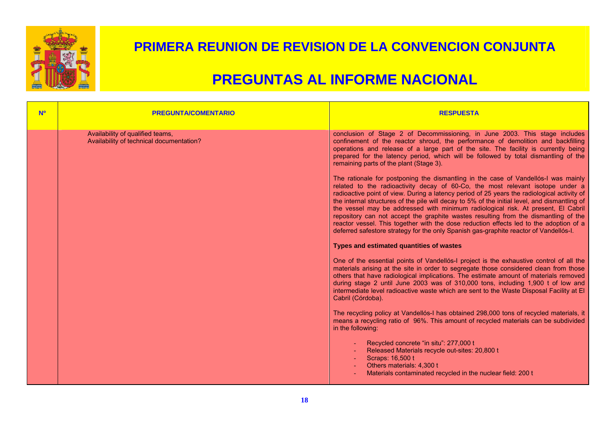

| <b>NO</b> | <b>PREGUNTA/COMENTARIO</b>                                                   | <b>RESPUESTA</b>                                                                                                                                                                                                                                                                                                                                                                                                                                                                                                                                                                                                                                                                                                                    |
|-----------|------------------------------------------------------------------------------|-------------------------------------------------------------------------------------------------------------------------------------------------------------------------------------------------------------------------------------------------------------------------------------------------------------------------------------------------------------------------------------------------------------------------------------------------------------------------------------------------------------------------------------------------------------------------------------------------------------------------------------------------------------------------------------------------------------------------------------|
|           | Availability of qualified teams,<br>Availability of technical documentation? | conclusion of Stage 2 of Decommissioning, in June 2003. This stage includes<br>confinement of the reactor shroud, the performance of demolition and backfilling<br>operations and release of a large part of the site. The facility is currently being<br>prepared for the latency period, which will be followed by total dismantling of the<br>remaining parts of the plant (Stage 3).                                                                                                                                                                                                                                                                                                                                            |
|           |                                                                              | The rationale for postponing the dismantling in the case of Vandellós-I was mainly<br>related to the radioactivity decay of 60-Co, the most relevant isotope under a<br>radioactive point of view. During a latency period of 25 years the radiological activity of<br>the internal structures of the pile will decay to 5% of the initial level, and dismantling of<br>the vessel may be addressed with minimum radiological risk. At present, El Cabril<br>repository can not accept the graphite wastes resulting from the dismantling of the<br>reactor vessel. This together with the dose reduction effects led to the adoption of a<br>deferred safestore strategy for the only Spanish gas-graphite reactor of Vandellós-I. |
|           |                                                                              | Types and estimated quantities of wastes                                                                                                                                                                                                                                                                                                                                                                                                                                                                                                                                                                                                                                                                                            |
|           |                                                                              | One of the essential points of Vandellós-I project is the exhaustive control of all the<br>materials arising at the site in order to segregate those considered clean from those<br>others that have radiological implications. The estimate amount of materials removed<br>during stage 2 until June 2003 was of 310,000 tons, including 1,900 t of low and<br>intermediate level radioactive waste which are sent to the Waste Disposal Facility at El<br>Cabril (Córdoba).                                                                                                                                                                                                                                                       |
|           |                                                                              | The recycling policy at Vandellós-I has obtained 298,000 tons of recycled materials, it<br>means a recycling ratio of 96%. This amount of recycled materials can be subdivided<br>in the following:                                                                                                                                                                                                                                                                                                                                                                                                                                                                                                                                 |
|           |                                                                              | Recycled concrete "in situ": 277,000 t<br>Released Materials recycle out-sites: 20,800 t<br>Scraps: 16,500 t<br>Others materials: 4,300 t<br>Materials contaminated recycled in the nuclear field: 200 t                                                                                                                                                                                                                                                                                                                                                                                                                                                                                                                            |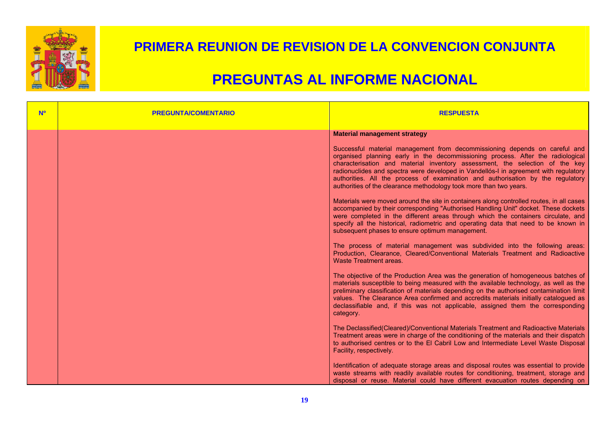

| <b>Nº</b> | <b>PREGUNTA/COMENTARIO</b> | <b>RESPUESTA</b>                                                                                                                                                                                                                                                                                                                                                                                                                                                                               |
|-----------|----------------------------|------------------------------------------------------------------------------------------------------------------------------------------------------------------------------------------------------------------------------------------------------------------------------------------------------------------------------------------------------------------------------------------------------------------------------------------------------------------------------------------------|
|           |                            | <b>Material management strategy</b>                                                                                                                                                                                                                                                                                                                                                                                                                                                            |
|           |                            | Successful material management from decommissioning depends on careful and<br>organised planning early in the decommissioning process. After the radiological<br>characterisation and material inventory assessment, the selection of the key<br>radionuclides and spectra were developed in Vandellós-I in agreement with regulatory<br>authorities. All the process of examination and authorisation by the regulatory<br>authorities of the clearance methodology took more than two years. |
|           |                            | Materials were moved around the site in containers along controlled routes, in all cases<br>accompanied by their corresponding "Authorised Handling Unit" docket. These dockets<br>were completed in the different areas through which the containers circulate, and<br>specify all the historical, radiometric and operating data that need to be known in<br>subsequent phases to ensure optimum management.                                                                                 |
|           |                            | The process of material management was subdivided into the following areas:<br>Production, Clearance, Cleared/Conventional Materials Treatment and Radioactive<br>Waste Treatment areas.                                                                                                                                                                                                                                                                                                       |
|           |                            | The objective of the Production Area was the generation of homogeneous batches of<br>materials susceptible to being measured with the available technology, as well as the<br>preliminary classification of materials depending on the authorised contamination limit<br>values. The Clearance Area confirmed and accredits materials initially catalogued as<br>declassifiable and, if this was not applicable, assigned them the corresponding<br>category.                                  |
|           |                            | The Declassified(Cleared)/Conventional Materials Treatment and Radioactive Materials<br>Treatment areas were in charge of the conditioning of the materials and their dispatch<br>to authorised centres or to the El Cabril Low and Intermediate Level Waste Disposal<br>Facility, respectively.                                                                                                                                                                                               |
|           |                            | Identification of adequate storage areas and disposal routes was essential to provide<br>waste streams with readily available routes for conditioning, treatment, storage and<br>disposal or reuse. Material could have different evacuation routes depending on                                                                                                                                                                                                                               |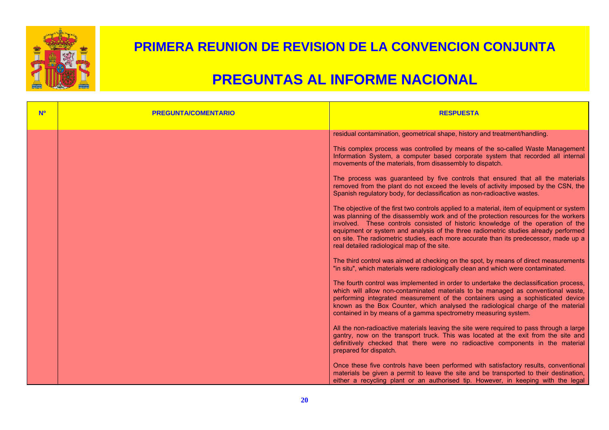

| <b>Nº</b> | <b>PREGUNTA/COMENTARIO</b> | <b>RESPUESTA</b>                                                                                                                                                                                                                                                                                                                                                                                                                                                                                     |
|-----------|----------------------------|------------------------------------------------------------------------------------------------------------------------------------------------------------------------------------------------------------------------------------------------------------------------------------------------------------------------------------------------------------------------------------------------------------------------------------------------------------------------------------------------------|
|           |                            | residual contamination, geometrical shape, history and treatment/handling.                                                                                                                                                                                                                                                                                                                                                                                                                           |
|           |                            | This complex process was controlled by means of the so-called Waste Management<br>Information System, a computer based corporate system that recorded all internal<br>movements of the materials, from disassembly to dispatch.                                                                                                                                                                                                                                                                      |
|           |                            | The process was guaranteed by five controls that ensured that all the materials<br>removed from the plant do not exceed the levels of activity imposed by the CSN, the<br>Spanish regulatory body, for declassification as non-radioactive wastes.                                                                                                                                                                                                                                                   |
|           |                            | The objective of the first two controls applied to a material, item of equipment or system<br>was planning of the disassembly work and of the protection resources for the workers<br>involved. These controls consisted of historic knowledge of the operation of the<br>equipment or system and analysis of the three radiometric studies already performed<br>on site. The radiometric studies, each more accurate than its predecessor, made up a<br>real detailed radiological map of the site. |
|           |                            | The third control was aimed at checking on the spot, by means of direct measurements<br>"in situ", which materials were radiologically clean and which were contaminated.                                                                                                                                                                                                                                                                                                                            |
|           |                            | The fourth control was implemented in order to undertake the declassification process,<br>which will allow non-contaminated materials to be managed as conventional waste,<br>performing integrated measurement of the containers using a sophisticated device<br>known as the Box Counter, which analysed the radiological charge of the material<br>contained in by means of a gamma spectrometry measuring system.                                                                                |
|           |                            | All the non-radioactive materials leaving the site were required to pass through a large<br>gantry, now on the transport truck. This was located at the exit from the site and<br>definitively checked that there were no radioactive components in the material<br>prepared for dispatch.                                                                                                                                                                                                           |
|           |                            | Once these five controls have been performed with satisfactory results, conventional<br>materials be given a permit to leave the site and be transported to their destination,<br>either a recycling plant or an authorised tip. However, in keeping with the legal                                                                                                                                                                                                                                  |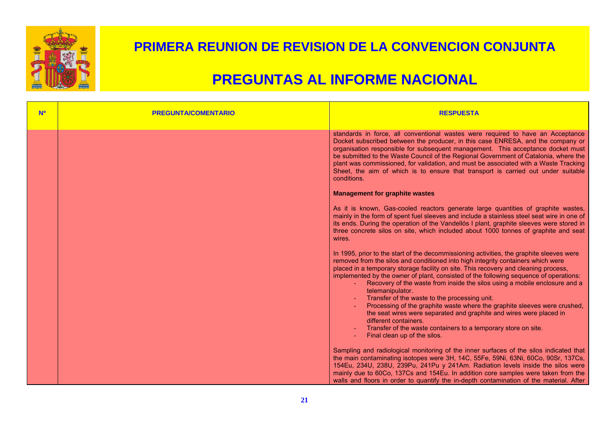

| <b>Nº</b> | <b>PREGUNTA/COMENTARIO</b> | <b>RESPUESTA</b>                                                                                                                                                                                                                                                                                                                                                                                                                                                                                                                                                                                                                                                                                                                                                                                 |
|-----------|----------------------------|--------------------------------------------------------------------------------------------------------------------------------------------------------------------------------------------------------------------------------------------------------------------------------------------------------------------------------------------------------------------------------------------------------------------------------------------------------------------------------------------------------------------------------------------------------------------------------------------------------------------------------------------------------------------------------------------------------------------------------------------------------------------------------------------------|
|           |                            | standards in force, all conventional wastes were required to have an Acceptance<br>Docket subscribed between the producer, in this case ENRESA, and the company or<br>organisation responsible for subsequent management. This acceptance docket must<br>be submitted to the Waste Council of the Regional Government of Catalonia, where the<br>plant was commissioned, for validation, and must be associated with a Waste Tracking<br>Sheet, the aim of which is to ensure that transport is carried out under suitable<br>conditions.                                                                                                                                                                                                                                                        |
|           |                            | <b>Management for graphite wastes</b>                                                                                                                                                                                                                                                                                                                                                                                                                                                                                                                                                                                                                                                                                                                                                            |
|           |                            | As it is known, Gas-cooled reactors generate large quantities of graphite wastes,<br>mainly in the form of spent fuel sleeves and include a stainless steel seat wire in one of<br>its ends. During the operation of the Vandellós I plant, graphite sleeves were stored in<br>three concrete silos on site, which included about 1000 tonnes of graphite and seat<br>wires.                                                                                                                                                                                                                                                                                                                                                                                                                     |
|           |                            | In 1995, prior to the start of the decommissioning activities, the graphite sleeves were<br>removed from the silos and conditioned into high integrity containers which were<br>placed in a temporary storage facility on site. This recovery and cleaning process,<br>implemented by the owner of plant, consisted of the following sequence of operations:<br>- Recovery of the waste from inside the silos using a mobile enclosure and a<br>telemanipulator.<br>Transfer of the waste to the processing unit.<br>Processing of the graphite waste where the graphite sleeves were crushed,<br>the seat wires were separated and graphite and wires were placed in<br>different containers.<br>Transfer of the waste containers to a temporary store on site.<br>Final clean up of the silos. |
|           |                            | Sampling and radiological monitoring of the inner surfaces of the silos indicated that<br>the main contaminating isotopes were 3H, 14C, 55Fe, 59Ni, 63Ni, 60Co, 90Sr, 137Cs,<br>154Eu, 234U, 238U, 239Pu, 241Pu y 241Am. Radiation levels inside the silos were<br>mainly due to 60Co, 137Cs and 154Eu. In addition core samples were taken from the<br>walls and floors in order to quantify the in-depth contamination of the material. After                                                                                                                                                                                                                                                                                                                                                  |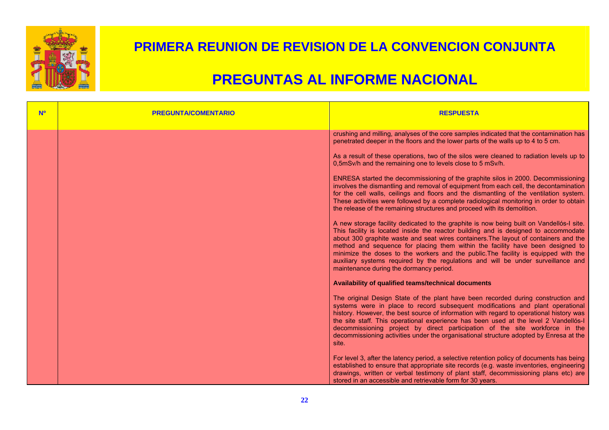

| <b>N<sup>o</sup></b> | <b>PREGUNTA/COMENTARIO</b> | <b>RESPUESTA</b>                                                                                                                                                                                                                                                                                                                                                                                                                                                                                                                                                                |
|----------------------|----------------------------|---------------------------------------------------------------------------------------------------------------------------------------------------------------------------------------------------------------------------------------------------------------------------------------------------------------------------------------------------------------------------------------------------------------------------------------------------------------------------------------------------------------------------------------------------------------------------------|
|                      |                            | crushing and milling, analyses of the core samples indicated that the contamination has<br>penetrated deeper in the floors and the lower parts of the walls up to 4 to 5 cm.                                                                                                                                                                                                                                                                                                                                                                                                    |
|                      |                            | As a result of these operations, two of the silos were cleaned to radiation levels up to<br>0,5mSv/h and the remaining one to levels close to 5 mSv/h.                                                                                                                                                                                                                                                                                                                                                                                                                          |
|                      |                            | ENRESA started the decommissioning of the graphite silos in 2000. Decommissioning<br>involves the dismantling and removal of equipment from each cell, the decontamination<br>for the cell walls, ceilings and floors and the dismantling of the ventilation system.<br>These activities were followed by a complete radiological monitoring in order to obtain<br>the release of the remaining structures and proceed with its demolition.                                                                                                                                     |
|                      |                            | A new storage facility dedicated to the graphite is now being built on Vandellós-I site.<br>This facility is located inside the reactor building and is designed to accommodate<br>about 300 graphite waste and seat wires containers. The layout of containers and the<br>method and sequence for placing them within the facility have been designed to<br>minimize the doses to the workers and the public. The facility is equipped with the<br>auxiliary systems required by the regulations and will be under surveillance and<br>maintenance during the dormancy period. |
|                      |                            | Availability of qualified teams/technical documents                                                                                                                                                                                                                                                                                                                                                                                                                                                                                                                             |
|                      |                            | The original Design State of the plant have been recorded during construction and<br>systems were in place to record subsequent modifications and plant operational<br>history. However, the best source of information with regard to operational history was<br>the site staff. This operational experience has been used at the level 2 Vandellós-I<br>decommissioning project by direct participation of the site workforce in the<br>decommissioning activities under the organisational structure adopted by Enresa at the<br>site.                                       |
|                      |                            | For level 3, after the latency period, a selective retention policy of documents has being<br>established to ensure that appropriate site records (e.g. waste inventories, engineering<br>drawings, written or verbal testimony of plant staff, decommissioning plans etc) are<br>stored in an accessible and retrievable form for 30 years.                                                                                                                                                                                                                                    |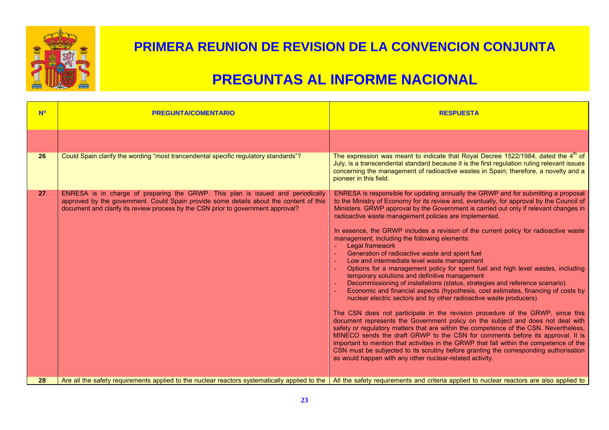

| <b>No</b> | <b>PREGUNTA/COMENTARIO</b>                                                                                                                                                                                                                                    | <b>RESPUESTA</b>                                                                                                                                                                                                                                                                                                                                                                                                                                                                                                                                                                                                                                                                                                                                                                                                                                                                                                                                                                                                                                                                                                                                                                                                                                                                                                                                                                                                                                                                                                                                                               |
|-----------|---------------------------------------------------------------------------------------------------------------------------------------------------------------------------------------------------------------------------------------------------------------|--------------------------------------------------------------------------------------------------------------------------------------------------------------------------------------------------------------------------------------------------------------------------------------------------------------------------------------------------------------------------------------------------------------------------------------------------------------------------------------------------------------------------------------------------------------------------------------------------------------------------------------------------------------------------------------------------------------------------------------------------------------------------------------------------------------------------------------------------------------------------------------------------------------------------------------------------------------------------------------------------------------------------------------------------------------------------------------------------------------------------------------------------------------------------------------------------------------------------------------------------------------------------------------------------------------------------------------------------------------------------------------------------------------------------------------------------------------------------------------------------------------------------------------------------------------------------------|
|           |                                                                                                                                                                                                                                                               |                                                                                                                                                                                                                                                                                                                                                                                                                                                                                                                                                                                                                                                                                                                                                                                                                                                                                                                                                                                                                                                                                                                                                                                                                                                                                                                                                                                                                                                                                                                                                                                |
| 26        | Could Spain clarify the wording "most trancendental specific regulatory standards"?                                                                                                                                                                           | The expression was meant to indicate that Royal Decree 1522/1984, dated the 4 <sup>th</sup> of<br>July, is a transcendental standard because it is the first regulation ruling relevant issues<br>concerning the management of radioactive wastes in Spain; therefore, a novelty and a<br>pioneer in this field.                                                                                                                                                                                                                                                                                                                                                                                                                                                                                                                                                                                                                                                                                                                                                                                                                                                                                                                                                                                                                                                                                                                                                                                                                                                               |
| 27        | ENRESA is in charge of preparing the GRWP. This plan is issued and periodically<br>approved by the government. Could Spain provide some details about the content of this<br>document and clarify its review process by the CSN prior to government approval? | ENRESA is responsible for updating annually the GRWP and for submitting a proposal<br>to the Ministry of Economy for its review and, eventually, for approval by the Council of<br>Ministers. GRWP approval by the Government is carried out only if relevant changes in<br>radioactive waste management policies are implemented.<br>In essence, the GRWP includes a revision of the current policy for radioactive waste<br>management, including the following elements:<br>Legal framework<br>Generation of radioactive waste and spent fuel<br>Low and intermediate level waste management<br>Options for a management policy for spent fuel and high level wastes, including<br>temporary solutions and definitive management<br>Decommissioning of installations (status, strategies and reference scenario)<br>Economic and financial aspects (hypothesis, cost estimates, financing of costs by<br>nuclear electric sectors and by other radioactive waste producers)<br>The CSN does not participate in the revision procedure of the GRWP, since this<br>document represents the Government policy on the subject and does not deal with<br>safety or regulatory matters that are within the competence of the CSN. Nevertheless,<br>MINECO sends the draft GRWP to the CSN for comments before its approval. It is<br>important to mention that activities in the GRWP that fall within the competence of the<br>CSN must be subjected to its scrutiny before granting the corresponding authorisation<br>as would happen with any other nuclear-related activity. |
| 28        | Are all the safety requirements applied to the nuclear reactors systematically applied to the   All the safety requirements and criteria applied to nuclear reactors are also applied to                                                                      |                                                                                                                                                                                                                                                                                                                                                                                                                                                                                                                                                                                                                                                                                                                                                                                                                                                                                                                                                                                                                                                                                                                                                                                                                                                                                                                                                                                                                                                                                                                                                                                |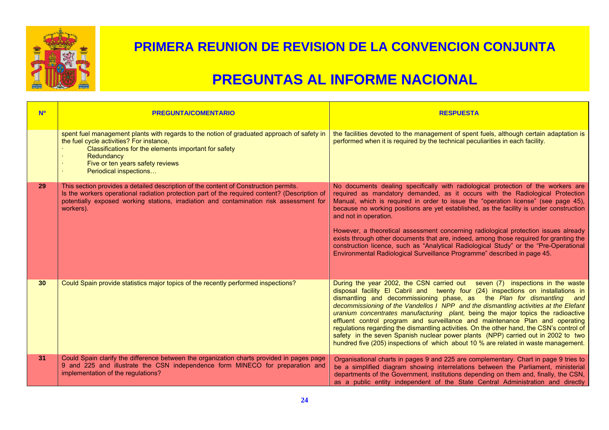

| <b>No</b>       | <b>PREGUNTA/COMENTARIO</b>                                                                                                                                                                                                                                                                    | <b>RESPUESTA</b>                                                                                                                                                                                                                                                                                                                                                                                                                                                                                                                                                                                                                                                                                                                                                                |
|-----------------|-----------------------------------------------------------------------------------------------------------------------------------------------------------------------------------------------------------------------------------------------------------------------------------------------|---------------------------------------------------------------------------------------------------------------------------------------------------------------------------------------------------------------------------------------------------------------------------------------------------------------------------------------------------------------------------------------------------------------------------------------------------------------------------------------------------------------------------------------------------------------------------------------------------------------------------------------------------------------------------------------------------------------------------------------------------------------------------------|
|                 | spent fuel management plants with regards to the notion of graduated approach of safety in<br>the fuel cycle activities? For instance,<br>Classifications for the elements important for safety<br>Redundancy<br>Five or ten years safety reviews<br>Periodical inspections                   | the facilities devoted to the management of spent fuels, although certain adaptation is<br>performed when it is required by the technical peculiarities in each facility.                                                                                                                                                                                                                                                                                                                                                                                                                                                                                                                                                                                                       |
| 29              | This section provides a detailed description of the content of Construction permits.<br>Is the workers operational radiation protection part of the required content? (Description of<br>potentially exposed working stations, irradiation and contamination risk assessment for<br>workers). | No documents dealing specifically with radiological protection of the workers are<br>required as mandatory demanded, as it occurs with the Radiological Protection<br>Manual, which is required in order to issue the "operation license" (see page 45),<br>because no working positions are yet established, as the facility is under construction<br>and not in operation.<br>However, a theoretical assessment concerning radiological protection issues already<br>exists through other documents that are, indeed, among those required for granting the<br>construction licence, such as "Analytical Radiological Study" or the "Pre-Operational<br>Environmental Radiological Surveillance Programme" described in page 45.                                              |
| 30 <sup>°</sup> | Could Spain provide statistics major topics of the recently performed inspections?                                                                                                                                                                                                            | During the year 2002, the CSN carried out seven (7) inspections in the waste<br>disposal facility El Cabril and twenty four (24) inspections on installations in<br>dismantling and decommissioning phase, as the Plan for dismantling and<br>decommissioning of the Vandellos I NPP and the dismantling activities at the Elefant<br>uranium concentrates manufacturing plant, being the major topics the radioactive<br>effluent control program and surveillance and maintenance Plan and operating<br>regulations regarding the dismantling activities. On the other hand, the CSN's control of<br>safety in the seven Spanish nuclear power plants (NPP) carried out in 2002 to two<br>hundred five (205) inspections of which about 10 % are related in waste management. |
| 31              | Could Spain clarify the difference between the organization charts provided in pages page<br>9 and 225 and illustrate the CSN independence form MINECO for preparation and<br>implementation of the regulations?                                                                              | Organisational charts in pages 9 and 225 are complementary. Chart in page 9 tries to<br>be a simplified diagram showing interrelations between the Parliament, ministerial<br>departments of the Government, institutions depending on them and, finally, the CSN,<br>as a public entity independent of the State Central Administration and directly                                                                                                                                                                                                                                                                                                                                                                                                                           |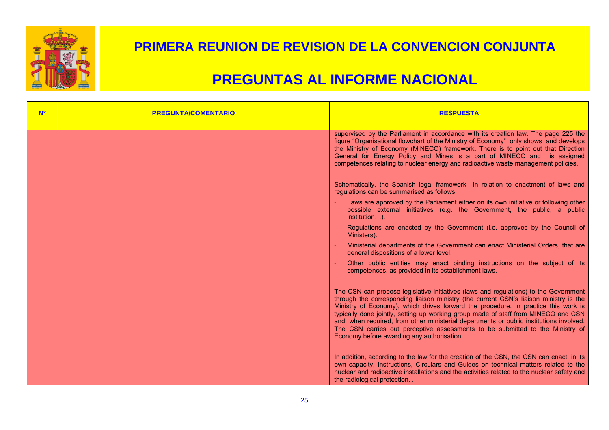

| <b>No</b> | <b>PREGUNTA/COMENTARIO</b> | <b>RESPUESTA</b>                                                                                                                                                                                                                                                                                                                                                                                                                                                                                                                                                                    |
|-----------|----------------------------|-------------------------------------------------------------------------------------------------------------------------------------------------------------------------------------------------------------------------------------------------------------------------------------------------------------------------------------------------------------------------------------------------------------------------------------------------------------------------------------------------------------------------------------------------------------------------------------|
|           |                            | supervised by the Parliament in accordance with its creation law. The page 225 the<br>figure "Organisational flowchart of the Ministry of Economy" only shows and develops<br>the Ministry of Economy (MINECO) framework. There is to point out that Direction<br>General for Energy Policy and Mines is a part of MINECO and is assigned<br>competences relating to nuclear energy and radioactive waste management policies.                                                                                                                                                      |
|           |                            | Schematically, the Spanish legal framework in relation to enactment of laws and<br>regulations can be summarised as follows:                                                                                                                                                                                                                                                                                                                                                                                                                                                        |
|           |                            | Laws are approved by the Parliament either on its own initiative or following other<br>possible external initiatives (e.g. the Government, the public, a public<br>institution).                                                                                                                                                                                                                                                                                                                                                                                                    |
|           |                            | Regulations are enacted by the Government (i.e. approved by the Council of<br>Ministers).                                                                                                                                                                                                                                                                                                                                                                                                                                                                                           |
|           |                            | Ministerial departments of the Government can enact Ministerial Orders, that are<br>general dispositions of a lower level.                                                                                                                                                                                                                                                                                                                                                                                                                                                          |
|           |                            | Other public entities may enact binding instructions on the subject of its<br>competences, as provided in its establishment laws.                                                                                                                                                                                                                                                                                                                                                                                                                                                   |
|           |                            | The CSN can propose legislative initiatives (laws and regulations) to the Government<br>through the corresponding liaison ministry (the current CSN's liaison ministry is the<br>Ministry of Economy), which drives forward the procedure. In practice this work is<br>typically done jointly, setting up working group made of staff from MINECO and CSN<br>and, when required, from other ministerial departments or public institutions involved.<br>The CSN carries out perceptive assessments to be submitted to the Ministry of<br>Economy before awarding any authorisation. |
|           |                            | In addition, according to the law for the creation of the CSN, the CSN can enact, in its<br>own capacity, Instructions, Circulars and Guides on technical matters related to the<br>nuclear and radioactive installations and the activities related to the nuclear safety and<br>the radiological protection                                                                                                                                                                                                                                                                       |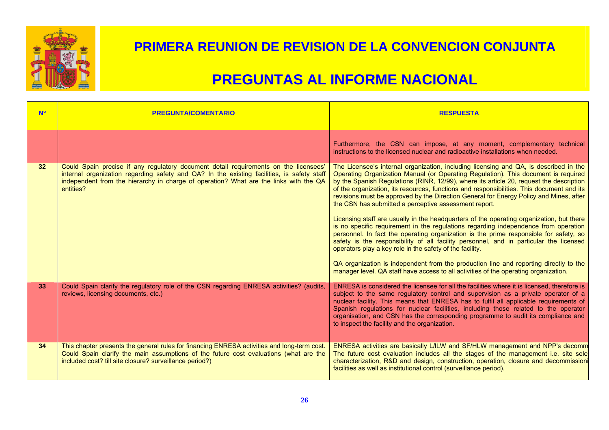

| <b>No</b>       | <b>PREGUNTA/COMENTARIO</b>                                                                                                                                                                                                                                                               | <b>RESPUESTA</b>                                                                                                                                                                                                                                                                                                                                                                                                                                                                                                                                                                                                                                                                                                                                                                                                                                                                                                                                                                                                                                                                                                                          |
|-----------------|------------------------------------------------------------------------------------------------------------------------------------------------------------------------------------------------------------------------------------------------------------------------------------------|-------------------------------------------------------------------------------------------------------------------------------------------------------------------------------------------------------------------------------------------------------------------------------------------------------------------------------------------------------------------------------------------------------------------------------------------------------------------------------------------------------------------------------------------------------------------------------------------------------------------------------------------------------------------------------------------------------------------------------------------------------------------------------------------------------------------------------------------------------------------------------------------------------------------------------------------------------------------------------------------------------------------------------------------------------------------------------------------------------------------------------------------|
|                 |                                                                                                                                                                                                                                                                                          | Furthermore, the CSN can impose, at any moment, complementary technical<br>instructions to the licensed nuclear and radioactive installations when needed.                                                                                                                                                                                                                                                                                                                                                                                                                                                                                                                                                                                                                                                                                                                                                                                                                                                                                                                                                                                |
| 32 <sup>°</sup> | Could Spain precise if any regulatory document detail requirements on the licensees'<br>internal organization regarding safety and QA? In the existing facilities, is safety staff<br>independent from the hierarchy in charge of operation? What are the links with the QA<br>entities? | The Licensee's internal organization, including licensing and QA, is described in the<br>Operating Organization Manual (or Operating Regulation). This document is required<br>by the Spanish Regulations (RINR, 12/99), where its article 20, request the description<br>of the organization, its resources, functions and responsibilities. This document and its<br>revisions must be approved by the Direction General for Energy Policy and Mines, after<br>the CSN has submitted a perceptive assessment report.<br>Licensing staff are usually in the headquarters of the operating organization, but there<br>is no specific requirement in the regulations regarding independence from operation<br>personnel. In fact the operating organization is the prime responsible for safety, so<br>safety is the responsibility of all facility personnel, and in particular the licensed<br>operators play a key role in the safety of the facility.<br>QA organization is independent from the production line and reporting directly to the<br>manager level. QA staff have access to all activities of the operating organization. |
| 33              | Could Spain clarify the regulatory role of the CSN regarding ENRESA activities? (audits,<br>reviews, licensing documents, etc.)                                                                                                                                                          | ENRESA is considered the licensee for all the facilities where it is licensed, therefore is<br>subject to the same regulatory control and supervision as a private operator of a<br>nuclear facility. This means that ENRESA has to fulfil all applicable requirements of<br>Spanish regulations for nuclear facilities, including those related to the operator<br>organisation, and CSN has the corresponding programme to audit its compliance and<br>to inspect the facility and the organization.                                                                                                                                                                                                                                                                                                                                                                                                                                                                                                                                                                                                                                    |
| 34              | This chapter presents the general rules for financing ENRESA activities and long-term cost.<br>Could Spain clarify the main assumptions of the future cost evaluations (what are the<br>included cost? till site closure? surveillance period?)                                          | ENRESA activities are basically L/ILW and SF/HLW management and NPP's decomm<br>The future cost evaluation includes all the stages of the management i.e. site sele<br>characterization, R&D and design, construction, operation, closure and decommissioni<br>facilities as well as institutional control (surveillance period).                                                                                                                                                                                                                                                                                                                                                                                                                                                                                                                                                                                                                                                                                                                                                                                                         |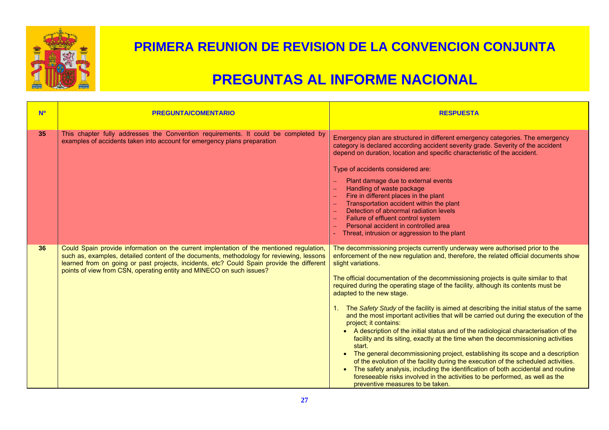

| <b>Nº</b> | <b>PREGUNTA/COMENTARIO</b>                                                                                                                                                                                                                                                                                                                                | <b>RESPUESTA</b>                                                                                                                                                                                                                                                                                                                                                                                                                                                                                                                                                                                                                                                                                                                                                                                                                                                                                                                                                                                                                                                                                                                                                                                        |
|-----------|-----------------------------------------------------------------------------------------------------------------------------------------------------------------------------------------------------------------------------------------------------------------------------------------------------------------------------------------------------------|---------------------------------------------------------------------------------------------------------------------------------------------------------------------------------------------------------------------------------------------------------------------------------------------------------------------------------------------------------------------------------------------------------------------------------------------------------------------------------------------------------------------------------------------------------------------------------------------------------------------------------------------------------------------------------------------------------------------------------------------------------------------------------------------------------------------------------------------------------------------------------------------------------------------------------------------------------------------------------------------------------------------------------------------------------------------------------------------------------------------------------------------------------------------------------------------------------|
| 35        | This chapter fully addresses the Convention requirements. It could be completed by<br>examples of accidents taken into account for emergency plans preparation                                                                                                                                                                                            | Emergency plan are structured in different emergency categories. The emergency<br>category is declared according accident severity grade. Severity of the accident<br>depend on duration, location and specific characteristic of the accident.<br>Type of accidents considered are:<br>Plant damage due to external events<br>Handling of waste package<br>Fire in different places in the plant<br>Transportation accident within the plant<br>Detection of abnormal radiation levels<br>Failure of effluent control system<br>Personal accident in controlled area<br>Threat, intrusion or aggression to the plant                                                                                                                                                                                                                                                                                                                                                                                                                                                                                                                                                                                   |
| 36        | Could Spain provide information on the current implentation of the mentioned regulation,<br>such as, examples, detailed content of the documents, methodology for reviewing, lessons<br>learned from on going or past projects, incidents, etc? Could Spain provide the different<br>points of view from CSN, operating entity and MINECO on such issues? | The decommissioning projects currently underway were authorised prior to the<br>enforcement of the new regulation and, therefore, the related official documents show<br>slight variations.<br>The official documentation of the decommissioning projects is quite similar to that<br>required during the operating stage of the facility, although its contents must be<br>adapted to the new stage.<br>The Safety Study of the facility is aimed at describing the initial status of the same<br>and the most important activities that will be carried out during the execution of the<br>project; it contains:<br>• A description of the initial status and of the radiological characterisation of the<br>facility and its siting, exactly at the time when the decommissioning activities<br>start.<br>• The general decommissioning project, establishing its scope and a description<br>of the evolution of the facility during the execution of the scheduled activities.<br>The safety analysis, including the identification of both accidental and routine<br>$\bullet$<br>foreseeable risks involved in the activities to be performed, as well as the<br>preventive measures to be taken. |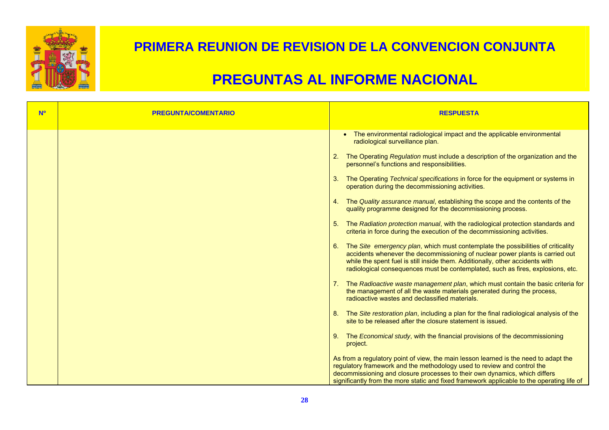

| <b>N<sup>o</sup></b> | <b>PREGUNTA/COMENTARIO</b> | <b>RESPUESTA</b>                                                                                                                                                                                                                                                                                                                                                                                                                                                                                                                                                                                                                                                                                                                                                                                                                                                                                                                                                                                                                                                                                                                                                                                                                                                                                                                                                                                                                              |
|----------------------|----------------------------|-----------------------------------------------------------------------------------------------------------------------------------------------------------------------------------------------------------------------------------------------------------------------------------------------------------------------------------------------------------------------------------------------------------------------------------------------------------------------------------------------------------------------------------------------------------------------------------------------------------------------------------------------------------------------------------------------------------------------------------------------------------------------------------------------------------------------------------------------------------------------------------------------------------------------------------------------------------------------------------------------------------------------------------------------------------------------------------------------------------------------------------------------------------------------------------------------------------------------------------------------------------------------------------------------------------------------------------------------------------------------------------------------------------------------------------------------|
|                      |                            | • The environmental radiological impact and the applicable environmental<br>radiological surveillance plan.<br>2. The Operating Regulation must include a description of the organization and the<br>personnel's functions and responsibilities.<br>The Operating Technical specifications in force for the equipment or systems in<br>3.<br>operation during the decommissioning activities.<br>4. The Quality assurance manual, establishing the scope and the contents of the<br>quality programme designed for the decommissioning process.<br>5. The Radiation protection manual, with the radiological protection standards and<br>criteria in force during the execution of the decommissioning activities.<br>6. The Site emergency plan, which must contemplate the possibilities of criticality<br>accidents whenever the decommissioning of nuclear power plants is carried out<br>while the spent fuel is still inside them. Additionally, other accidents with<br>radiological consequences must be contemplated, such as fires, explosions, etc.<br>7. The Radioactive waste management plan, which must contain the basic criteria for<br>the management of all the waste materials generated during the process,<br>radioactive wastes and declassified materials.<br>8. The Site restoration plan, including a plan for the final radiological analysis of the<br>site to be released after the closure statement is issued. |
|                      |                            | 9. The Economical study, with the financial provisions of the decommissioning<br>project.<br>As from a regulatory point of view, the main lesson learned is the need to adapt the<br>regulatory framework and the methodology used to review and control the<br>decommissioning and closure processes to their own dynamics, which differs<br>significantly from the more static and fixed framework applicable to the operating life of                                                                                                                                                                                                                                                                                                                                                                                                                                                                                                                                                                                                                                                                                                                                                                                                                                                                                                                                                                                                      |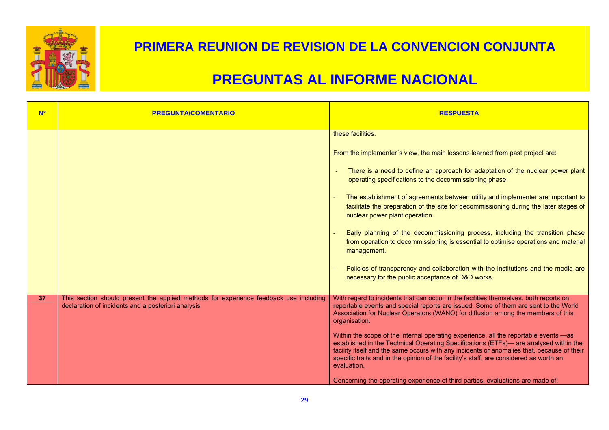

| <b>N<sup>o</sup></b> | <b>PREGUNTA/COMENTARIO</b>                                                                                                                   | <b>RESPUESTA</b>                                                                                                                                                                                                                                                                                                                                                                                                                                                                                                                                                                                                                                                                                                                                                                               |
|----------------------|----------------------------------------------------------------------------------------------------------------------------------------------|------------------------------------------------------------------------------------------------------------------------------------------------------------------------------------------------------------------------------------------------------------------------------------------------------------------------------------------------------------------------------------------------------------------------------------------------------------------------------------------------------------------------------------------------------------------------------------------------------------------------------------------------------------------------------------------------------------------------------------------------------------------------------------------------|
|                      |                                                                                                                                              | these facilities.<br>From the implementer's view, the main lessons learned from past project are:<br>There is a need to define an approach for adaptation of the nuclear power plant<br>operating specifications to the decommissioning phase.<br>The establishment of agreements between utility and implementer are important to<br>facilitate the preparation of the site for decommissioning during the later stages of<br>nuclear power plant operation.<br>Early planning of the decommissioning process, including the transition phase<br>from operation to decommissioning is essential to optimise operations and material<br>management.<br>Policies of transparency and collaboration with the institutions and the media are<br>necessary for the public acceptance of D&D works. |
| 37                   | This section should present the applied methods for experience feedback use including<br>declaration of incidents and a posteriori analysis. | With regard to incidents that can occur in the facilities themselves, both reports on<br>reportable events and special reports are issued. Some of them are sent to the World<br>Association for Nuclear Operators (WANO) for diffusion among the members of this<br>organisation.<br>Within the scope of the internal operating experience, all the reportable events -as<br>established in the Technical Operating Specifications (ETFs)— are analysed within the<br>facility itself and the same occurs with any incidents or anomalies that, because of their<br>specific traits and in the opinion of the facility's staff, are considered as worth an<br>evaluation.<br>Concerning the operating experience of third parties, evaluations are made of:                                   |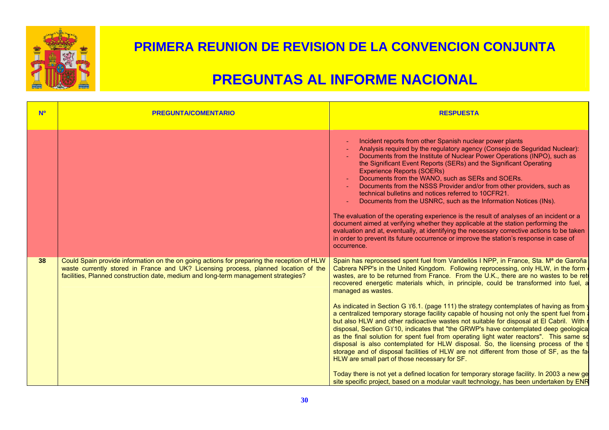

| <b>No</b> | <b>PREGUNTA/COMENTARIO</b>                                                                                                                                                                                                                                              | <b>RESPUESTA</b>                                                                                                                                                                                                                                                                                                                                                                                                                                                                                                                                                                                                                                                                                                                                                                                                                                                                                                                                                                                                                                                                                                                                                                                                                                                                              |
|-----------|-------------------------------------------------------------------------------------------------------------------------------------------------------------------------------------------------------------------------------------------------------------------------|-----------------------------------------------------------------------------------------------------------------------------------------------------------------------------------------------------------------------------------------------------------------------------------------------------------------------------------------------------------------------------------------------------------------------------------------------------------------------------------------------------------------------------------------------------------------------------------------------------------------------------------------------------------------------------------------------------------------------------------------------------------------------------------------------------------------------------------------------------------------------------------------------------------------------------------------------------------------------------------------------------------------------------------------------------------------------------------------------------------------------------------------------------------------------------------------------------------------------------------------------------------------------------------------------|
|           |                                                                                                                                                                                                                                                                         | Incident reports from other Spanish nuclear power plants<br>Analysis required by the regulatory agency (Consejo de Seguridad Nuclear):<br>Documents from the Institute of Nuclear Power Operations (INPO), such as<br>the Significant Event Reports (SERs) and the Significant Operating<br><b>Experience Reports (SOERs)</b><br>Documents from the WANO, such as SERs and SOERs.<br>Documents from the NSSS Provider and/or from other providers, such as<br>technical bulletins and notices referred to 10CFR21.<br>Documents from the USNRC, such as the Information Notices (INs).<br>The evaluation of the operating experience is the result of analyses of an incident or a<br>document aimed at verifying whether they applicable at the station performing the<br>evaluation and at, eventually, at identifying the necessary corrective actions to be taken<br>in order to prevent its future occurrence or improve the station's response in case of<br>occurrence.                                                                                                                                                                                                                                                                                                                |
| 38        | Could Spain provide information on the on going actions for preparing the reception of HLW<br>waste currently stored in France and UK? Licensing process, planned location of the<br>facilities, Planned construction date, medium and long-term management strategies? | Spain has reprocessed spent fuel from Vandellós I NPP, in France, Sta. M <sup>a</sup> de Garoña<br>Cabrera NPP's in the United Kingdom. Following reprocessing, only HLW, in the form<br>wastes, are to be returned from France. From the U.K., there are no wastes to be ret<br>recovered energetic materials which, in principle, could be transformed into fuel, a<br>managed as wastes.<br>As indicated in Section G Y6.1. (page 111) the strategy contemplates of having as from y<br>a centralized temporary storage facility capable of housing not only the spent fuel from a<br>but also HLW and other radioactive wastes not suitable for disposal at El Cabril. With r<br>disposal, Section GY10, indicates that "the GRWP's have contemplated deep geologica<br>as the final solution for spent fuel from operating light water reactors". This same so<br>disposal is also contemplated for HLW disposal. So, the licensing process of the t<br>storage and of disposal facilities of HLW are not different from those of SF, as the fa<br>HLW are small part of those necessary for SF.<br>Today there is not yet a defined location for temporary storage facility. In 2003 a new ge<br>site specific project, based on a modular vault technology, has been undertaken by ENR |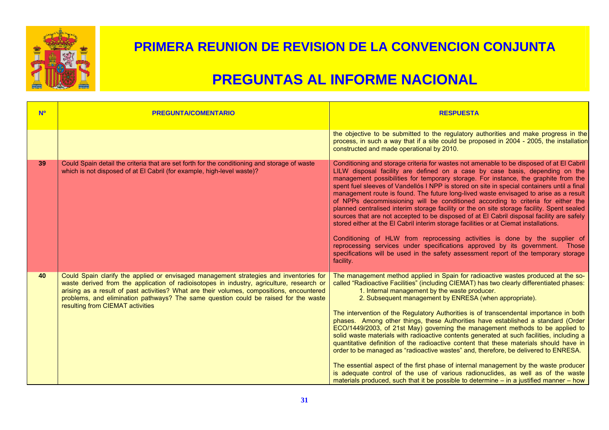

| <b>No</b> | <b>PREGUNTA/COMENTARIO</b>                                                                                                                                                                                                                                                                                                                                                                                  | <b>RESPUESTA</b>                                                                                                                                                                                                                                                                                                                                                                                                                                                                                                                                                                                                                                                                                                                                                                                                                                                                                                                                                                                                                                                                                              |
|-----------|-------------------------------------------------------------------------------------------------------------------------------------------------------------------------------------------------------------------------------------------------------------------------------------------------------------------------------------------------------------------------------------------------------------|---------------------------------------------------------------------------------------------------------------------------------------------------------------------------------------------------------------------------------------------------------------------------------------------------------------------------------------------------------------------------------------------------------------------------------------------------------------------------------------------------------------------------------------------------------------------------------------------------------------------------------------------------------------------------------------------------------------------------------------------------------------------------------------------------------------------------------------------------------------------------------------------------------------------------------------------------------------------------------------------------------------------------------------------------------------------------------------------------------------|
|           |                                                                                                                                                                                                                                                                                                                                                                                                             | the objective to be submitted to the regulatory authorities and make progress in the<br>process, in such a way that if a site could be proposed in 2004 - 2005, the installation<br>constructed and made operational by 2010.                                                                                                                                                                                                                                                                                                                                                                                                                                                                                                                                                                                                                                                                                                                                                                                                                                                                                 |
| 39        | Could Spain detail the criteria that are set forth for the conditioning and storage of waste<br>which is not disposed of at El Cabril (for example, high-level waste)?                                                                                                                                                                                                                                      | Conditioning and storage criteria for wastes not amenable to be disposed of at El Cabril<br>LILW disposal facility are defined on a case by case basis, depending on the<br>management possibilities for temporary storage. For instance, the graphite from the<br>spent fuel sleeves of Vandellós I NPP is stored on site in special containers until a final<br>management route is found. The future long-lived waste envisaged to arise as a result<br>of NPPs decommissioning will be conditioned according to criteria for either the<br>planned centralised interim storage facility or the on site storage facility. Spent sealed<br>sources that are not accepted to be disposed of at El Cabril disposal facility are safely<br>stored either at the El Cabril interim storage facilities or at Ciemat installations.<br>Conditioning of HLW from reprocessing activities is done by the supplier of<br>reprocessing services under specifications approved by its government. Those<br>specifications will be used in the safety assessment report of the temporary storage<br>facility.           |
| 40        | Could Spain clarify the applied or envisaged management strategies and inventories for<br>waste derived from the application of radioisotopes in industry, agriculture, research or<br>arising as a result of past activities? What are their volumes, compositions, encountered<br>problems, and elimination pathways? The same question could be raised for the waste<br>resulting from CIEMAT activities | The management method applied in Spain for radioactive wastes produced at the so-<br>called "Radioactive Facilities" (including CIEMAT) has two clearly differentiated phases:<br>1. Internal management by the waste producer.<br>2. Subsequent management by ENRESA (when appropriate).<br>The intervention of the Regulatory Authorities is of transcendental importance in both<br>phases. Among other things, these Authorities have established a standard (Order<br>ECO/1449/2003, of 21st May) governing the management methods to be applied to<br>solid waste materials with radioactive contents generated at such facilities, including a<br>quantitative definition of the radioactive content that these materials should have in<br>order to be managed as "radioactive wastes" and, therefore, be delivered to ENRESA.<br>The essential aspect of the first phase of internal management by the waste producer<br>is adequate control of the use of various radionuclides, as well as of the waste<br>materials produced, such that it be possible to determine – in a justified manner – how |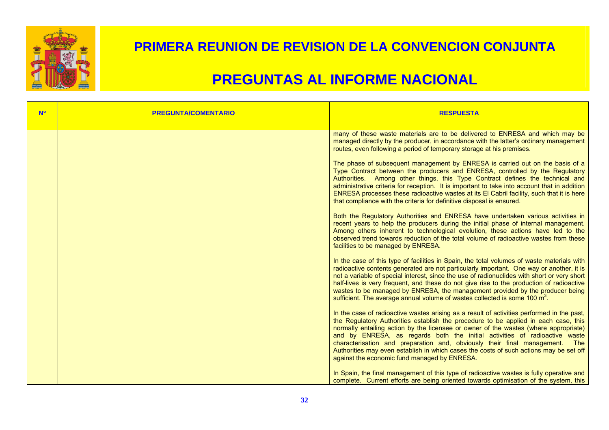

| <b>N<sup>o</sup></b> | <b>PREGUNTA/COMENTARIO</b> | <b>RESPUESTA</b>                                                                                                                                                                                                                                                                                                                                                                                                                                                                                                                                                                                                                                                                                                                                                                                                                                                                                                                                                                                                                                                                                                                                                     |
|----------------------|----------------------------|----------------------------------------------------------------------------------------------------------------------------------------------------------------------------------------------------------------------------------------------------------------------------------------------------------------------------------------------------------------------------------------------------------------------------------------------------------------------------------------------------------------------------------------------------------------------------------------------------------------------------------------------------------------------------------------------------------------------------------------------------------------------------------------------------------------------------------------------------------------------------------------------------------------------------------------------------------------------------------------------------------------------------------------------------------------------------------------------------------------------------------------------------------------------|
|                      |                            | many of these waste materials are to be delivered to ENRESA and which may be<br>managed directly by the producer, in accordance with the latter's ordinary management<br>routes, even following a period of temporary storage at his premises.<br>The phase of subsequent management by ENRESA is carried out on the basis of a<br>Type Contract between the producers and ENRESA, controlled by the Regulatory<br>Authorities. Among other things, this Type Contract defines the technical and<br>administrative criteria for reception. It is important to take into account that in addition<br>ENRESA processes these radioactive wastes at its El Cabril facility, such that it is here<br>that compliance with the criteria for definitive disposal is ensured.<br>Both the Regulatory Authorities and ENRESA have undertaken various activities in<br>recent years to help the producers during the initial phase of internal management.<br>Among others inherent to technological evolution, these actions have led to the<br>observed trend towards reduction of the total volume of radioactive wastes from these<br>facilities to be managed by ENRESA. |
|                      |                            | In the case of this type of facilities in Spain, the total volumes of waste materials with<br>radioactive contents generated are not particularly important. One way or another, it is<br>not a variable of special interest, since the use of radionuclides with short or very short<br>half-lives is very frequent, and these do not give rise to the production of radioactive<br>wastes to be managed by ENRESA, the management provided by the producer being<br>sufficient. The average annual volume of wastes collected is some 100 m <sup>3</sup> .<br>In the case of radioactive wastes arising as a result of activities performed in the past,<br>the Regulatory Authorities establish the procedure to be applied in each case, this<br>normally entailing action by the licensee or owner of the wastes (where appropriate)<br>and by ENRESA, as regards both the initial activities of radioactive waste<br>characterisation and preparation and, obviously their final management. The<br>Authorities may even establish in which cases the costs of such actions may be set off<br>against the economic fund managed by ENRESA.                     |
|                      |                            | In Spain, the final management of this type of radioactive wastes is fully operative and<br>complete. Current efforts are being oriented towards optimisation of the system, this                                                                                                                                                                                                                                                                                                                                                                                                                                                                                                                                                                                                                                                                                                                                                                                                                                                                                                                                                                                    |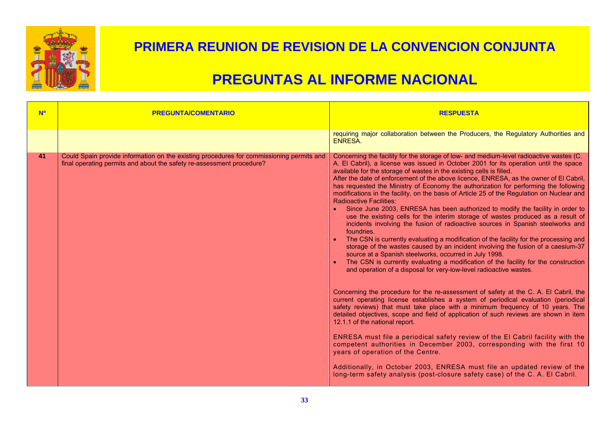

| <b>No</b> | <b>PREGUNTA/COMENTARIO</b>                                                                                                                                        | <b>RESPUESTA</b>                                                                                                                                                                                                                                                                                                                                                                                                                                                                                                                                                                                                                                                                                                                                                                                                                                                                                                                                                                                                                                                                                                                                                                                                                                      |
|-----------|-------------------------------------------------------------------------------------------------------------------------------------------------------------------|-------------------------------------------------------------------------------------------------------------------------------------------------------------------------------------------------------------------------------------------------------------------------------------------------------------------------------------------------------------------------------------------------------------------------------------------------------------------------------------------------------------------------------------------------------------------------------------------------------------------------------------------------------------------------------------------------------------------------------------------------------------------------------------------------------------------------------------------------------------------------------------------------------------------------------------------------------------------------------------------------------------------------------------------------------------------------------------------------------------------------------------------------------------------------------------------------------------------------------------------------------|
|           |                                                                                                                                                                   | requiring major collaboration between the Producers, the Regulatory Authorities and<br>ENRESA.                                                                                                                                                                                                                                                                                                                                                                                                                                                                                                                                                                                                                                                                                                                                                                                                                                                                                                                                                                                                                                                                                                                                                        |
| 41        | Could Spain provide information on the existing procedures for commissioning permits and<br>final operating permits and about the safety re-assessment procedure? | Concerning the facility for the storage of low- and medium-level radioactive wastes (C.<br>A. El Cabril), a license was issued in October 2001 for its operation until the space<br>available for the storage of wastes in the existing cells is filled.<br>After the date of enforcement of the above licence, ENRESA, as the owner of El Cabril,<br>has requested the Ministry of Economy the authorization for performing the following<br>modifications in the facility, on the basis of Article 25 of the Regulation on Nuclear and<br><b>Radioactive Facilities:</b><br>Since June 2003, ENRESA has been authorized to modify the facility in order to<br>use the existing cells for the interim storage of wastes produced as a result of<br>incidents involving the fusion of radioactive sources in Spanish steelworks and<br>foundries.<br>The CSN is currently evaluating a modification of the facility for the processing and<br>storage of the wastes caused by an incident involving the fusion of a caesium-37<br>source at a Spanish steelworks, occurred in July 1998.<br>The CSN is currently evaluating a modification of the facility for the construction<br>and operation of a disposal for very-low-level radioactive wastes. |
|           |                                                                                                                                                                   | Concerning the procedure for the re-assessment of safety at the C. A. El Cabril, the<br>current operating license establishes a system of periodical evaluation (periodical<br>safety reviews) that must take place with a minimum frequency of 10 years. The<br>detailed objectives, scope and field of application of such reviews are shown in item<br>12.1.1 of the national report.<br>ENRESA must file a periodical safety review of the El Cabril facility with the<br>competent authorities in December 2003, corresponding with the first 10<br>years of operation of the Centre.<br>Additionally, in October 2003, ENRESA must file an updated review of the<br>long-term safety analysis (post-closure safety case) of the C. A. El Cabril.                                                                                                                                                                                                                                                                                                                                                                                                                                                                                                |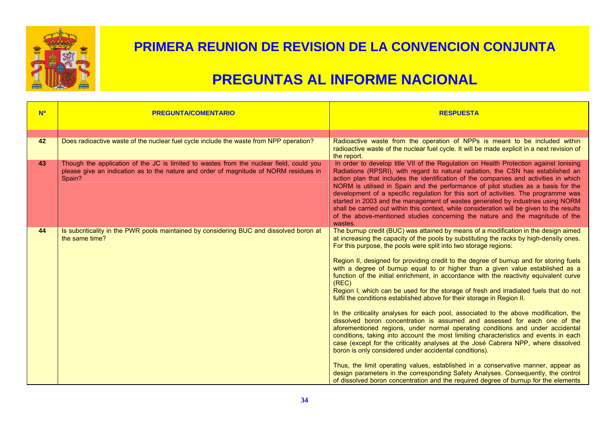

| <b>Nº</b> | <b>PREGUNTA/COMENTARIO</b>                                                                                                                                                                 | <b>RESPUESTA</b>                                                                                                                                                                                                                                                                                                                                                                                                                                                                                                                                                                                                                                                                                                                                                                                                                                                                                                                                                                                                                                                                                                                                                                                                                                                                                                                                                                                                                                                      |
|-----------|--------------------------------------------------------------------------------------------------------------------------------------------------------------------------------------------|-----------------------------------------------------------------------------------------------------------------------------------------------------------------------------------------------------------------------------------------------------------------------------------------------------------------------------------------------------------------------------------------------------------------------------------------------------------------------------------------------------------------------------------------------------------------------------------------------------------------------------------------------------------------------------------------------------------------------------------------------------------------------------------------------------------------------------------------------------------------------------------------------------------------------------------------------------------------------------------------------------------------------------------------------------------------------------------------------------------------------------------------------------------------------------------------------------------------------------------------------------------------------------------------------------------------------------------------------------------------------------------------------------------------------------------------------------------------------|
|           |                                                                                                                                                                                            |                                                                                                                                                                                                                                                                                                                                                                                                                                                                                                                                                                                                                                                                                                                                                                                                                                                                                                                                                                                                                                                                                                                                                                                                                                                                                                                                                                                                                                                                       |
| 42        | Does radioactive waste of the nuclear fuel cycle include the waste from NPP operation?                                                                                                     | Radioactive waste from the operation of NPPs is meant to be included within<br>radioactive waste of the nuclear fuel cycle. It will be made explicit in a next revision of<br>the report.                                                                                                                                                                                                                                                                                                                                                                                                                                                                                                                                                                                                                                                                                                                                                                                                                                                                                                                                                                                                                                                                                                                                                                                                                                                                             |
| 43        | Though the application of the JC is limited to wastes from the nuclear field, could you<br>please give an indication as to the nature and order of magnitude of NORM residues in<br>Spain? | In order to develop title VII of the Regulation on Health Protection against Ionising<br>Radiations (RPSRI), with regard to natural radiation, the CSN has established an<br>action plan that includes the identification of the companies and activities in which<br>NORM is utilised in Spain and the performance of pilot studies as a basis for the<br>development of a specific regulation for this sort of activities. The programme was<br>started in 2003 and the management of wastes generated by industries using NORM<br>shall be carried out within this context, while consideration will be given to the results<br>of the above-mentioned studies concerning the nature and the magnitude of the<br>wastes.                                                                                                                                                                                                                                                                                                                                                                                                                                                                                                                                                                                                                                                                                                                                           |
| 44        | Is subcriticality in the PWR pools maintained by considering BUC and dissolved boron at<br>the same time?                                                                                  | The burnup credit (BUC) was attained by means of a modification in the design aimed<br>at increasing the capacity of the pools by substituting the racks by high-density ones.<br>For this purpose, the pools were split into two storage regions:<br>Region II, designed for providing credit to the degree of burnup and for storing fuels<br>with a degree of burnup equal to or higher than a given value established as a<br>function of the initial enrichment, in accordance with the reactivity equivalent curve<br>(REC)<br>Region I, which can be used for the storage of fresh and irradiated fuels that do not<br>fulfil the conditions established above for their storage in Region II.<br>In the criticality analyses for each pool, associated to the above modification, the<br>dissolved boron concentration is assumed and assessed for each one of the<br>aforementioned regions, under normal operating conditions and under accidental<br>conditions, taking into account the most limiting characteristics and events in each<br>case (except for the criticality analyses at the José Cabrera NPP, where dissolved<br>boron is only considered under accidental conditions).<br>Thus, the limit operating values, established in a conservative manner, appear as<br>design parameters in the corresponding Safety Analyses. Consequently, the control<br>of dissolved boron concentration and the required degree of burnup for the elements |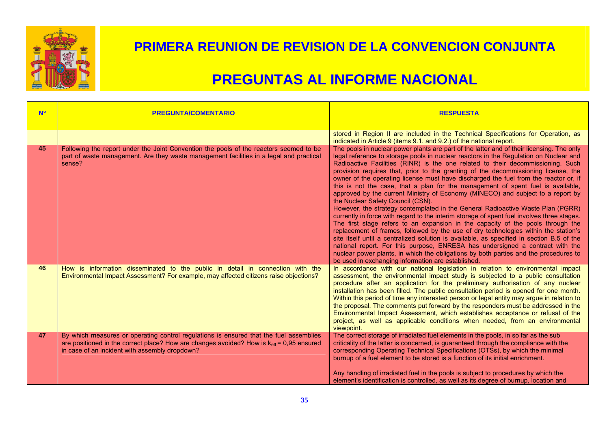

| <b>No</b> | <b>PREGUNTA/COMENTARIO</b>                                                                                                                                                                                                                       | <b>RESPUESTA</b>                                                                                                                                                                                                                                                                                                                                                                                                                                                                                                                                                                                                                                                                                                                                                                                                                                                                                                                                                                                                                                                                                                                                                                                                                                                                                                                                       |
|-----------|--------------------------------------------------------------------------------------------------------------------------------------------------------------------------------------------------------------------------------------------------|--------------------------------------------------------------------------------------------------------------------------------------------------------------------------------------------------------------------------------------------------------------------------------------------------------------------------------------------------------------------------------------------------------------------------------------------------------------------------------------------------------------------------------------------------------------------------------------------------------------------------------------------------------------------------------------------------------------------------------------------------------------------------------------------------------------------------------------------------------------------------------------------------------------------------------------------------------------------------------------------------------------------------------------------------------------------------------------------------------------------------------------------------------------------------------------------------------------------------------------------------------------------------------------------------------------------------------------------------------|
|           |                                                                                                                                                                                                                                                  | stored in Region II are included in the Technical Specifications for Operation, as<br>indicated in Article 9 (items 9.1. and 9.2.) of the national report.                                                                                                                                                                                                                                                                                                                                                                                                                                                                                                                                                                                                                                                                                                                                                                                                                                                                                                                                                                                                                                                                                                                                                                                             |
| 45        | Following the report under the Joint Convention the pools of the reactors seemed to be<br>part of waste management. Are they waste management facilities in a legal and practical<br>sense?                                                      | The pools in nuclear power plants are part of the latter and of their licensing. The only<br>legal reference to storage pools in nuclear reactors in the Regulation on Nuclear and<br>Radioactive Facilities (RINR) is the one related to their decommissioning. Such<br>provision requires that, prior to the granting of the decommissioning license, the<br>owner of the operating license must have discharged the fuel from the reactor or, if<br>this is not the case, that a plan for the management of spent fuel is available,<br>approved by the current Ministry of Economy (MINECO) and subject to a report by<br>the Nuclear Safety Council (CSN).<br>However, the strategy contemplated in the General Radioactive Waste Plan (PGRR)<br>currently in force with regard to the interim storage of spent fuel involves three stages.<br>The first stage refers to an expansion in the capacity of the pools through the<br>replacement of frames, followed by the use of dry technologies within the station's<br>site itself until a centralized solution is available, as specified in section B.5 of the<br>national report. For this purpose, ENRESA has undersigned a contract with the<br>nuclear power plants, in which the obligations by both parties and the procedures to<br>be used in exchanging information are established. |
| 46        | How is information disseminated to the public in detail in connection with the<br>Environmental Impact Assessment? For example, may affected citizens raise objections?                                                                          | In accordance with our national legislation in relation to environmental impact<br>assessment, the environmental impact study is subjected to a public consultation<br>procedure after an application for the preliminary authorisation of any nuclear<br>installation has been filled. The public consultation period is opened for one month.<br>Within this period of time any interested person or legal entity may argue in relation to<br>the proposal. The comments put forward by the responders must be addressed in the<br>Environmental Impact Assessment, which establishes acceptance or refusal of the<br>project, as well as applicable conditions when needed, from an environmental<br>viewpoint.                                                                                                                                                                                                                                                                                                                                                                                                                                                                                                                                                                                                                                     |
| 47        | By which measures or operating control regulations is ensured that the fuel assemblies<br>are positioned in the correct place? How are changes avoided? How is $k_{\text{eff}}$ = 0,95 ensured<br>in case of an incident with assembly dropdown? | The correct storage of irradiated fuel elements in the pools, in so far as the sub<br>criticality of the latter is concerned, is guaranteed through the compliance with the<br>corresponding Operating Technical Specifications (OTSs), by which the minimal<br>burnup of a fuel element to be stored is a function of its initial enrichment.<br>Any handling of irradiated fuel in the pools is subject to procedures by which the<br>element's identification is controlled, as well as its degree of burnup, location and                                                                                                                                                                                                                                                                                                                                                                                                                                                                                                                                                                                                                                                                                                                                                                                                                          |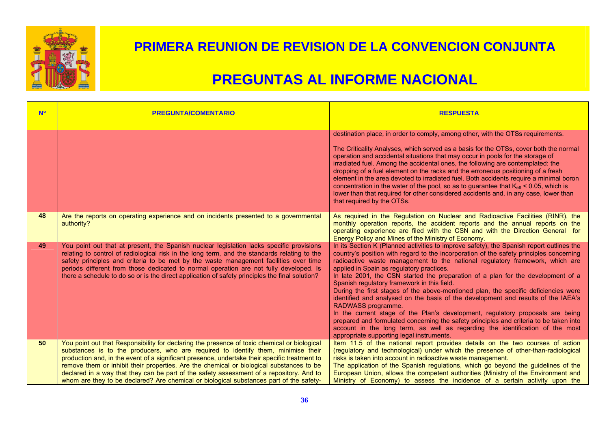

| <b>N<sup>o</sup></b> | <b>PREGUNTA/COMENTARIO</b>                                                                                                                                                                                                                                                                                                                                                                                                                                                                                                                                            | <b>RESPUESTA</b>                                                                                                                                                                                                                                                                                                                                                                                                                                                                                                                                                                                                                                                                                                                                                                                                                                                                                                                                                |
|----------------------|-----------------------------------------------------------------------------------------------------------------------------------------------------------------------------------------------------------------------------------------------------------------------------------------------------------------------------------------------------------------------------------------------------------------------------------------------------------------------------------------------------------------------------------------------------------------------|-----------------------------------------------------------------------------------------------------------------------------------------------------------------------------------------------------------------------------------------------------------------------------------------------------------------------------------------------------------------------------------------------------------------------------------------------------------------------------------------------------------------------------------------------------------------------------------------------------------------------------------------------------------------------------------------------------------------------------------------------------------------------------------------------------------------------------------------------------------------------------------------------------------------------------------------------------------------|
|                      |                                                                                                                                                                                                                                                                                                                                                                                                                                                                                                                                                                       | destination place, in order to comply, among other, with the OTSs requirements.<br>The Criticality Analyses, which served as a basis for the OTSs, cover both the normal<br>operation and accidental situations that may occur in pools for the storage of<br>irradiated fuel. Among the accidental ones, the following are contemplated: the<br>dropping of a fuel element on the racks and the erroneous positioning of a fresh<br>element in the area devoted to irradiated fuel. Both accidents require a minimal boron<br>concentration in the water of the pool, so as to guarantee that $K_{\text{eff}}$ < 0.05, which is<br>lower than that required for other considered accidents and, in any case, lower than<br>that required by the OTSs.                                                                                                                                                                                                          |
| 48                   | Are the reports on operating experience and on incidents presented to a governmental<br>authority?                                                                                                                                                                                                                                                                                                                                                                                                                                                                    | As required in the Regulation on Nuclear and Radioactive Facilities (RINR), the<br>monthly operation reports, the accident reports and the annual reports on the<br>operating experience are filed with the CSN and with the Direction General for<br>Energy Policy and Mines of the Ministry of Economy.                                                                                                                                                                                                                                                                                                                                                                                                                                                                                                                                                                                                                                                       |
| 49                   | You point out that at present, the Spanish nuclear legislation lacks specific provisions<br>relating to control of radiological risk in the long term, and the standards relating to the<br>safety principles and criteria to be met by the waste management facilities over time<br>periods different from those dedicated to normal operation are not fully developed. Is<br>there a schedule to do so or is the direct application of safety principles the final solution?                                                                                        | In its Section K (Planned activities to improve safety), the Spanish report outlines the<br>country's position with regard to the incorporation of the safety principles concerning<br>radioactive waste management to the national regulatory framework, which are<br>applied in Spain as regulatory practices.<br>In late 2001, the CSN started the preparation of a plan for the development of a<br>Spanish regulatory framework in this field.<br>During the first stages of the above-mentioned plan, the specific deficiencies were<br>identified and analysed on the basis of the development and results of the IAEA's<br>RADWASS programme.<br>In the current stage of the Plan's development, regulatory proposals are being<br>prepared and formulated concerning the safety principles and criteria to be taken into<br>account in the long term, as well as regarding the identification of the most<br>appropriate supporting legal instruments. |
| 50                   | You point out that Responsibility for declaring the presence of toxic chemical or biological<br>substances is to the producers, who are required to identify them, minimise their<br>production and, in the event of a significant presence, undertake their specific treatment to<br>remove them or inhibit their properties. Are the chemical or biological substances to be<br>declared in a way that they can be part of the safety assessment of a repository. And to<br>whom are they to be declared? Are chemical or biological substances part of the safety- | Item 11.5 of the national report provides details on the two courses of action<br>(regulatory and technological) under which the presence of other-than-radiological<br>risks is taken into account in radioactive waste management.<br>The application of the Spanish regulations, which go beyond the guidelines of the<br>European Union, allows the competent authorities (Ministry of the Environment and<br>Ministry of Economy) to assess the incidence of a certain activity upon the                                                                                                                                                                                                                                                                                                                                                                                                                                                                   |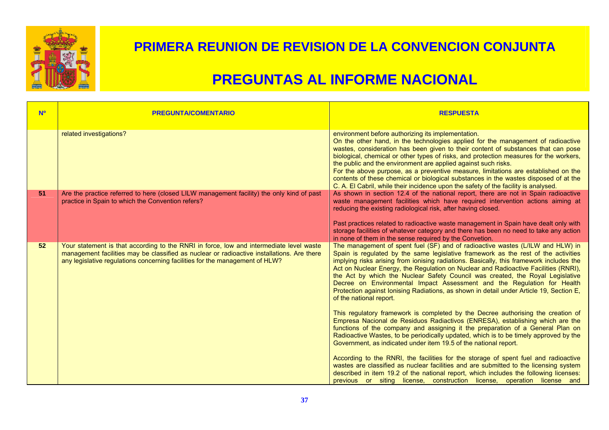

| <b>No</b> | <b>PREGUNTA/COMENTARIO</b>                                                                                                                                                                                                                                            | <b>RESPUESTA</b>                                                                                                                                                                                                                                                                                                                                                                                                                                                                                                                                                                                                                                             |
|-----------|-----------------------------------------------------------------------------------------------------------------------------------------------------------------------------------------------------------------------------------------------------------------------|--------------------------------------------------------------------------------------------------------------------------------------------------------------------------------------------------------------------------------------------------------------------------------------------------------------------------------------------------------------------------------------------------------------------------------------------------------------------------------------------------------------------------------------------------------------------------------------------------------------------------------------------------------------|
|           | related investigations?                                                                                                                                                                                                                                               | environment before authorizing its implementation.<br>On the other hand, in the technologies applied for the management of radioactive<br>wastes, consideration has been given to their content of substances that can pose<br>biological, chemical or other types of risks, and protection measures for the workers,<br>the public and the environment are applied against such risks.<br>For the above purpose, as a preventive measure, limitations are established on the<br>contents of these chemical or biological substances in the wastes disposed of at the<br>C. A. El Cabril, while their incidence upon the safety of the facility is analysed. |
| 51        | Are the practice referred to here (closed LILW management facility) the only kind of past<br>practice in Spain to which the Convention refers?                                                                                                                        | As shown in section 12.4 of the national report, there are not in Spain radioactive<br>waste management facilities which have required intervention actions aiming at<br>reducing the existing radiological risk, after having closed.<br>Past practices related to radioactive waste management in Spain have dealt only with<br>storage facilities of whatever category and there has been no need to take any action<br>in none of them in the sense required by the Convetion.                                                                                                                                                                           |
| 52        | Your statement is that according to the RNRI in force, low and intermediate level waste<br>management facilities may be classified as nuclear or radioactive installations. Are there<br>any legislative regulations concerning facilities for the management of HLW? | The management of spent fuel (SF) and of radioactive wastes (L/ILW and HLW) in<br>Spain is regulated by the same legislative framework as the rest of the activities<br>implying risks arising from ionising radiations. Basically, this framework includes the<br>Act on Nuclear Energy, the Regulation on Nuclear and Radioactive Facilities (RNRI),<br>the Act by which the Nuclear Safety Council was created, the Royal Legislative<br>Decree on Environmental Impact Assessment and the Regulation for Health<br>Protection against Ionising Radiations, as shown in detail under Article 19, Section E,<br>of the national report.                    |
|           |                                                                                                                                                                                                                                                                       | This regulatory framework is completed by the Decree authorising the creation of<br>Empresa Nacional de Residuos Radiactivos (ENRESA), establishing which are the<br>functions of the company and assigning it the preparation of a General Plan on<br>Radioactive Wastes, to be periodically updated, which is to be timely approved by the<br>Government, as indicated under item 19.5 of the national report.                                                                                                                                                                                                                                             |
|           |                                                                                                                                                                                                                                                                       | According to the RNRI, the facilities for the storage of spent fuel and radioactive<br>wastes are classified as nuclear facilities and are submitted to the licensing system<br>described in item 19.2 of the national report, which includes the following licenses:<br>previous or siting license, construction license, operation license and                                                                                                                                                                                                                                                                                                             |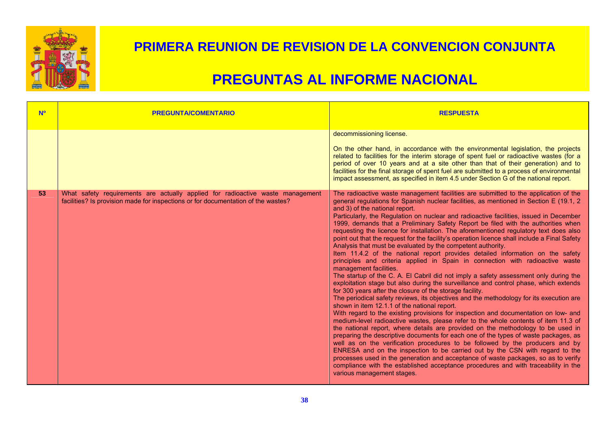

| <b>NO</b> | <b>PREGUNTA/COMENTARIO</b>                                                                                                                                          | <b>RESPUESTA</b>                                                                                                                                                                                                                                                                                                                                                                                                                                                                                                                                                                                                                                                                                                                                                                                                                                                                                                                                                                                                                                                                                                                                                                                                                                                                                                                                                                                                                                                                                                                                                                                                                                                                                                                                                                                                                                                                                                                                                                |
|-----------|---------------------------------------------------------------------------------------------------------------------------------------------------------------------|---------------------------------------------------------------------------------------------------------------------------------------------------------------------------------------------------------------------------------------------------------------------------------------------------------------------------------------------------------------------------------------------------------------------------------------------------------------------------------------------------------------------------------------------------------------------------------------------------------------------------------------------------------------------------------------------------------------------------------------------------------------------------------------------------------------------------------------------------------------------------------------------------------------------------------------------------------------------------------------------------------------------------------------------------------------------------------------------------------------------------------------------------------------------------------------------------------------------------------------------------------------------------------------------------------------------------------------------------------------------------------------------------------------------------------------------------------------------------------------------------------------------------------------------------------------------------------------------------------------------------------------------------------------------------------------------------------------------------------------------------------------------------------------------------------------------------------------------------------------------------------------------------------------------------------------------------------------------------------|
|           |                                                                                                                                                                     | decommissioning license.<br>On the other hand, in accordance with the environmental legislation, the projects<br>related to facilities for the interim storage of spent fuel or radioactive wastes (for a<br>period of over 10 years and at a site other than that of their generation) and to<br>facilities for the final storage of spent fuel are submitted to a process of environmental<br>impact assessment, as specified in item 4.5 under Section G of the national report.                                                                                                                                                                                                                                                                                                                                                                                                                                                                                                                                                                                                                                                                                                                                                                                                                                                                                                                                                                                                                                                                                                                                                                                                                                                                                                                                                                                                                                                                                             |
| 53        | What safety requirements are actually applied for radioactive waste management<br>facilities? Is provision made for inspections or for documentation of the wastes? | The radioactive waste management facilities are submitted to the application of the<br>general regulations for Spanish nuclear facilities, as mentioned in Section E (19.1, 2)<br>and 3) of the national report.<br>Particularly, the Regulation on nuclear and radioactive facilities, issued in December<br>1999, demands that a Preliminary Safety Report be filed with the authorities when<br>requesting the licence for installation. The aforementioned regulatory text does also<br>point out that the request for the facility's operation licence shall include a Final Safety<br>Analysis that must be evaluated by the competent authority.<br>Item 11.4.2 of the national report provides detailed information on the safety<br>principles and criteria applied in Spain in connection with radioactive waste<br>management facilities.<br>The startup of the C. A. El Cabril did not imply a safety assessment only during the<br>exploitation stage but also during the surveillance and control phase, which extends<br>for 300 years after the closure of the storage facility.<br>The periodical safety reviews, its objectives and the methodology for its execution are<br>shown in item 12.1.1 of the national report.<br>With regard to the existing provisions for inspection and documentation on low- and<br>medium-level radioactive wastes, please refer to the whole contents of item 11.3 of<br>the national report, where details are provided on the methodology to be used in<br>preparing the descriptive documents for each one of the types of waste packages, as<br>well as on the verification procedures to be followed by the producers and by<br>ENRESA and on the inspection to be carried out by the CSN with regard to the<br>processes used in the generation and acceptance of waste packages, so as to verify<br>compliance with the established acceptance procedures and with traceability in the<br>various management stages. |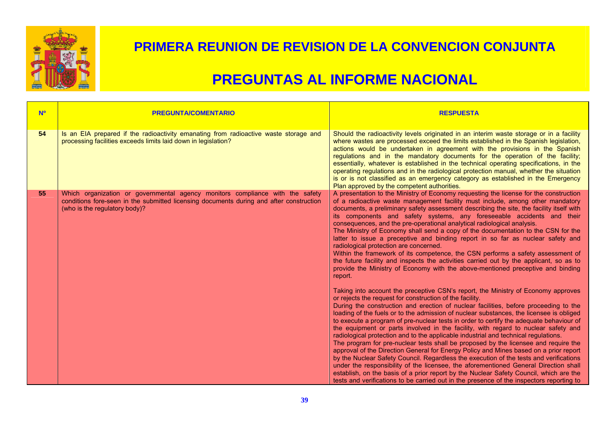

| N <sup>o</sup> | <b>PREGUNTA/COMENTARIO</b>                                                                                                                                                                                | <b>RESPUESTA</b>                                                                                                                                                                                                                                                                                                                                                                                                                                                                                                                                                                                                                                                                                                                                                                                                                                                                                                                                                                                                                                                                                                                                                 |
|----------------|-----------------------------------------------------------------------------------------------------------------------------------------------------------------------------------------------------------|------------------------------------------------------------------------------------------------------------------------------------------------------------------------------------------------------------------------------------------------------------------------------------------------------------------------------------------------------------------------------------------------------------------------------------------------------------------------------------------------------------------------------------------------------------------------------------------------------------------------------------------------------------------------------------------------------------------------------------------------------------------------------------------------------------------------------------------------------------------------------------------------------------------------------------------------------------------------------------------------------------------------------------------------------------------------------------------------------------------------------------------------------------------|
| 54             | Is an EIA prepared if the radioactivity emanating from radioactive waste storage and<br>processing facilities exceeds limits laid down in legislation?                                                    | Should the radioactivity levels originated in an interim waste storage or in a facility<br>where wastes are processed exceed the limits established in the Spanish legislation,<br>actions would be undertaken in agreement with the provisions in the Spanish<br>regulations and in the mandatory documents for the operation of the facility;<br>essentially, whatever is established in the technical operating specifications, in the<br>operating regulations and in the radiological protection manual, whether the situation<br>is or is not classified as an emergency category as established in the Emergency<br>Plan approved by the competent authorities.                                                                                                                                                                                                                                                                                                                                                                                                                                                                                           |
| 55             | Which organization or governmental agency monitors compliance with the safety<br>conditions fore-seen in the submitted licensing documents during and after construction<br>(who is the regulatory body)? | A presentation to the Ministry of Economy requesting the license for the construction<br>of a radioactive waste management facility must include, among other mandatory<br>documents, a preliminary safety assessment describing the site, the facility itself with<br>its components and safety systems, any foreseeable accidents and their<br>consequences, and the pre-operational analytical radiological analysis.<br>The Ministry of Economy shall send a copy of the documentation to the CSN for the<br>latter to issue a preceptive and binding report in so far as nuclear safety and<br>radiological protection are concerned.<br>Within the framework of its competence, the CSN performs a safety assessment of<br>the future facility and inspects the activities carried out by the applicant, so as to<br>provide the Ministry of Economy with the above-mentioned preceptive and binding<br>report.                                                                                                                                                                                                                                            |
|                |                                                                                                                                                                                                           | Taking into account the preceptive CSN's report, the Ministry of Economy approves<br>or rejects the request for construction of the facility.<br>During the construction and erection of nuclear facilities, before proceeding to the<br>loading of the fuels or to the admission of nuclear substances, the licensee is obliged<br>to execute a program of pre-nuclear tests in order to certify the adequate behaviour of<br>the equipment or parts involved in the facility, with regard to nuclear safety and<br>radiological protection and to the applicable industrial and technical regulations.<br>The program for pre-nuclear tests shall be proposed by the licensee and require the<br>approval of the Direction General for Energy Policy and Mines based on a prior report<br>by the Nuclear Safety Council. Regardless the execution of the tests and verifications<br>under the responsibility of the licensee, the aforementioned General Direction shall<br>establish, on the basis of a prior report by the Nuclear Safety Council, which are the<br>tests and verifications to be carried out in the presence of the inspectors reporting to |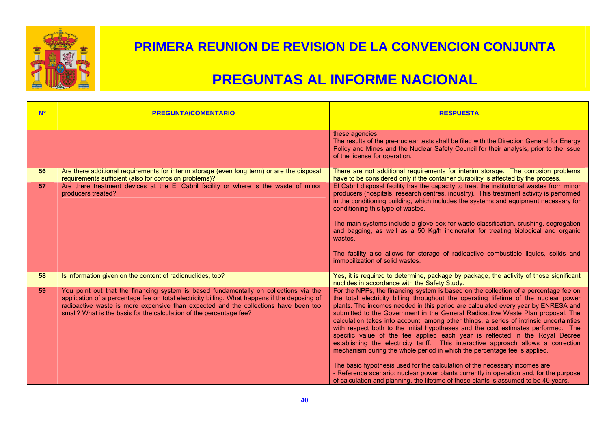

| <b>N<sup>o</sup></b> | <b>PREGUNTA/COMENTARIO</b>                                                                                                                                                                                                                                                                                                                           | <b>RESPUESTA</b>                                                                                                                                                                                                                                                                                                                                                                                                                                                                                                                                                                                                                                                                                                                                                                                                                                                                                                                                                                                                                                         |
|----------------------|------------------------------------------------------------------------------------------------------------------------------------------------------------------------------------------------------------------------------------------------------------------------------------------------------------------------------------------------------|----------------------------------------------------------------------------------------------------------------------------------------------------------------------------------------------------------------------------------------------------------------------------------------------------------------------------------------------------------------------------------------------------------------------------------------------------------------------------------------------------------------------------------------------------------------------------------------------------------------------------------------------------------------------------------------------------------------------------------------------------------------------------------------------------------------------------------------------------------------------------------------------------------------------------------------------------------------------------------------------------------------------------------------------------------|
|                      |                                                                                                                                                                                                                                                                                                                                                      | these agencies.<br>The results of the pre-nuclear tests shall be filed with the Direction General for Energy<br>Policy and Mines and the Nuclear Safety Council for their analysis, prior to the issue<br>of the license for operation.                                                                                                                                                                                                                                                                                                                                                                                                                                                                                                                                                                                                                                                                                                                                                                                                                  |
| 56                   | Are there additional requirements for interim storage (even long term) or are the disposal<br>requirements sufficient (also for corrosion problems)?                                                                                                                                                                                                 | There are not additional requirements for interim storage. The corrosion problems<br>have to be considered only if the container durability is affected by the process.                                                                                                                                                                                                                                                                                                                                                                                                                                                                                                                                                                                                                                                                                                                                                                                                                                                                                  |
| 57                   | Are there treatment devices at the El Cabril facility or where is the waste of minor<br>producers treated?                                                                                                                                                                                                                                           | El Cabril disposal facility has the capacity to treat the institutional wastes from minor<br>producers (hospitals, research centres, industry). This treatment activity is performed<br>in the conditioning building, which includes the systems and equipment necessary for<br>conditioning this type of wastes.<br>The main systems include a glove box for waste classification, crushing, segregation<br>and bagging, as well as a 50 Kg/h incinerator for treating biological and organic<br>wastes.<br>The facility also allows for storage of radioactive combustible liquids, solids and<br>immobilization of solid wastes.                                                                                                                                                                                                                                                                                                                                                                                                                      |
| 58                   | Is information given on the content of radionuclides, too?                                                                                                                                                                                                                                                                                           | Yes, it is required to determine, package by package, the activity of those significant<br>nuclides in accordance with the Safety Study.                                                                                                                                                                                                                                                                                                                                                                                                                                                                                                                                                                                                                                                                                                                                                                                                                                                                                                                 |
| 59                   | You point out that the financing system is based fundamentally on collections via the<br>application of a percentage fee on total electricity billing. What happens if the deposing of<br>radioactive waste is more expensive than expected and the collections have been too<br>small? What is the basis for the calculation of the percentage fee? | For the NPPs, the financing system is based on the collection of a percentage fee on<br>the total electricity billing throughout the operating lifetime of the nuclear power<br>plants. The incomes needed in this period are calculated every year by ENRESA and<br>submitted to the Government in the General Radioactive Waste Plan proposal. The<br>calculation takes into account, among other things, a series of intrinsic uncertainties<br>with respect both to the initial hypotheses and the cost estimates performed. The<br>specific value of the fee applied each year is reflected in the Royal Decree<br>establishing the electricity tariff. This interactive approach allows a correction<br>mechanism during the whole period in which the percentage fee is applied.<br>The basic hypothesis used for the calculation of the necessary incomes are:<br>- Reference scenario: nuclear power plants currently in operation and, for the purpose<br>of calculation and planning, the lifetime of these plants is assumed to be 40 years. |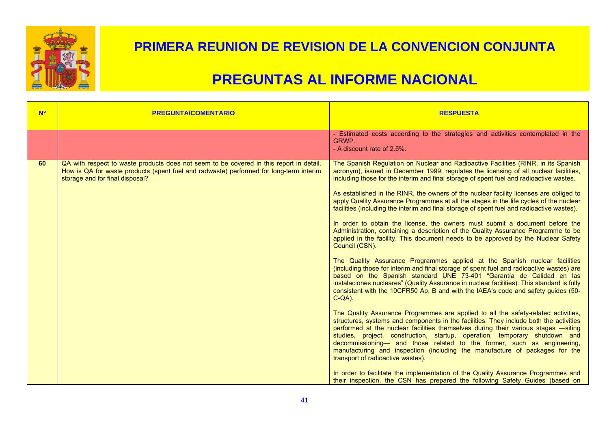

| <b>N<sup>o</sup></b> | <b>PREGUNTA/COMENTARIO</b>                                                                                                                                                                                           | <b>RESPUESTA</b>                                                                                                                                                                                                                                                                                                                                                                                                                                                                                                                                                                                                                                                                                                                                                                                                                                                                                                                                                                                                                                                                                                                                                                                                                                                                                                                                                                                                                                                                                                                                                                                                                                                                                                                                                                                                                                                                                                                                                                                              |
|----------------------|----------------------------------------------------------------------------------------------------------------------------------------------------------------------------------------------------------------------|---------------------------------------------------------------------------------------------------------------------------------------------------------------------------------------------------------------------------------------------------------------------------------------------------------------------------------------------------------------------------------------------------------------------------------------------------------------------------------------------------------------------------------------------------------------------------------------------------------------------------------------------------------------------------------------------------------------------------------------------------------------------------------------------------------------------------------------------------------------------------------------------------------------------------------------------------------------------------------------------------------------------------------------------------------------------------------------------------------------------------------------------------------------------------------------------------------------------------------------------------------------------------------------------------------------------------------------------------------------------------------------------------------------------------------------------------------------------------------------------------------------------------------------------------------------------------------------------------------------------------------------------------------------------------------------------------------------------------------------------------------------------------------------------------------------------------------------------------------------------------------------------------------------------------------------------------------------------------------------------------------------|
|                      |                                                                                                                                                                                                                      | - Estimated costs according to the strategies and activities contemplated in the<br>GRWP.<br>- A discount rate of 2.5%.                                                                                                                                                                                                                                                                                                                                                                                                                                                                                                                                                                                                                                                                                                                                                                                                                                                                                                                                                                                                                                                                                                                                                                                                                                                                                                                                                                                                                                                                                                                                                                                                                                                                                                                                                                                                                                                                                       |
| 60                   | QA with respect to waste products does not seem to be covered in this report in detail.<br>How is QA for waste products (spent fuel and radwaste) performed for long-term interim<br>storage and for final disposal? | The Spanish Regulation on Nuclear and Radioactive Facilities (RINR, in its Spanish<br>acronym), issued in December 1999, regulates the licensing of all nuclear facilities,<br>including those for the interim and final storage of spent fuel and radioactive wastes.<br>As established in the RINR, the owners of the nuclear facility licenses are obliged to<br>apply Quality Assurance Programmes at all the stages in the life cycles of the nuclear<br>facilities (including the interim and final storage of spent fuel and radioactive wastes).<br>In order to obtain the license, the owners must submit a document before the<br>Administration, containing a description of the Quality Assurance Programme to be<br>applied in the facility. This document needs to be approved by the Nuclear Safety<br>Council (CSN).<br>The Quality Assurance Programmes applied at the Spanish nuclear facilities<br>(including those for interim and final storage of spent fuel and radioactive wastes) are<br>based on the Spanish standard UNE 73-401 "Garantía de Calidad en las<br>instalaciones nucleares" (Quality Assurance in nuclear facilities). This standard is fully<br>consistent with the 10CFR50 Ap. B and with the IAEA's code and safety guides (50-<br>$C-QA$ ).<br>The Quality Assurance Programmes are applied to all the safety-related activities,<br>structures, systems and components in the facilities. They include both the activities<br>performed at the nuclear facilities themselves during their various stages -siting<br>studies, project, construction, startup, operation, temporary shutdown and<br>decommissioning- and those related to the former, such as engineering,<br>manufacturing and inspection (including the manufacture of packages for the<br>transport of radioactive wastes).<br>In order to facilitate the implementation of the Quality Assurance Programmes and<br>their inspection, the CSN has prepared the following Safety Guides (based on |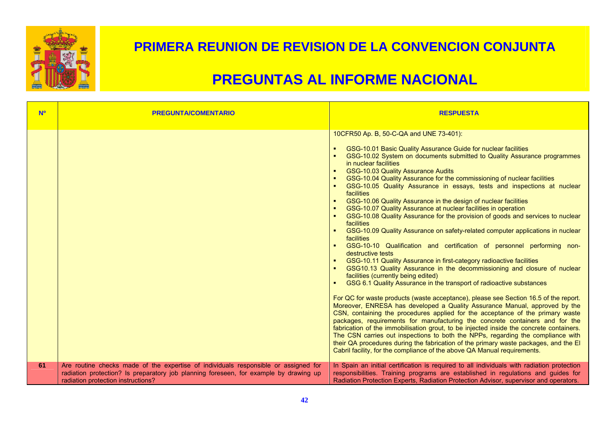

| <b>Nº</b> | <b>PREGUNTA/COMENTARIO</b>                                                                                                                                                                                         | <b>RESPUESTA</b>                                                                                                                                                                                                                                                                                                                                                                                                                                                                                                                                                                                                                                                                                                                                                                                                                                                                                                                                                                                                                                                                                                                                                                                                                                                                                                                                                                                                                                                                                                                                                                                                                                                                                                                                                                                                                |
|-----------|--------------------------------------------------------------------------------------------------------------------------------------------------------------------------------------------------------------------|---------------------------------------------------------------------------------------------------------------------------------------------------------------------------------------------------------------------------------------------------------------------------------------------------------------------------------------------------------------------------------------------------------------------------------------------------------------------------------------------------------------------------------------------------------------------------------------------------------------------------------------------------------------------------------------------------------------------------------------------------------------------------------------------------------------------------------------------------------------------------------------------------------------------------------------------------------------------------------------------------------------------------------------------------------------------------------------------------------------------------------------------------------------------------------------------------------------------------------------------------------------------------------------------------------------------------------------------------------------------------------------------------------------------------------------------------------------------------------------------------------------------------------------------------------------------------------------------------------------------------------------------------------------------------------------------------------------------------------------------------------------------------------------------------------------------------------|
|           |                                                                                                                                                                                                                    | 10CFR50 Ap. B, 50-C-QA and UNE 73-401):<br>GSG-10.01 Basic Quality Assurance Guide for nuclear facilities<br>GSG-10.02 System on documents submitted to Quality Assurance programmes<br>in nuclear facilities<br><b>GSG-10.03 Quality Assurance Audits</b><br>GSG-10.04 Quality Assurance for the commissioning of nuclear facilities<br>GSG-10.05 Quality Assurance in essays, tests and inspections at nuclear<br>facilities<br>GSG-10.06 Quality Assurance in the design of nuclear facilities<br>GSG-10.07 Quality Assurance at nuclear facilities in operation<br>GSG-10.08 Quality Assurance for the provision of goods and services to nuclear<br>facilities<br>GSG-10.09 Quality Assurance on safety-related computer applications in nuclear<br>facilities<br>GSG-10-10 Qualification and certification of personnel performing non-<br>destructive tests<br>GSG-10.11 Quality Assurance in first-category radioactive facilities<br>GSG10.13 Quality Assurance in the decommissioning and closure of nuclear<br>facilities (currently being edited)<br>GSG 6.1 Quality Assurance in the transport of radioactive substances<br>For QC for waste products (waste acceptance), please see Section 16.5 of the report.<br>Moreover, ENRESA has developed a Quality Assurance Manual, approved by the<br>CSN, containing the procedures applied for the acceptance of the primary waste<br>packages, requirements for manufacturing the concrete containers and for the<br>fabrication of the immobilisation grout, to be injected inside the concrete containers.<br>The CSN carries out inspections to both the NPPs, regarding the compliance with<br>their QA procedures during the fabrication of the primary waste packages, and the El<br>Cabril facility, for the compliance of the above QA Manual requirements. |
| 61        | Are routine checks made of the expertise of individuals responsible or assigned for<br>radiation protection? Is preparatory job planning foreseen, for example by drawing up<br>radiation protection instructions? | In Spain an initial certification is required to all individuals with radiation protection<br>responsibilities. Training programs are established in regulations and guides for<br>Radiation Protection Experts, Radiation Protection Advisor, supervisor and operators.                                                                                                                                                                                                                                                                                                                                                                                                                                                                                                                                                                                                                                                                                                                                                                                                                                                                                                                                                                                                                                                                                                                                                                                                                                                                                                                                                                                                                                                                                                                                                        |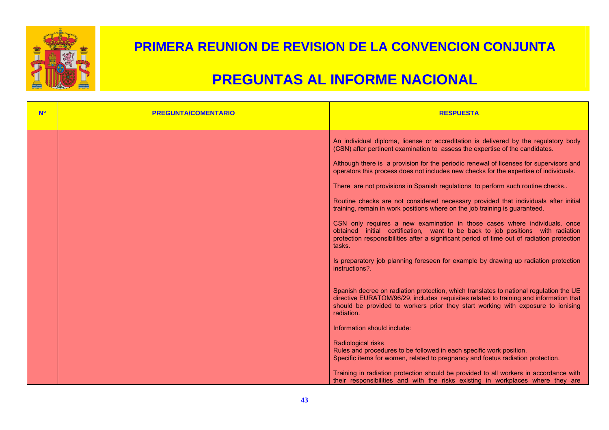

| <b>N<sup>o</sup></b> | <b>PREGUNTA/COMENTARIO</b> | <b>RESPUESTA</b>                                                                                                                                                                                                                                                                                                                                                                                                                                                                                                                |
|----------------------|----------------------------|---------------------------------------------------------------------------------------------------------------------------------------------------------------------------------------------------------------------------------------------------------------------------------------------------------------------------------------------------------------------------------------------------------------------------------------------------------------------------------------------------------------------------------|
|                      |                            | An individual diploma, license or accreditation is delivered by the regulatory body<br>(CSN) after pertinent examination to assess the expertise of the candidates.<br>Although there is a provision for the periodic renewal of licenses for supervisors and<br>operators this process does not includes new checks for the expertise of individuals.<br>There are not provisions in Spanish regulations to perform such routine checks<br>Routine checks are not considered necessary provided that individuals after initial |
|                      |                            | training, remain in work positions where on the job training is guaranteed.<br>CSN only requires a new examination in those cases where individuals, once<br>obtained initial certification, want to be back to job positions with radiation<br>protection responsibilities after a significant period of time out of radiation protection<br>tasks.<br>Is preparatory job planning foreseen for example by drawing up radiation protection<br>instructions?                                                                    |
|                      |                            | Spanish decree on radiation protection, which translates to national regulation the UE<br>directive EURATOM/96/29, includes requisites related to training and information that<br>should be provided to workers prior they start working with exposure to ionising<br>radiation.<br>Information should include:                                                                                                                                                                                                                |
|                      |                            | Radiological risks<br>Rules and procedures to be followed in each specific work position.<br>Specific items for women, related to pregnancy and foetus radiation protection.<br>Training in radiation protection should be provided to all workers in accordance with<br>their responsibilities and with the risks existing in workplaces where they are                                                                                                                                                                        |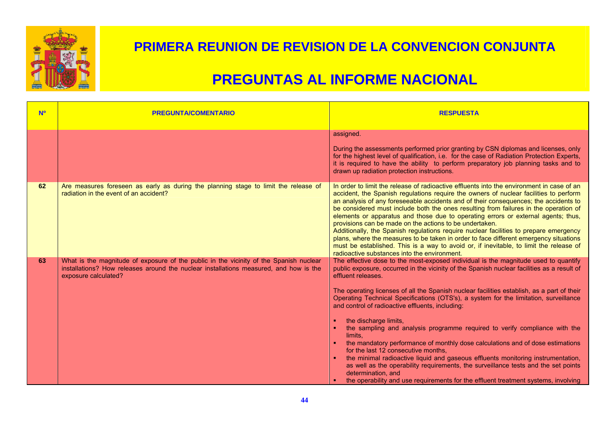

| <b>N<sup>o</sup></b> | <b>PREGUNTA/COMENTARIO</b>                                                                                                                                                                              | <b>RESPUESTA</b>                                                                                                                                                                                                                                                                                                                                                                                                                                                                                                                                                                                                                                                                                                                                                                                                                                                                                                                                                                    |
|----------------------|---------------------------------------------------------------------------------------------------------------------------------------------------------------------------------------------------------|-------------------------------------------------------------------------------------------------------------------------------------------------------------------------------------------------------------------------------------------------------------------------------------------------------------------------------------------------------------------------------------------------------------------------------------------------------------------------------------------------------------------------------------------------------------------------------------------------------------------------------------------------------------------------------------------------------------------------------------------------------------------------------------------------------------------------------------------------------------------------------------------------------------------------------------------------------------------------------------|
|                      |                                                                                                                                                                                                         | assigned.<br>During the assessments performed prior granting by CSN diplomas and licenses, only<br>for the highest level of qualification, i.e. for the case of Radiation Protection Experts,<br>it is required to have the ability to perform preparatory job planning tasks and to<br>drawn up radiation protection instructions.                                                                                                                                                                                                                                                                                                                                                                                                                                                                                                                                                                                                                                                 |
| 62                   | Are measures foreseen as early as during the planning stage to limit the release of<br>radiation in the event of an accident?                                                                           | In order to limit the release of radioactive effluents into the environment in case of an<br>accident, the Spanish regulations require the owners of nuclear facilities to perform<br>an analysis of any foreseeable accidents and of their consequences; the accidents to<br>be considered must include both the ones resulting from failures in the operation of<br>elements or apparatus and those due to operating errors or external agents; thus,<br>provisions can be made on the actions to be undertaken.<br>Additionally, the Spanish regulations require nuclear facilities to prepare emergency<br>plans, where the measures to be taken in order to face different emergency situations<br>must be established. This is a way to avoid or, if inevitable, to limit the release of<br>radioactive substances into the environment.                                                                                                                                      |
| 63                   | What is the magnitude of exposure of the public in the vicinity of the Spanish nuclear<br>installations? How releases around the nuclear installations measured, and how is the<br>exposure calculated? | The effective dose to the most-exposed individual is the magnitude used to quantify<br>public exposure, occurred in the vicinity of the Spanish nuclear facilities as a result of<br>effluent releases.<br>The operating licenses of all the Spanish nuclear facilities establish, as a part of their<br>Operating Technical Specifications (OTS's), a system for the limitation, surveillance<br>and control of radioactive effluents, including:<br>the discharge limits,<br>the sampling and analysis programme required to verify compliance with the<br>limits.<br>the mandatory performance of monthly dose calculations and of dose estimations<br>for the last 12 consecutive months.<br>the minimal radioactive liquid and gaseous effluents monitoring instrumentation,<br>as well as the operability requirements, the surveillance tests and the set points<br>determination, and<br>the operability and use requirements for the effluent treatment systems, involving |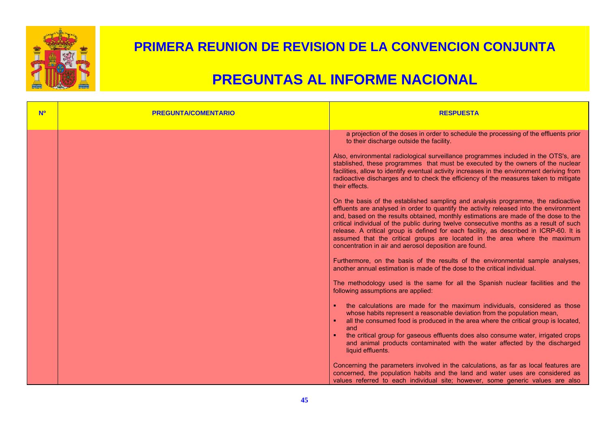

| <b>Nº</b> | <b>PREGUNTA/COMENTARIO</b> | <b>RESPUESTA</b>                                                                                                                                                                                                                                                                                                                                                                                                                                                                                                                                                                              |
|-----------|----------------------------|-----------------------------------------------------------------------------------------------------------------------------------------------------------------------------------------------------------------------------------------------------------------------------------------------------------------------------------------------------------------------------------------------------------------------------------------------------------------------------------------------------------------------------------------------------------------------------------------------|
|           |                            | a projection of the doses in order to schedule the processing of the effluents prior<br>to their discharge outside the facility.                                                                                                                                                                                                                                                                                                                                                                                                                                                              |
|           |                            | Also, environmental radiological surveillance programmes included in the OTS's, are<br>stablished, these programmes that must be executed by the owners of the nuclear<br>facilities, allow to identify eventual activity increases in the environment deriving from<br>radioactive discharges and to check the efficiency of the measures taken to mitigate<br>their effects.                                                                                                                                                                                                                |
|           |                            | On the basis of the established sampling and analysis programme, the radioactive<br>effluents are analysed in order to quantify the activity released into the environment<br>and, based on the results obtained, monthly estimations are made of the dose to the<br>critical individual of the public during twelve consecutive months as a result of such<br>release. A critical group is defined for each facility, as described in ICRP-60. It is<br>assumed that the critical groups are located in the area where the maximum<br>concentration in air and aerosol deposition are found. |
|           |                            | Furthermore, on the basis of the results of the environmental sample analyses,<br>another annual estimation is made of the dose to the critical individual.                                                                                                                                                                                                                                                                                                                                                                                                                                   |
|           |                            | The methodology used is the same for all the Spanish nuclear facilities and the<br>following assumptions are applied:                                                                                                                                                                                                                                                                                                                                                                                                                                                                         |
|           |                            | the calculations are made for the maximum individuals, considered as those<br>whose habits represent a reasonable deviation from the population mean,<br>all the consumed food is produced in the area where the critical group is located,<br>and<br>the critical group for gaseous effluents does also consume water, irrigated crops<br>and animal products contaminated with the water affected by the discharged<br>liquid effluents.                                                                                                                                                    |
|           |                            | Concerning the parameters involved in the calculations, as far as local features are<br>concerned, the population habits and the land and water uses are considered as<br>values referred to each individual site; however, some generic values are also                                                                                                                                                                                                                                                                                                                                      |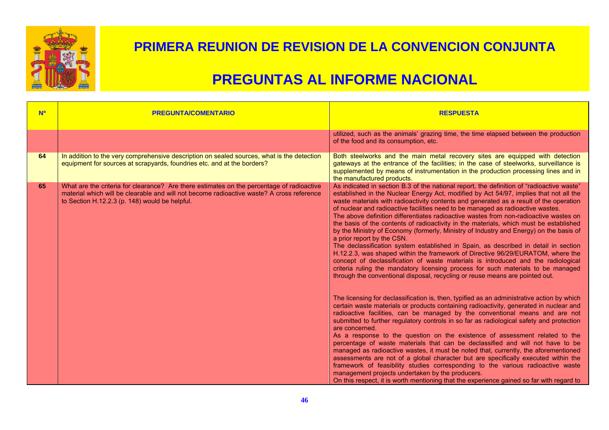

| <b>N<sup>o</sup></b> | <b>PREGUNTA/COMENTARIO</b>                                                                                                                                                                                                               | <b>RESPUESTA</b>                                                                                                                                                                                                                                                                                                                                                                                                                                                                                                                                                                                                                                                                                                                                                                                                                                                                                                                                                                                                                                                                                               |
|----------------------|------------------------------------------------------------------------------------------------------------------------------------------------------------------------------------------------------------------------------------------|----------------------------------------------------------------------------------------------------------------------------------------------------------------------------------------------------------------------------------------------------------------------------------------------------------------------------------------------------------------------------------------------------------------------------------------------------------------------------------------------------------------------------------------------------------------------------------------------------------------------------------------------------------------------------------------------------------------------------------------------------------------------------------------------------------------------------------------------------------------------------------------------------------------------------------------------------------------------------------------------------------------------------------------------------------------------------------------------------------------|
|                      |                                                                                                                                                                                                                                          | utilized, such as the animals' grazing time, the time elapsed between the production<br>of the food and its consumption, etc.                                                                                                                                                                                                                                                                                                                                                                                                                                                                                                                                                                                                                                                                                                                                                                                                                                                                                                                                                                                  |
| 64                   | In addition to the very comprehensive description on sealed sources, what is the detection<br>equipment for sources at scrapyards, foundries etc. and at the borders?                                                                    | Both steelworks and the main metal recovery sites are equipped with detection<br>gateways at the entrance of the facilities; in the case of steelworks, surveillance is<br>supplemented by means of instrumentation in the production processing lines and in<br>the manufactured products.                                                                                                                                                                                                                                                                                                                                                                                                                                                                                                                                                                                                                                                                                                                                                                                                                    |
| 65                   | What are the criteria for clearance? Are there estimates on the percentage of radioactive<br>material which will be clearable and will not become radioactive waste? A cross reference<br>to Section H.12.2.3 (p. 148) would be helpful. | As indicated in section B.3 of the national report, the definition of "radioactive waste"<br>established in the Nuclear Energy Act, modified by Act 54/97, implies that not all the<br>waste materials with radioactivity contents and generated as a result of the operation<br>of nuclear and radioactive facilities need to be managed as radioactive wastes.<br>The above definition differentiates radioactive wastes from non-radioactive wastes on<br>the basis of the contents of radioactivity in the materials, which must be established<br>by the Ministry of Economy (formerly, Ministry of Industry and Energy) on the basis of<br>a prior report by the CSN.<br>The declassification system established in Spain, as described in detail in section<br>H.12.2.3, was shaped within the framework of Directive 96/29/EURATOM, where the<br>concept of declassification of waste materials is introduced and the radiological<br>criteria ruling the mandatory licensing process for such materials to be managed<br>through the conventional disposal, recycling or reuse means are pointed out. |
|                      |                                                                                                                                                                                                                                          | The licensing for declassification is, then, typified as an administrative action by which<br>certain waste materials or products containing radioactivity, generated in nuclear and<br>radioactive facilities, can be managed by the conventional means and are not<br>submitted to further regulatory controls in so far as radiological safety and protection<br>are concerned.<br>As a response to the question on the existence of assessment related to the<br>percentage of waste materials that can be declassified and will not have to be<br>managed as radioactive wastes, it must be noted that, currently, the aforementioned<br>assessments are not of a global character but are specifically executed within the<br>framework of feasibility studies corresponding to the various radioactive waste<br>management projects undertaken by the producers.<br>On this respect, it is worth mentioning that the experience gained so far with regard to                                                                                                                                            |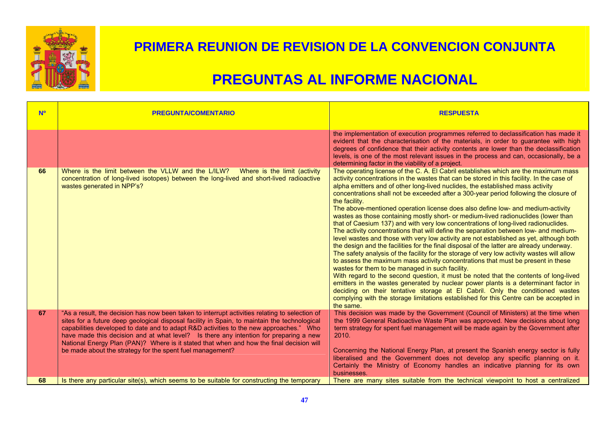

| <b>N<sup>o</sup></b> | <b>PREGUNTA/COMENTARIO</b>                                                                                                                                                                                                                                                                                                                                                                                                                                                                                                                 | <b>RESPUESTA</b>                                                                                                                                                                                                                                                                                                                                                                                                                                                                                                                                                                                                                                                                                                                                                                                                                                                                                                                                                                                                                                                                                                                                                                                                                                                                                                                                                                                                                                                                                                                      |
|----------------------|--------------------------------------------------------------------------------------------------------------------------------------------------------------------------------------------------------------------------------------------------------------------------------------------------------------------------------------------------------------------------------------------------------------------------------------------------------------------------------------------------------------------------------------------|---------------------------------------------------------------------------------------------------------------------------------------------------------------------------------------------------------------------------------------------------------------------------------------------------------------------------------------------------------------------------------------------------------------------------------------------------------------------------------------------------------------------------------------------------------------------------------------------------------------------------------------------------------------------------------------------------------------------------------------------------------------------------------------------------------------------------------------------------------------------------------------------------------------------------------------------------------------------------------------------------------------------------------------------------------------------------------------------------------------------------------------------------------------------------------------------------------------------------------------------------------------------------------------------------------------------------------------------------------------------------------------------------------------------------------------------------------------------------------------------------------------------------------------|
|                      |                                                                                                                                                                                                                                                                                                                                                                                                                                                                                                                                            | the implementation of execution programmes referred to declassification has made it<br>evident that the characterisation of the materials, in order to guarantee with high<br>degrees of confidence that their activity contents are lower than the declassification<br>levels, is one of the most relevant issues in the process and can, occasionally, be a<br>determining factor in the viability of a project.                                                                                                                                                                                                                                                                                                                                                                                                                                                                                                                                                                                                                                                                                                                                                                                                                                                                                                                                                                                                                                                                                                                    |
| 66                   | Where is the limit between the VLLW and the L/ILW? Where is the limit (activity<br>concentration of long-lived isotopes) between the long-lived and short-lived radioactive<br>wastes generated in NPP's?                                                                                                                                                                                                                                                                                                                                  | The operating license of the C. A. El Cabril establishes which are the maximum mass<br>activity concentrations in the wastes that can be stored in this facility. In the case of<br>alpha emitters and of other long-lived nuclides, the established mass activity<br>concentrations shall not be exceeded after a 300-year period following the closure of<br>the facility.<br>The above-mentioned operation license does also define low- and medium-activity<br>wastes as those containing mostly short- or medium-lived radionuclides (lower than<br>that of Caesium 137) and with very low concentrations of long-lived radionuclides.<br>The activity concentrations that will define the separation between low- and medium-<br>level wastes and those with very low activity are not established as yet, although both<br>the design and the facilities for the final disposal of the latter are already underway.<br>The safety analysis of the facility for the storage of very low activity wastes will allow<br>to assess the maximum mass activity concentrations that must be present in these<br>wastes for them to be managed in such facility.<br>With regard to the second question, it must be noted that the contents of long-lived<br>emitters in the wastes generated by nuclear power plants is a determinant factor in<br>deciding on their tentative storage at El Cabril. Only the conditioned wastes<br>complying with the storage limitations established for this Centre can be accepted in<br>the same. |
| 67                   | "As a result, the decision has now been taken to interrupt activities relating to selection of<br>sites for a future deep geological disposal facility in Spain, to maintain the technological<br>capabilities developed to date and to adapt R&D activities to the new approaches." Who<br>have made this decision and at what level? Is there any intention for preparing a new<br>National Energy Plan (PAN)? Where is it stated that when and how the final decision will<br>be made about the strategy for the spent fuel management? | This decision was made by the Government (Council of Ministers) at the time when<br>the 1999 General Radioactive Waste Plan was approved. New decisions about long<br>term strategy for spent fuel management will be made again by the Government after<br>2010.<br>Concerning the National Energy Plan, at present the Spanish energy sector is fully<br>liberalised and the Government does not develop any specific planning on it.<br>Certainly the Ministry of Economy handles an indicative planning for its own                                                                                                                                                                                                                                                                                                                                                                                                                                                                                                                                                                                                                                                                                                                                                                                                                                                                                                                                                                                                               |
| 68                   | Is there any particular site(s), which seems to be suitable for constructing the temporary                                                                                                                                                                                                                                                                                                                                                                                                                                                 | businesses.<br>There are many sites suitable from the technical viewpoint to host a centralized                                                                                                                                                                                                                                                                                                                                                                                                                                                                                                                                                                                                                                                                                                                                                                                                                                                                                                                                                                                                                                                                                                                                                                                                                                                                                                                                                                                                                                       |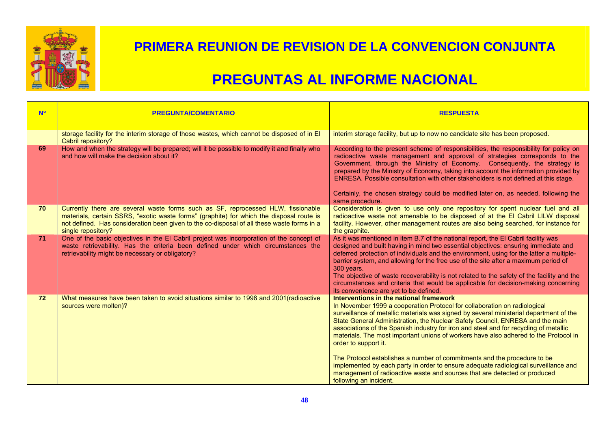

| <b>No</b> | <b>PREGUNTA/COMENTARIO</b>                                                                                                                                                                                                                                                                       | <b>RESPUESTA</b>                                                                                                                                                                                                                                                                                                                                                                                                                                                                                                                                                                                                                                                                                                                                                                   |
|-----------|--------------------------------------------------------------------------------------------------------------------------------------------------------------------------------------------------------------------------------------------------------------------------------------------------|------------------------------------------------------------------------------------------------------------------------------------------------------------------------------------------------------------------------------------------------------------------------------------------------------------------------------------------------------------------------------------------------------------------------------------------------------------------------------------------------------------------------------------------------------------------------------------------------------------------------------------------------------------------------------------------------------------------------------------------------------------------------------------|
|           | storage facility for the interim storage of those wastes, which cannot be disposed of in El<br>Cabril repository?                                                                                                                                                                                | interim storage facility, but up to now no candidate site has been proposed.                                                                                                                                                                                                                                                                                                                                                                                                                                                                                                                                                                                                                                                                                                       |
| 69        | How and when the strategy will be prepared; will it be possible to modify it and finally who<br>and how will make the decision about it?                                                                                                                                                         | According to the present scheme of responsibilities, the responsibility for policy on<br>radioactive waste management and approval of strategies corresponds to the<br>Government, through the Ministry of Economy. Consequently, the strategy is<br>prepared by the Ministry of Economy, taking into account the information provided by<br>ENRESA. Possible consultation with other stakeholders is not defined at this stage.<br>Certainly, the chosen strategy could be modified later on, as needed, following the<br>same procedure.                                                                                                                                                                                                                                         |
| 70        | Currently there are several waste forms such as SF, reprocessed HLW, fissionable<br>materials, certain SSRS, "exotic waste forms" (graphite) for which the disposal route is<br>not defined. Has consideration been given to the co-disposal of all these waste forms in a<br>single repository? | Consideration is given to use only one repository for spent nuclear fuel and all<br>radioactive waste not amenable to be disposed of at the EI Cabril LILW disposal<br>facility. However, other management routes are also being searched, for instance for<br>the graphite.                                                                                                                                                                                                                                                                                                                                                                                                                                                                                                       |
| 71        | One of the basic objectives in the El Cabril project was incorporation of the concept of<br>waste retrievability. Has the criteria been defined under which circumstances the<br>retrievability might be necessary or obligatory?                                                                | As it was mentioned in item B.7 of the national report, the El Cabril facility was<br>designed and built having in mind two essential objectives: ensuring immediate and<br>deferred protection of individuals and the environment, using for the latter a multiple-<br>barrier system, and allowing for the free use of the site after a maximum period of<br>300 years.<br>The objective of waste recoverability is not related to the safety of the facility and the<br>circumstances and criteria that would be applicable for decision-making concerning<br>its convenience are yet to be defined.                                                                                                                                                                            |
| 72        | What measures have been taken to avoid situations similar to 1998 and 2001 (radioactive<br>sources were molten)?                                                                                                                                                                                 | Interventions in the national framework<br>In November 1999 a cooperation Protocol for collaboration on radiological<br>surveillance of metallic materials was signed by several ministerial department of the<br>State General Administration, the Nuclear Safety Council, ENRESA and the main<br>associations of the Spanish industry for iron and steel and for recycling of metallic<br>materials. The most important unions of workers have also adhered to the Protocol in<br>order to support it.<br>The Protocol establishes a number of commitments and the procedure to be<br>implemented by each party in order to ensure adequate radiological surveillance and<br>management of radioactive waste and sources that are detected or produced<br>following an incident. |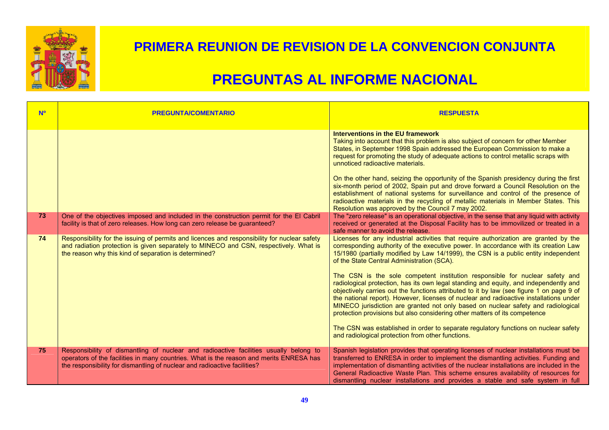

| <b>No</b> | <b>PREGUNTA/COMENTARIO</b>                                                                                                                                                                                                                                    | <b>RESPUESTA</b>                                                                                                                                                                                                                                                                                                                                                                                                                                                                                                                                                                                                                                                                                                                                                                                                                                                                                                                                                                               |
|-----------|---------------------------------------------------------------------------------------------------------------------------------------------------------------------------------------------------------------------------------------------------------------|------------------------------------------------------------------------------------------------------------------------------------------------------------------------------------------------------------------------------------------------------------------------------------------------------------------------------------------------------------------------------------------------------------------------------------------------------------------------------------------------------------------------------------------------------------------------------------------------------------------------------------------------------------------------------------------------------------------------------------------------------------------------------------------------------------------------------------------------------------------------------------------------------------------------------------------------------------------------------------------------|
|           |                                                                                                                                                                                                                                                               | <b>Interventions in the EU framework</b><br>Taking into account that this problem is also subject of concern for other Member<br>States, in September 1998 Spain addressed the European Commission to make a<br>request for promoting the study of adequate actions to control metallic scraps with<br>unnoticed radioactive materials.<br>On the other hand, seizing the opportunity of the Spanish presidency during the first<br>six-month period of 2002, Spain put and drove forward a Council Resolution on the<br>establishment of national systems for surveillance and control of the presence of<br>radioactive materials in the recycling of metallic materials in Member States. This<br>Resolution was approved by the Council 7 may 2002.                                                                                                                                                                                                                                        |
| 73        | One of the objectives imposed and included in the construction permit for the El Cabril<br>facility is that of zero releases. How long can zero release be guaranteed?                                                                                        | The "zero release" is an operational objective, in the sense that any liquid with activity<br>received or generated at the Disposal Facility has to be immovilized or treated in a<br>safe manner to avoid the release.                                                                                                                                                                                                                                                                                                                                                                                                                                                                                                                                                                                                                                                                                                                                                                        |
| 74        | Responsibility for the issuing of permits and licences and responsibility for nuclear safety<br>and radiation protection is given separately to MINECO and CSN, respectively. What is<br>the reason why this kind of separation is determined?                | Licenses for any industrial activities that require authorization are granted by the<br>corresponding authority of the executive power. In accordance with its creation Law<br>15/1980 (partially modified by Law 14/1999), the CSN is a public entity independent<br>of the State Central Administration (SCA).<br>The CSN is the sole competent institution responsible for nuclear safety and<br>radiological protection, has its own legal standing and equity, and independently and<br>objectively carries out the functions attributed to it by law (see figure 1 on page 9 of<br>the national report). However, licenses of nuclear and radioactive installations under<br>MINECO jurisdiction are granted not only based on nuclear safety and radiological<br>protection provisions but also considering other matters of its competence<br>The CSN was established in order to separate regulatory functions on nuclear safety<br>and radiological protection from other functions. |
| 75        | Responsibility of dismantling of nuclear and radioactive facilities usually belong to<br>operators of the facilities in many countries. What is the reason and merits ENRESA has<br>the responsibility for dismantling of nuclear and radioactive facilities? | Spanish legislation provides that operating licenses of nuclear installations must be<br>transferred to ENRESA in order to implement the dismantling activities. Funding and<br>implementation of dismantling activities of the nuclear installations are included in the<br>General Radioactive Waste Plan. This scheme ensures availability of resources for<br>dismantling nuclear installations and provides a stable and safe system in full                                                                                                                                                                                                                                                                                                                                                                                                                                                                                                                                              |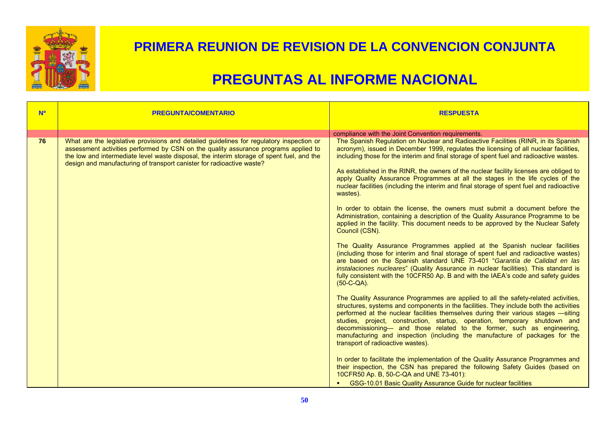

| <b>N<sup>o</sup></b> | <b>PREGUNTA/COMENTARIO</b>                                                                                                                                                                                                                                                                                                                            | <b>RESPUESTA</b>                                                                                                                                                                                                                                                                                                                                                                                                                                                                                                                                            |
|----------------------|-------------------------------------------------------------------------------------------------------------------------------------------------------------------------------------------------------------------------------------------------------------------------------------------------------------------------------------------------------|-------------------------------------------------------------------------------------------------------------------------------------------------------------------------------------------------------------------------------------------------------------------------------------------------------------------------------------------------------------------------------------------------------------------------------------------------------------------------------------------------------------------------------------------------------------|
|                      |                                                                                                                                                                                                                                                                                                                                                       |                                                                                                                                                                                                                                                                                                                                                                                                                                                                                                                                                             |
|                      |                                                                                                                                                                                                                                                                                                                                                       | compliance with the Joint Convention requirements.                                                                                                                                                                                                                                                                                                                                                                                                                                                                                                          |
| 76                   | What are the legislative provisions and detailed guidelines for regulatory inspection or<br>assessment activities performed by CSN on the quality assurance programs applied to<br>the low and intermediate level waste disposal, the interim storage of spent fuel, and the<br>design and manufacturing of transport canister for radioactive waste? | The Spanish Regulation on Nuclear and Radioactive Facilities (RINR, in its Spanish<br>acronym), issued in December 1999, regulates the licensing of all nuclear facilities,<br>including those for the interim and final storage of spent fuel and radioactive wastes.<br>As established in the RINR, the owners of the nuclear facility licenses are obliged to<br>apply Quality Assurance Programmes at all the stages in the life cycles of the<br>nuclear facilities (including the interim and final storage of spent fuel and radioactive<br>wastes). |
|                      |                                                                                                                                                                                                                                                                                                                                                       | In order to obtain the license, the owners must submit a document before the<br>Administration, containing a description of the Quality Assurance Programme to be<br>applied in the facility. This document needs to be approved by the Nuclear Safety<br>Council (CSN).                                                                                                                                                                                                                                                                                    |
|                      |                                                                                                                                                                                                                                                                                                                                                       | The Quality Assurance Programmes applied at the Spanish nuclear facilities<br>(including those for interim and final storage of spent fuel and radioactive wastes)<br>are based on the Spanish standard UNE 73-401 "Garantía de Calidad en las<br>instalaciones nucleares" (Quality Assurance in nuclear facilities). This standard is<br>fully consistent with the 10CFR50 Ap. B and with the IAEA's code and safety guides<br>$(50-C-QA)$ .                                                                                                               |
|                      |                                                                                                                                                                                                                                                                                                                                                       | The Quality Assurance Programmes are applied to all the safety-related activities,<br>structures, systems and components in the facilities. They include both the activities<br>performed at the nuclear facilities themselves during their various stages -siting<br>studies, project, construction, startup, operation, temporary shutdown and<br>decommissioning— and those related to the former, such as engineering,<br>manufacturing and inspection (including the manufacture of packages for the<br>transport of radioactive wastes).              |
|                      |                                                                                                                                                                                                                                                                                                                                                       | In order to facilitate the implementation of the Quality Assurance Programmes and<br>their inspection, the CSN has prepared the following Safety Guides (based on<br>10CFR50 Ap. B, 50-C-QA and UNE 73-401):<br>GSG-10.01 Basic Quality Assurance Guide for nuclear facilities                                                                                                                                                                                                                                                                              |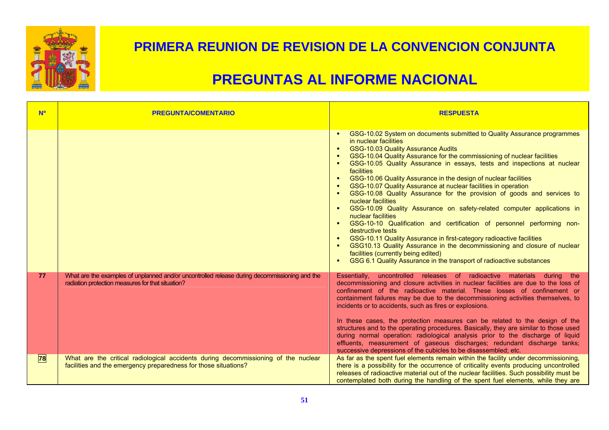

| <b>N<sup>o</sup></b> | <b>PREGUNTA/COMENTARIO</b>                                                                                                                            | <b>RESPUESTA</b>                                                                                                                                                                                                                                                                                                                                                                                                                                                                                                                                                                                                                                                                                                                                                                                                                                                                                                                                                                                                                                                                 |
|----------------------|-------------------------------------------------------------------------------------------------------------------------------------------------------|----------------------------------------------------------------------------------------------------------------------------------------------------------------------------------------------------------------------------------------------------------------------------------------------------------------------------------------------------------------------------------------------------------------------------------------------------------------------------------------------------------------------------------------------------------------------------------------------------------------------------------------------------------------------------------------------------------------------------------------------------------------------------------------------------------------------------------------------------------------------------------------------------------------------------------------------------------------------------------------------------------------------------------------------------------------------------------|
|                      |                                                                                                                                                       | GSG-10.02 System on documents submitted to Quality Assurance programmes<br>in nuclear facilities<br><b>GSG-10.03 Quality Assurance Audits</b><br>$\blacksquare$<br>GSG-10.04 Quality Assurance for the commissioning of nuclear facilities<br>GSG-10.05 Quality Assurance in essays, tests and inspections at nuclear<br>facilities<br>GSG-10.06 Quality Assurance in the design of nuclear facilities<br>٠<br>GSG-10.07 Quality Assurance at nuclear facilities in operation<br>GSG-10.08 Quality Assurance for the provision of goods and services to<br>nuclear facilities<br>GSG-10.09 Quality Assurance on safety-related computer applications in<br>٠<br>nuclear facilities<br>GSG-10-10 Qualification and certification of personnel performing non-<br>$\blacksquare$<br>destructive tests<br>GSG-10.11 Quality Assurance in first-category radioactive facilities<br>٠<br>GSG10.13 Quality Assurance in the decommissioning and closure of nuclear<br>facilities (currently being edited)<br>GSG 6.1 Quality Assurance in the transport of radioactive substances<br>٠ |
| 77                   | What are the examples of unplanned and/or uncontrolled release during decommissioning and the<br>radiation protection measures for that situation?    | Essentially, uncontrolled releases of radioactive materials during the<br>decommissioning and closure activities in nuclear facilities are due to the loss of<br>confinement of the radioactive material. These losses of confinement or<br>containment failures may be due to the decommissioning activities themselves, to<br>incidents or to accidents, such as fires or explosions.<br>In these cases, the protection measures can be related to the design of the<br>structures and to the operating procedures. Basically, they are similar to those used<br>during normal operation: radiological analysis prior to the discharge of liquid<br>effluents, measurement of gaseous discharges; redundant discharge tanks;<br>successive depressions of the cubicles to be disassembled; etc.                                                                                                                                                                                                                                                                                |
| 78                   | What are the critical radiological accidents during decommissioning of the nuclear<br>facilities and the emergency preparedness for those situations? | As far as the spent fuel elements remain within the facility under decommissioning,<br>there is a possibility for the occurrence of criticality events producing uncontrolled<br>releases of radioactive material out of the nuclear facilities. Such possibility must be<br>contemplated both during the handling of the spent fuel elements, while they are                                                                                                                                                                                                                                                                                                                                                                                                                                                                                                                                                                                                                                                                                                                    |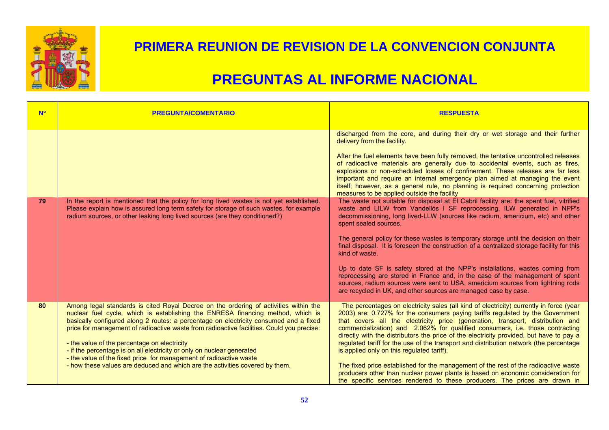

| <b>N<sup>o</sup></b> | <b>PREGUNTA/COMENTARIO</b>                                                                                                                                                                                                                                                                                                                                                                                                                                                                                                                                                                                                                    | <b>RESPUESTA</b>                                                                                                                                                                                                                                                                                                                                                                                                                                                                                                                                                                                                                                                                                                                                                                                                                                                                                                                                                                                                                                                                                                                                                                                                                                                                                                                                                                                                   |
|----------------------|-----------------------------------------------------------------------------------------------------------------------------------------------------------------------------------------------------------------------------------------------------------------------------------------------------------------------------------------------------------------------------------------------------------------------------------------------------------------------------------------------------------------------------------------------------------------------------------------------------------------------------------------------|--------------------------------------------------------------------------------------------------------------------------------------------------------------------------------------------------------------------------------------------------------------------------------------------------------------------------------------------------------------------------------------------------------------------------------------------------------------------------------------------------------------------------------------------------------------------------------------------------------------------------------------------------------------------------------------------------------------------------------------------------------------------------------------------------------------------------------------------------------------------------------------------------------------------------------------------------------------------------------------------------------------------------------------------------------------------------------------------------------------------------------------------------------------------------------------------------------------------------------------------------------------------------------------------------------------------------------------------------------------------------------------------------------------------|
| 79                   | In the report is mentioned that the policy for long lived wastes is not yet established.<br>Please explain how is assured long term safety for storage of such wastes, for example<br>radium sources, or other leaking long lived sources (are they conditioned?)                                                                                                                                                                                                                                                                                                                                                                             | discharged from the core, and during their dry or wet storage and their further<br>delivery from the facility.<br>After the fuel elements have been fully removed, the tentative uncontrolled releases<br>of radioactive materials are generally due to accidental events, such as fires,<br>explosions or non-scheduled losses of confinement. These releases are far less<br>important and require an internal emergency plan aimed at managing the event<br>itself; however, as a general rule, no planning is required concerning protection<br>measures to be applied outside the facility<br>The waste not suitable for disposal at El Cabril facility are: the spent fuel, vitrified<br>waste and LILW from Vandellós I SF reprocessing, ILW generated in NPP's<br>decommissioning, long lived-LLW (sources like radium, americium, etc) and other<br>spent sealed sources.<br>The general policy for these wastes is temporary storage until the decision on their<br>final disposal. It is foreseen the construction of a centralized storage facility for this<br>kind of waste.<br>Up to date SF is safety stored at the NPP's installations, wastes coming from<br>reprocessing are stored in France and, in the case of the management of spent<br>sources, radium sources were sent to USA, americium sources from lightning rods<br>are recycled in UK, and other sources are managed case by case. |
| 80                   | Among legal standards is cited Royal Decree on the ordering of activities within the<br>nuclear fuel cycle, which is establishing the ENRESA financing method, which is<br>basically configured along 2 routes: a percentage on electricity consumed and a fixed<br>price for management of radioactive waste from radioactive facilities. Could you precise:<br>- the value of the percentage on electricity<br>- if the percentage is on all electricity or only on nuclear generated<br>- the value of the fixed price for management of radioactive waste<br>- how these values are deduced and which are the activities covered by them. | The percentages on electricity sales (all kind of electricity) currently in force (year<br>2003) are: 0.727% for the consumers paying tariffs regulated by the Government<br>that covers all the electricity price (generation, transport, distribution and<br>commercialization) and 2.062% for qualified consumers, i.e. those contracting<br>directly with the distributors the price of the electricity provided, but have to pay a<br>regulated tariff for the use of the transport and distribution network (the percentage<br>is applied only on this regulated tariff).<br>The fixed price established for the management of the rest of the radioactive waste<br>producers other than nuclear power plants is based on economic consideration for<br>the specific services rendered to these producers. The prices are drawn in                                                                                                                                                                                                                                                                                                                                                                                                                                                                                                                                                                           |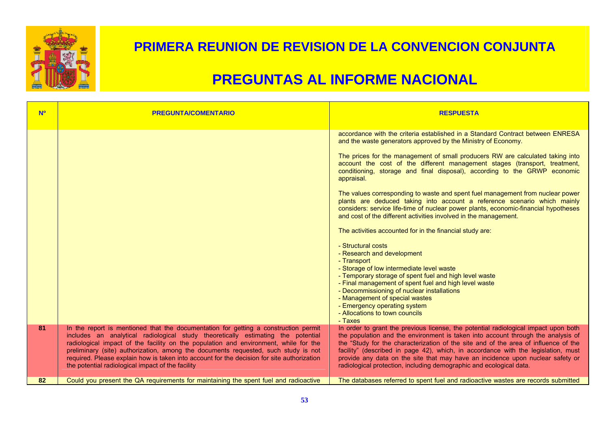

| <b>N<sup>o</sup></b> | <b>PREGUNTA/COMENTARIO</b>                                                                                                                                                                                                                                                                                                                                                                                                                                                                               | <b>RESPUESTA</b>                                                                                                                                                                                                                                                                                                                                                                                                                                                                                             |
|----------------------|----------------------------------------------------------------------------------------------------------------------------------------------------------------------------------------------------------------------------------------------------------------------------------------------------------------------------------------------------------------------------------------------------------------------------------------------------------------------------------------------------------|--------------------------------------------------------------------------------------------------------------------------------------------------------------------------------------------------------------------------------------------------------------------------------------------------------------------------------------------------------------------------------------------------------------------------------------------------------------------------------------------------------------|
|                      |                                                                                                                                                                                                                                                                                                                                                                                                                                                                                                          | accordance with the criteria established in a Standard Contract between ENRESA<br>and the waste generators approved by the Ministry of Economy.<br>The prices for the management of small producers RW are calculated taking into                                                                                                                                                                                                                                                                            |
|                      |                                                                                                                                                                                                                                                                                                                                                                                                                                                                                                          | account the cost of the different management stages (transport, treatment,<br>conditioning, storage and final disposal), according to the GRWP economic<br>appraisal.                                                                                                                                                                                                                                                                                                                                        |
|                      |                                                                                                                                                                                                                                                                                                                                                                                                                                                                                                          | The values corresponding to waste and spent fuel management from nuclear power<br>plants are deduced taking into account a reference scenario which mainly<br>considers: service life-time of nuclear power plants, economic-financial hypotheses<br>and cost of the different activities involved in the management.                                                                                                                                                                                        |
|                      |                                                                                                                                                                                                                                                                                                                                                                                                                                                                                                          | The activities accounted for in the financial study are:                                                                                                                                                                                                                                                                                                                                                                                                                                                     |
|                      |                                                                                                                                                                                                                                                                                                                                                                                                                                                                                                          | - Structural costs<br>- Research and development                                                                                                                                                                                                                                                                                                                                                                                                                                                             |
|                      |                                                                                                                                                                                                                                                                                                                                                                                                                                                                                                          | - Transport<br>- Storage of low intermediate level waste                                                                                                                                                                                                                                                                                                                                                                                                                                                     |
|                      |                                                                                                                                                                                                                                                                                                                                                                                                                                                                                                          | - Temporary storage of spent fuel and high level waste<br>- Final management of spent fuel and high level waste                                                                                                                                                                                                                                                                                                                                                                                              |
|                      |                                                                                                                                                                                                                                                                                                                                                                                                                                                                                                          | - Decommissioning of nuclear installations<br>- Management of special wastes                                                                                                                                                                                                                                                                                                                                                                                                                                 |
|                      |                                                                                                                                                                                                                                                                                                                                                                                                                                                                                                          | - Emergency operating system<br>- Allocations to town councils<br>- Taxes                                                                                                                                                                                                                                                                                                                                                                                                                                    |
| 81                   | In the report is mentioned that the documentation for getting a construction permit<br>includes an analytical radiological study theoretically estimating the potential<br>radiological impact of the facility on the population and environment, while for the<br>preliminary (site) authorization, among the documents requested, such study is not<br>required. Please explain how is taken into account for the decision for site authorization<br>the potential radiological impact of the facility | In order to grant the previous license, the potential radiological impact upon both<br>the population and the environment is taken into account through the analysis of<br>the "Study for the characterization of the site and of the area of influence of the<br>facility" (described in page 42), which, in accordance with the legislation, must<br>provide any data on the site that may have an incidence upon nuclear safety or<br>radiological protection, including demographic and ecological data. |
| 82                   | Could you present the QA requirements for maintaining the spent fuel and radioactive                                                                                                                                                                                                                                                                                                                                                                                                                     | The databases referred to spent fuel and radioactive wastes are records submitted                                                                                                                                                                                                                                                                                                                                                                                                                            |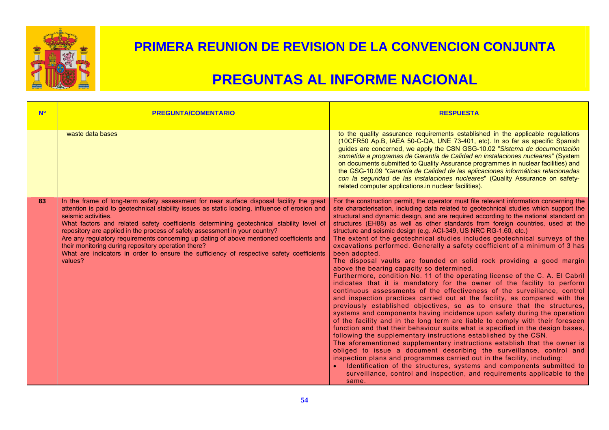

| <b>N<sup>o</sup></b> | <b>PREGUNTA/COMENTARIO</b>                                                                                                                                                                                                                                                                                                                                                                                                                                                                                                                                                                                                                             | <b>RESPUESTA</b>                                                                                                                                                                                                                                                                                                                                                                                                                                                                                                                                                                                                                                                                                                                                                                                                                                                                                                                                                                                                                                                                                                                                                                                                                                                                                                                                                                                                                                                                                                                                                                                                                                                                                                                                                                                                                                            |
|----------------------|--------------------------------------------------------------------------------------------------------------------------------------------------------------------------------------------------------------------------------------------------------------------------------------------------------------------------------------------------------------------------------------------------------------------------------------------------------------------------------------------------------------------------------------------------------------------------------------------------------------------------------------------------------|-------------------------------------------------------------------------------------------------------------------------------------------------------------------------------------------------------------------------------------------------------------------------------------------------------------------------------------------------------------------------------------------------------------------------------------------------------------------------------------------------------------------------------------------------------------------------------------------------------------------------------------------------------------------------------------------------------------------------------------------------------------------------------------------------------------------------------------------------------------------------------------------------------------------------------------------------------------------------------------------------------------------------------------------------------------------------------------------------------------------------------------------------------------------------------------------------------------------------------------------------------------------------------------------------------------------------------------------------------------------------------------------------------------------------------------------------------------------------------------------------------------------------------------------------------------------------------------------------------------------------------------------------------------------------------------------------------------------------------------------------------------------------------------------------------------------------------------------------------------|
|                      | waste data bases                                                                                                                                                                                                                                                                                                                                                                                                                                                                                                                                                                                                                                       | to the quality assurance requirements established in the applicable regulations<br>(10CFR50 Ap.B, IAEA 50-C-QA, UNE 73-401, etc). In so far as specific Spanish<br>guides are concerned, we apply the CSN GSG-10.02 "Sistema de documentación<br>sometida a programas de Garantía de Calidad en instalaciones nucleares" (System<br>on documents submitted to Quality Assurance programmes in nuclear facilities) and<br>the GSG-10.09 "Garantía de Calidad de las aplicaciones informáticas relacionadas<br>con la seguridad de las instalaciones nucleares" (Quality Assurance on safety-<br>related computer applications.in nuclear facilities).                                                                                                                                                                                                                                                                                                                                                                                                                                                                                                                                                                                                                                                                                                                                                                                                                                                                                                                                                                                                                                                                                                                                                                                                        |
| 83                   | In the frame of long-term safety assessment for near surface disposal facility the great<br>attention is paid to geotechnical stability issues as static loading, influence of erosion and<br>seismic activities.<br>What factors and related safety coefficients determining geotechnical stability level of<br>repository are applied in the process of safety assessment in your country?<br>Are any regulatory requirements concerning up dating of above mentioned coefficients and<br>their monitoring during repository operation there?<br>What are indicators in order to ensure the sufficiency of respective safety coefficients<br>values? | For the construction permit, the operator must file relevant information concerning the<br>site characterisation, including data related to geotechnical studies which support the<br>structural and dynamic design, and are required according to the national standard on<br>structures (EH88) as well as other standards from foreign countries, used at the<br>structure and seismic design (e.g. ACI-349, US NRC RG-1.60, etc.)<br>The extent of the geotechnical studies includes geotechnical surveys of the<br>excavations performed. Generally a safety coefficient of a minimum of 3 has<br>been adopted.<br>The disposal vaults are founded on solid rock providing a good margin<br>above the bearing capacity so determined.<br>Furthermore, condition No. 11 of the operating license of the C. A. El Cabril<br>indicates that it is mandatory for the owner of the facility to perform<br>continuous assessments of the effectiveness of the surveillance, control<br>and inspection practices carried out at the facility, as compared with the<br>previously established objectives, so as to ensure that the structures,<br>systems and components having incidence upon safety during the operation<br>of the facility and in the long term are liable to comply with their foreseen<br>function and that their behaviour suits what is specified in the design bases,<br>following the supplementary instructions established by the CSN.<br>The aforementioned supplementary instructions establish that the owner is<br>obliged to issue a document describing the surveillance, control and<br>inspection plans and programmes carried out in the facility, including:<br>Identification of the structures, systems and components submitted to<br>surveillance, control and inspection, and requirements applicable to the<br>same. |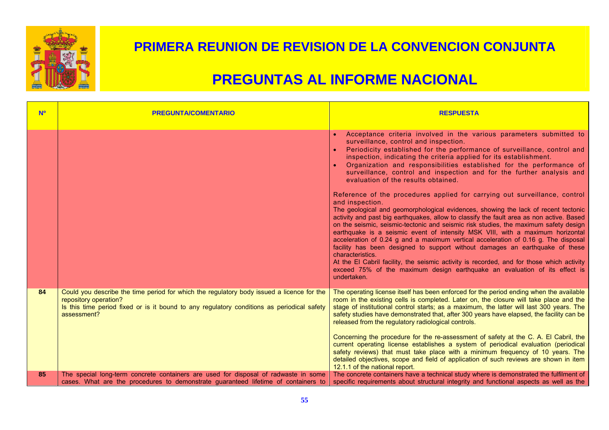

| <b>No</b> | <b>PREGUNTA/COMENTARIO</b>                                                                                                                                                                                                      | <b>RESPUESTA</b>                                                                                                                                                                                                                                                                                                                                                                                                                                                                                                                                                                                                                                                                                                                                                                                                                                                                                                                                                                                                                                                                                                                                                                                                                                                                                        |
|-----------|---------------------------------------------------------------------------------------------------------------------------------------------------------------------------------------------------------------------------------|---------------------------------------------------------------------------------------------------------------------------------------------------------------------------------------------------------------------------------------------------------------------------------------------------------------------------------------------------------------------------------------------------------------------------------------------------------------------------------------------------------------------------------------------------------------------------------------------------------------------------------------------------------------------------------------------------------------------------------------------------------------------------------------------------------------------------------------------------------------------------------------------------------------------------------------------------------------------------------------------------------------------------------------------------------------------------------------------------------------------------------------------------------------------------------------------------------------------------------------------------------------------------------------------------------|
|           |                                                                                                                                                                                                                                 | Acceptance criteria involved in the various parameters submitted to<br>surveillance, control and inspection.<br>Periodicity established for the performance of surveillance, control and<br>inspection, indicating the criteria applied for its establishment.<br>Organization and responsibilities established for the performance of<br>surveillance, control and inspection and for the further analysis and<br>evaluation of the results obtained.<br>Reference of the procedures applied for carrying out surveillance, control<br>and inspection.<br>The geological and geomorphological evidences, showing the lack of recent tectonic<br>activity and past big earthquakes, allow to classify the fault area as non active. Based<br>on the seismic, seismic-tectonic and seismic risk studies, the maximum safety design<br>earthquake is a seismic event of intensity MSK VIII, with a maximum horizontal<br>acceleration of 0.24 g and a maximum vertical acceleration of 0.16 g. The disposal<br>facility has been designed to support without damages an earthquake of these<br>characteristics.<br>At the El Cabril facility, the seismic activity is recorded, and for those which activity<br>exceed 75% of the maximum design earthquake an evaluation of its effect is<br>undertaken. |
| 84        | Could you describe the time period for which the regulatory body issued a licence for the<br>repository operation?<br>Is this time period fixed or is it bound to any regulatory conditions as periodical safety<br>assessment? | The operating license itself has been enforced for the period ending when the available<br>room in the existing cells is completed. Later on, the closure will take place and the<br>stage of institutional control starts; as a maximum, the latter will last 300 years. The<br>safety studies have demonstrated that, after 300 years have elapsed, the facility can be<br>released from the regulatory radiological controls.<br>Concerning the procedure for the re-assessment of safety at the C. A. El Cabril, the<br>current operating license establishes a system of periodical evaluation (periodical<br>safety reviews) that must take place with a minimum frequency of 10 years. The<br>detailed objectives, scope and field of application of such reviews are shown in item<br>12.1.1 of the national report.                                                                                                                                                                                                                                                                                                                                                                                                                                                                            |
| 85        | The special long-term concrete containers are used for disposal of radwaste in some<br>cases. What are the procedures to demonstrate guaranteed lifetime of containers to                                                       | The concrete containers have a technical study where is demonstrated the fulfilment of<br>specific requirements about structural integrity and functional aspects as well as the                                                                                                                                                                                                                                                                                                                                                                                                                                                                                                                                                                                                                                                                                                                                                                                                                                                                                                                                                                                                                                                                                                                        |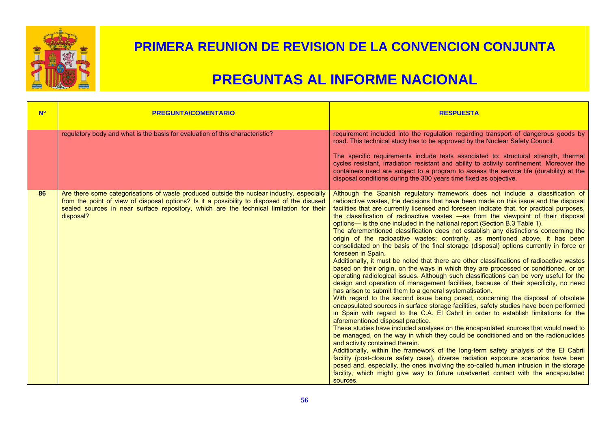

| <b>NO</b> | <b>PREGUNTA/COMENTARIO</b>                                                                                                                                                                                                                                                                      | <b>RESPUESTA</b>                                                                                                                                                                                                                                                                                                                                                                                                                                                                                                                                                                                                                                                                                                                                                                                                                                                                                                                                                                                                                                                                                                                                                                                                                                                                                                                                                                                                                                                                                                                                                                                                                                                                                                                                                                                                                                                                                                                                                                                                                                                          |
|-----------|-------------------------------------------------------------------------------------------------------------------------------------------------------------------------------------------------------------------------------------------------------------------------------------------------|---------------------------------------------------------------------------------------------------------------------------------------------------------------------------------------------------------------------------------------------------------------------------------------------------------------------------------------------------------------------------------------------------------------------------------------------------------------------------------------------------------------------------------------------------------------------------------------------------------------------------------------------------------------------------------------------------------------------------------------------------------------------------------------------------------------------------------------------------------------------------------------------------------------------------------------------------------------------------------------------------------------------------------------------------------------------------------------------------------------------------------------------------------------------------------------------------------------------------------------------------------------------------------------------------------------------------------------------------------------------------------------------------------------------------------------------------------------------------------------------------------------------------------------------------------------------------------------------------------------------------------------------------------------------------------------------------------------------------------------------------------------------------------------------------------------------------------------------------------------------------------------------------------------------------------------------------------------------------------------------------------------------------------------------------------------------------|
|           | regulatory body and what is the basis for evaluation of this characteristic?                                                                                                                                                                                                                    | requirement included into the regulation regarding transport of dangerous goods by<br>road. This technical study has to be approved by the Nuclear Safety Council.<br>The specific requirements include tests associated to: structural strength, thermal<br>cycles resistant, irradiation resistant and ability to activity confinement. Moreover the<br>containers used are subject to a program to assess the service life (durability) at the<br>disposal conditions during the 300 years time fixed as objective.                                                                                                                                                                                                                                                                                                                                                                                                                                                                                                                                                                                                                                                                                                                                                                                                                                                                                                                                                                                                                                                                                                                                                                                                                                                                                                                                                                                                                                                                                                                                                    |
| 86        | Are there some categorisations of waste produced outside the nuclear industry, especially<br>from the point of view of disposal options? Is it a possibility to disposed of the disused<br>sealed sources in near surface repository, which are the technical limitation for their<br>disposal? | Although the Spanish regulatory framework does not include a classification of<br>radioactive wastes, the decisions that have been made on this issue and the disposal<br>facilities that are currently licensed and foreseen indicate that, for practical purposes,<br>the classification of radioactive wastes -as from the viewpoint of their disposal<br>options— is the one included in the national report (Section B.3 Table 1).<br>The aforementioned classification does not establish any distinctions concerning the<br>origin of the radioactive wastes; contrarily, as mentioned above, it has been<br>consolidated on the basis of the final storage (disposal) options currently in force or<br>foreseen in Spain.<br>Additionally, it must be noted that there are other classifications of radioactive wastes<br>based on their origin, on the ways in which they are processed or conditioned, or on<br>operating radiological issues. Although such classifications can be very useful for the<br>design and operation of management facilities, because of their specificity, no need<br>has arisen to submit them to a general systematisation.<br>With regard to the second issue being posed, concerning the disposal of obsolete<br>encapsulated sources in surface storage facilities, safety studies have been performed<br>in Spain with regard to the C.A. El Cabril in order to establish limitations for the<br>aforementioned disposal practice.<br>These studies have included analyses on the encapsulated sources that would need to<br>be managed, on the way in which they could be conditioned and on the radionuclides<br>and activity contained therein.<br>Additionally, within the framework of the long-term safety analysis of the El Cabril<br>facility (post-closure safety case), diverse radiation exposure scenarios have been<br>posed and, especially, the ones involving the so-called human intrusion in the storage<br>facility, which might give way to future unadverted contact with the encapsulated<br>sources. |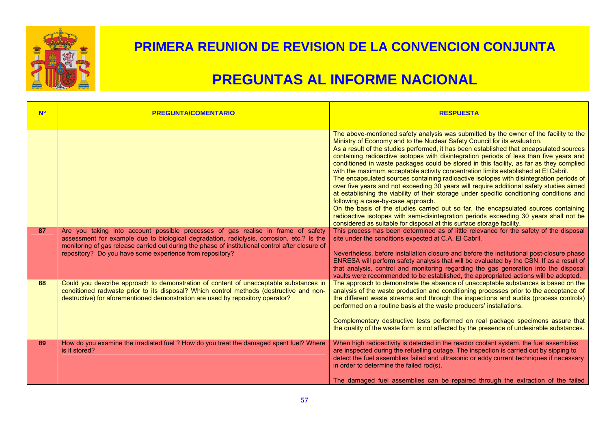

| <b>No</b> | <b>PREGUNTA/COMENTARIO</b>                                                                                                                                                                                                                                                                                                                    | <b>RESPUESTA</b>                                                                                                                                                                                                                                                                                                                                                                                                                                                                                                                                                                                                                                                                                                                                                                                                                                                                                                                                                                                                                                                                                                                                                                                                                                                                                                                                                                                                                                                                                                                                                 |
|-----------|-----------------------------------------------------------------------------------------------------------------------------------------------------------------------------------------------------------------------------------------------------------------------------------------------------------------------------------------------|------------------------------------------------------------------------------------------------------------------------------------------------------------------------------------------------------------------------------------------------------------------------------------------------------------------------------------------------------------------------------------------------------------------------------------------------------------------------------------------------------------------------------------------------------------------------------------------------------------------------------------------------------------------------------------------------------------------------------------------------------------------------------------------------------------------------------------------------------------------------------------------------------------------------------------------------------------------------------------------------------------------------------------------------------------------------------------------------------------------------------------------------------------------------------------------------------------------------------------------------------------------------------------------------------------------------------------------------------------------------------------------------------------------------------------------------------------------------------------------------------------------------------------------------------------------|
| 87        | Are you taking into account possible processes of gas realise in frame of safety<br>assessment for example due to biological degradation, radiolysis, corrosion, etc.? Is the<br>monitoring of gas release carried out during the phase of institutional control after closure of<br>repository? Do you have some experience from repository? | The above-mentioned safety analysis was submitted by the owner of the facility to the<br>Ministry of Economy and to the Nuclear Safety Council for its evaluation.<br>As a result of the studies performed, it has been established that encapsulated sources<br>containing radioactive isotopes with disintegration periods of less than five years and<br>conditioned in waste packages could be stored in this facility, as far as they complied<br>with the maximum acceptable activity concentration limits established at El Cabril.<br>The encapsulated sources containing radioactive isotopes with disintegration periods of<br>over five years and not exceeding 30 years will require additional safety studies aimed<br>at establishing the viability of their storage under specific conditioning conditions and<br>following a case-by-case approach.<br>On the basis of the studies carried out so far, the encapsulated sources containing<br>radioactive isotopes with semi-disintegration periods exceeding 30 years shall not be<br>considered as suitable for disposal at this surface storage facility.<br>This process has been determined as of little relevance for the safety of the disposal<br>site under the conditions expected at C.A. El Cabril.<br>Nevertheless, before installation closure and before the institutional post-closure phase<br>ENRESA will perform safety analysis that will be evaluated by the CSN. If as a result of<br>that analysis, control and monitoring regarding the gas generation into the disposal |
| 88        | Could you describe approach to demonstration of content of unacceptable substances in<br>conditioned radwaste prior to its disposal? Which control methods (destructive and non-<br>destructive) for aforementioned demonstration are used by repository operator?                                                                            | vaults were recommended to be established, the appropriated actions will be adopted.<br>The approach to demonstrate the absence of unacceptable substances is based on the<br>analysis of the waste production and conditioning processes prior to the acceptance of<br>the different waste streams and through the inspections and audits (process controls)<br>performed on a routine basis at the waste producers' installations.<br>Complementary destructive tests performed on real package specimens assure that<br>the quality of the waste form is not affected by the presence of undesirable substances.                                                                                                                                                                                                                                                                                                                                                                                                                                                                                                                                                                                                                                                                                                                                                                                                                                                                                                                                              |
| 89        | How do you examine the irradiated fuel ? How do you treat the damaged spent fuel? Where<br>is it stored?                                                                                                                                                                                                                                      | When high radioactivity is detected in the reactor coolant system, the fuel assemblies<br>are inspected during the refuelling outage. The inspection is carried out by sipping to<br>detect the fuel assemblies failed and ultrasonic or eddy current techniques if necessary<br>in order to determine the failed rod(s).<br>The damaged fuel assemblies can be repaired through the extraction of the failed                                                                                                                                                                                                                                                                                                                                                                                                                                                                                                                                                                                                                                                                                                                                                                                                                                                                                                                                                                                                                                                                                                                                                    |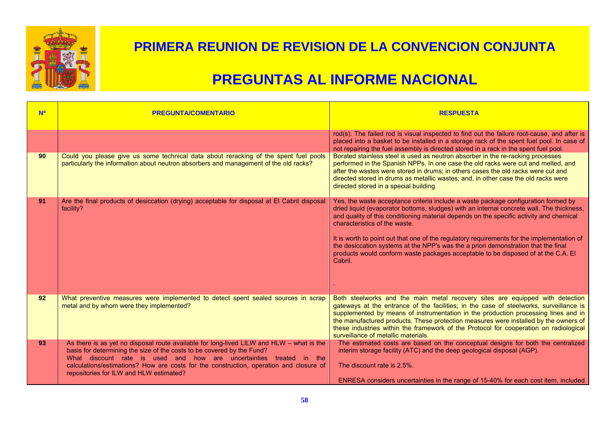

| <b>No</b> | <b>PREGUNTA/COMENTARIO</b>                                                                                                                                                                                                                                                                                                                                                         | <b>RESPUESTA</b>                                                                                                                                                                                                                                                                                                                                                                                                                                                                                                                                                                                                                                                              |
|-----------|------------------------------------------------------------------------------------------------------------------------------------------------------------------------------------------------------------------------------------------------------------------------------------------------------------------------------------------------------------------------------------|-------------------------------------------------------------------------------------------------------------------------------------------------------------------------------------------------------------------------------------------------------------------------------------------------------------------------------------------------------------------------------------------------------------------------------------------------------------------------------------------------------------------------------------------------------------------------------------------------------------------------------------------------------------------------------|
| 90        | Could you please give us some technical data about reracking of the spent fuel pools<br>particularly the information about neutron absorbers and management of the old racks?                                                                                                                                                                                                      | rod(s). The failed rod is visual inspected to find out the failure root-cause, and after is<br>placed into a basket to be installed in a storage rack of the spent fuel pool. In case of<br>not repairing the fuel assembly is directed stored in a rack in the spent fuel pool.<br>Borated stainless steel is used as neutron absorber in the re-racking processes<br>performed in the Spanish NPPs. In one case the old racks were cut and melted, and<br>after the wastes were stored in drums; in others cases the old racks were cut and<br>directed stored in drums as metallic wastes; and, in other case the old racks were<br>directed stored in a special building. |
| 91        | Are the final products of desiccation (drying) acceptable for disposal at El Cabril disposal<br>facility?                                                                                                                                                                                                                                                                          | Yes, the waste acceptance criteria include a waste package configuration formed by<br>dried liquid (evaporator bottoms, sludges) with an internal concrete wall. The thickness,<br>and quality of this conditioning material depends on the specific activity and chemical<br>characteristics of the waste.<br>It is worth to point out that one of the regulatory requirements for the implementation of<br>the desiccation systems at the NPP's was the a priori demonstration that the final<br>products would conform waste packages acceptable to be disposed of at the C.A. El<br>Cabril.                                                                               |
| 92        | What preventive measures were implemented to detect spent sealed sources in scrap<br>metal and by whom were they implemented?                                                                                                                                                                                                                                                      | Both steelworks and the main metal recovery sites are equipped with detection<br>gateways at the entrance of the facilities; in the case of steelworks, surveillance is<br>supplemented by means of instrumentation in the production processing lines and in<br>the manufactured products. These protection measures were installed by the owners of<br>these industries within the framework of the Protocol for cooperation on radiological<br>surveillance of metallic materials.                                                                                                                                                                                         |
| 93        | As there is as yet no disposal route available for long-lived $LILW$ and $HLW$ – what is the<br>basis for determining the size of the costs to be covered by the Fund?<br>What discount rate is used and how are uncertainties treated in the<br>calculations/estimations? How are costs for the construction, operation and closure of<br>repositories for ILW and HLW estimated? | The estimated costs are based on the conceptual designs for both the centralized<br>interim storage facility (ATC) and the deep geological disposal (AGP).<br>The discount rate is 2.5%.<br>ENRESA considers uncertainties in the range of 15-40% for each cost item, included                                                                                                                                                                                                                                                                                                                                                                                                |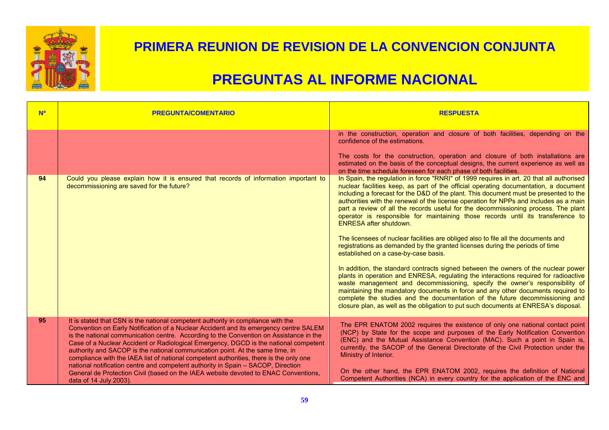

| <b>N<sup>o</sup></b> | <b>PREGUNTA/COMENTARIO</b>                                                                                                                                                                                                                                                                                                                                                                                                                                                                                                                                                                                                                                                                                                                  | <b>RESPUESTA</b>                                                                                                                                                                                                                                                                                                                                                                                                                                                                                                                                                                                                                                                                                                                                                                                                                                                                                                                                                                                                                                                                                                                                                                                                                                                                                                                                                                                                           |
|----------------------|---------------------------------------------------------------------------------------------------------------------------------------------------------------------------------------------------------------------------------------------------------------------------------------------------------------------------------------------------------------------------------------------------------------------------------------------------------------------------------------------------------------------------------------------------------------------------------------------------------------------------------------------------------------------------------------------------------------------------------------------|----------------------------------------------------------------------------------------------------------------------------------------------------------------------------------------------------------------------------------------------------------------------------------------------------------------------------------------------------------------------------------------------------------------------------------------------------------------------------------------------------------------------------------------------------------------------------------------------------------------------------------------------------------------------------------------------------------------------------------------------------------------------------------------------------------------------------------------------------------------------------------------------------------------------------------------------------------------------------------------------------------------------------------------------------------------------------------------------------------------------------------------------------------------------------------------------------------------------------------------------------------------------------------------------------------------------------------------------------------------------------------------------------------------------------|
| 94                   | Could you please explain how it is ensured that records of information important to<br>decommissioning are saved for the future?                                                                                                                                                                                                                                                                                                                                                                                                                                                                                                                                                                                                            | in the construction, operation and closure of both facilities, depending on the<br>confidence of the estimations.<br>The costs for the construction, operation and closure of both installations are<br>estimated on the basis of the conceptual designs, the current experience as well as<br>on the time schedule foreseen for each phase of both facilities.<br>In Spain, the regulation in force "RNRI" of 1999 requires in art. 20 that all authorised<br>nuclear facilities keep, as part of the official operating documentation, a document<br>including a forecast for the D&D of the plant. This document must be presented to the<br>authorities with the renewal of the license operation for NPPs and includes as a main<br>part a review of all the records useful for the decommissioning process. The plant<br>operator is responsible for maintaining those records until its transference to<br><b>ENRESA after shutdown.</b><br>The licensees of nuclear facilities are obliged also to file all the documents and<br>registrations as demanded by the granted licenses during the periods of time<br>established on a case-by-case basis.<br>In addition, the standard contracts signed between the owners of the nuclear power<br>plants in operation and ENRESA, regulating the interactions required for radioactive<br>waste management and decommissioning, specify the owner's responsibility of |
|                      |                                                                                                                                                                                                                                                                                                                                                                                                                                                                                                                                                                                                                                                                                                                                             | maintaining the mandatory documents in force and any other documents required to<br>complete the studies and the documentation of the future decommissioning and<br>closure plan, as well as the obligation to put such documents at ENRESA's disposal.                                                                                                                                                                                                                                                                                                                                                                                                                                                                                                                                                                                                                                                                                                                                                                                                                                                                                                                                                                                                                                                                                                                                                                    |
| 95                   | It is stated that CSN is the national competent authority in compliance with the<br>Convention on Early Notification of a Nuclear Accident and its emergency centre SALEM<br>is the national communication centre. According to the Convention on Assistance in the<br>Case of a Nuclear Accident or Radiological Emergency, DGCD is the national competent<br>authority and SACOP is the national communication point. At the same time, in<br>compliance with the IAEA list of national competent authorities, there is the only one<br>national notification centre and competent authority in Spain - SACOP, Direction<br>General de Protection Civil (based on the IAEA website devoted to ENAC Conventions,<br>data of 14 July 2003). | The EPR ENATOM 2002 requires the existence of only one national contact point<br>(NCP) by State for the scope and purposes of the Early Notification Convention<br>(ENC) and the Mutual Assistance Convention (MAC). Such a point in Spain is,<br>currently, the SACOP of the General Directorate of the Civil Protection under the<br>Ministry of Interior.<br>On the other hand, the EPR ENATOM 2002, requires the definition of National<br>Competent Authorities (NCA) in every country for the application of the ENC and                                                                                                                                                                                                                                                                                                                                                                                                                                                                                                                                                                                                                                                                                                                                                                                                                                                                                             |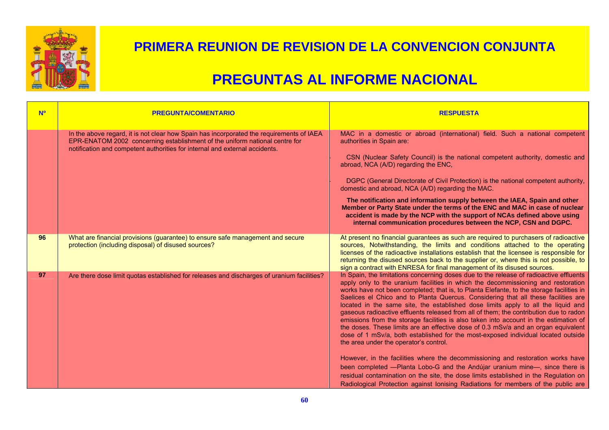

| <b>No</b> | <b>PREGUNTA/COMENTARIO</b>                                                                                                                                                                                                                             | <b>RESPUESTA</b>                                                                                                                                                                                                                                                                                                                                                                                                                                                                                                                                                                                                                                                                                                                                                                                                                                                                                                                                                                                                                                                                                                                                                                                            |
|-----------|--------------------------------------------------------------------------------------------------------------------------------------------------------------------------------------------------------------------------------------------------------|-------------------------------------------------------------------------------------------------------------------------------------------------------------------------------------------------------------------------------------------------------------------------------------------------------------------------------------------------------------------------------------------------------------------------------------------------------------------------------------------------------------------------------------------------------------------------------------------------------------------------------------------------------------------------------------------------------------------------------------------------------------------------------------------------------------------------------------------------------------------------------------------------------------------------------------------------------------------------------------------------------------------------------------------------------------------------------------------------------------------------------------------------------------------------------------------------------------|
|           | In the above regard, it is not clear how Spain has incorporated the requirements of IAEA<br>EPR-ENATOM 2002 concerning establishment of the uniform national centre for<br>notification and competent authorities for internal and external accidents. | MAC in a domestic or abroad (international) field. Such a national competent<br>authorities in Spain are:<br>CSN (Nuclear Safety Council) is the national competent authority, domestic and<br>abroad, NCA (A/D) regarding the ENC,<br>DGPC (General Directorate of Civil Protection) is the national competent authority,<br>domestic and abroad, NCA (A/D) regarding the MAC.<br>The notification and information supply between the IAEA, Spain and other<br>Member or Party State under the terms of the ENC and MAC in case of nuclear<br>accident is made by the NCP with the support of NCAs defined above using<br>internal communication procedures between the NCP, CSN and DGPC.                                                                                                                                                                                                                                                                                                                                                                                                                                                                                                                 |
| 96        | What are financial provisions (guarantee) to ensure safe management and secure<br>protection (including disposal) of disused sources?                                                                                                                  | At present no financial guarantees as such are required to purchasers of radioactive<br>sources, Notwithstanding, the limits and conditions attached to the operating<br>licenses of the radioactive installations establish that the licensee is responsible for<br>returning the disused sources back to the supplier or, where this is not possible, to<br>sign a contract with ENRESA for final management of its disused sources.                                                                                                                                                                                                                                                                                                                                                                                                                                                                                                                                                                                                                                                                                                                                                                      |
| 97        | Are there dose limit quotas established for releases and discharges of uranium facilities?                                                                                                                                                             | In Spain, the limitations concerning doses due to the release of radioactive effluents<br>apply only to the uranium facilities in which the decommissioning and restoration<br>works have not been completed; that is, to Planta Elefante, to the storage facilities in<br>Saelices el Chico and to Planta Quercus. Considering that all these facilities are<br>located in the same site, the established dose limits apply to all the liquid and<br>gaseous radioactive effluents released from all of them; the contribution due to radon<br>emissions from the storage facilities is also taken into account in the estimation of<br>the doses. These limits are an effective dose of 0.3 mSv/a and an organ equivalent<br>dose of 1 mSv/a, both established for the most-exposed individual located outside<br>the area under the operator's control.<br>However, in the facilities where the decommissioning and restoration works have<br>been completed -- Planta Lobo-G and the Andújar uranium mine-, since there is<br>residual contamination on the site, the dose limits established in the Regulation on<br>Radiological Protection against Ionising Radiations for members of the public are |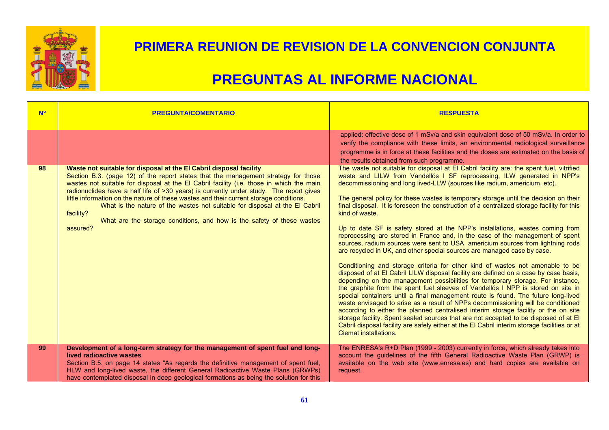

| <b>No</b> | <b>PREGUNTA/COMENTARIO</b>                                                                                                                                                                                                                                                                                                                                                                                                                                                                                                                                                                                                  | <b>RESPUESTA</b>                                                                                                                                                                                                                                                                                                                                                                                                                                                                                                                                                                                                                                                                                                                                                                                                                                                                                                                                                                                                                                                                                                                                                                                                                                                                                                                                                                                                                                                                                                                                                                                                         |
|-----------|-----------------------------------------------------------------------------------------------------------------------------------------------------------------------------------------------------------------------------------------------------------------------------------------------------------------------------------------------------------------------------------------------------------------------------------------------------------------------------------------------------------------------------------------------------------------------------------------------------------------------------|--------------------------------------------------------------------------------------------------------------------------------------------------------------------------------------------------------------------------------------------------------------------------------------------------------------------------------------------------------------------------------------------------------------------------------------------------------------------------------------------------------------------------------------------------------------------------------------------------------------------------------------------------------------------------------------------------------------------------------------------------------------------------------------------------------------------------------------------------------------------------------------------------------------------------------------------------------------------------------------------------------------------------------------------------------------------------------------------------------------------------------------------------------------------------------------------------------------------------------------------------------------------------------------------------------------------------------------------------------------------------------------------------------------------------------------------------------------------------------------------------------------------------------------------------------------------------------------------------------------------------|
|           |                                                                                                                                                                                                                                                                                                                                                                                                                                                                                                                                                                                                                             | applied: effective dose of 1 mSv/a and skin equivalent dose of 50 mSv/a. In order to<br>verify the compliance with these limits, an environmental radiological surveillance<br>programme is in force at these facilities and the doses are estimated on the basis of<br>the results obtained from such programme.                                                                                                                                                                                                                                                                                                                                                                                                                                                                                                                                                                                                                                                                                                                                                                                                                                                                                                                                                                                                                                                                                                                                                                                                                                                                                                        |
| 98        | Waste not suitable for disposal at the El Cabril disposal facility<br>Section B.3. (page 12) of the report states that the management strategy for those<br>wastes not suitable for disposal at the El Cabril facility (i.e. those in which the main<br>radionuclides have a half life of >30 years) is currently under study. The report gives<br>little information on the nature of these wastes and their current storage conditions.<br>What is the nature of the wastes not suitable for disposal at the El Cabril<br>facility?<br>What are the storage conditions, and how is the safety of these wastes<br>assured? | The waste not suitable for disposal at El Cabril facility are: the spent fuel, vitrified<br>waste and LILW from Vandellós I SF reprocessing, ILW generated in NPP's<br>decommissioning and long lived-LLW (sources like radium, americium, etc).<br>The general policy for these wastes is temporary storage until the decision on their<br>final disposal. It is foreseen the construction of a centralized storage facility for this<br>kind of waste.<br>Up to date SF is safety stored at the NPP's installations, wastes coming from<br>reprocessing are stored in France and, in the case of the management of spent<br>sources, radium sources were sent to USA, americium sources from lightning rods<br>are recycled in UK, and other special sources are managed case by case.<br>Conditioning and storage criteria for other kind of wastes not amenable to be<br>disposed of at El Cabril LILW disposal facility are defined on a case by case basis,<br>depending on the management possibilities for temporary storage. For instance,<br>the graphite from the spent fuel sleeves of Vandellós I NPP is stored on site in<br>special containers until a final management route is found. The future long-lived<br>waste envisaged to arise as a result of NPPs decommissioning will be conditioned<br>according to either the planned centralised interim storage facility or the on site<br>storage facility. Spent sealed sources that are not accepted to be disposed of at El<br>Cabril disposal facility are safely either at the EI Cabril interim storage facilities or at<br>Ciemat installations. |
| 99        | Development of a long-term strategy for the management of spent fuel and long-<br>lived radioactive wastes<br>Section B.5. on page 14 states "As regards the definitive management of spent fuel,<br>HLW and long-lived waste, the different General Radioactive Waste Plans (GRWPs)<br>have contemplated disposal in deep geological formations as being the solution for this                                                                                                                                                                                                                                             | The ENRESA's R+D Plan (1999 - 2003) currently in force, which already takes into<br>account the guidelines of the fifth General Radioactive Waste Plan (GRWP) is<br>available on the web site (www.enresa.es) and hard copies are available on<br>request.                                                                                                                                                                                                                                                                                                                                                                                                                                                                                                                                                                                                                                                                                                                                                                                                                                                                                                                                                                                                                                                                                                                                                                                                                                                                                                                                                               |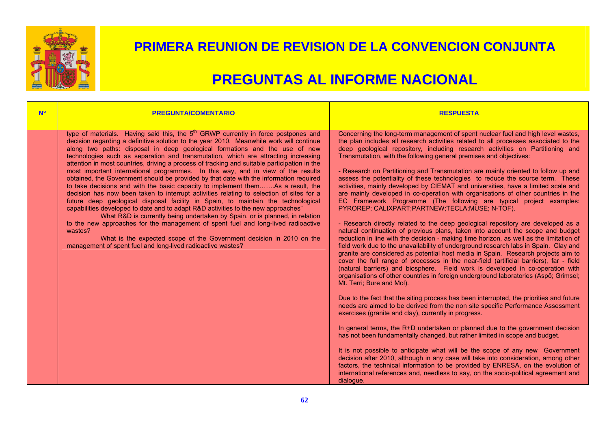

## **PREGUNTAS AL INFORME NACIONAL**

#### **Nº PREGUNTA/COMENTARIO RESPUESTA**

type of materials. Having said this, the  $5<sup>th</sup>$  GRWP currently in force postpones and decision regarding a definitive solution to the year 2010. Meanwhile work will continue along two paths: disposal in deep geological formations and the use of new technologies such as separation and transmutation, which are attracting increasing attention in most countries, driving a process of tracking and suitable participation in the most important international programmes. In this way, and in view of the results obtained, the Government should be provided by that date with the information required to take decisions and with the basic capacity to implement them…….As a result, the decision has now been taken to interrupt activities relating to selection of sites for a future deep geological disposal facility in Spain, to maintain the technological capabilities developed to date and to adapt R&D activities to the new approaches"

What R&D is currently being undertaken by Spain, or is planned, in relation to the new approaches for the management of spent fuel and long-lived radioactive wastes?

What is the expected scope of the Government decision in 2010 on the management of spent fuel and long-lived radioactive wastes?

Concerning the long-term management of spent nuclear fuel and high level wastes, the plan includes all research activities related to all processes associated to the deep geological repository, including research activities on Partitioning and Transmutation, with the following general premises and objectives:

- Research on Partitioning and Transmutation are mainly oriented to follow up and assess the potentiality of these technologies to reduce the source term. These activities, mainly developed by CIEMAT and universities, have a limited scale and are mainly developed in co-operation with organisations of other countries in the EC Framework Programme (The following are typical project examples: PYROREP; CALIXPART;PARTNEW;TECLA;MUSE; N-TOF).

- Research directly related to the deep geological repository are developed as a natural continuation of previous plans, taken into account the scope and budget reduction in line with the decision - making time horizon, as well as the limitation of field work due to the unavailability of underground research labs in Spain. Clay and granite are considered as potential host media in Spain. Research projects aim to cover the full range of processes in the near-field (artificial barriers), far - field (natural barriers) and biosphere. Field work is developed in co-operation with organisations of other countries in foreign underground laboratories (Aspö; Grimsel; Mt. Terri; Bure and Mol).

Due to the fact that the siting process has been interrupted, the priorities and future needs are aimed to be derived from the non site specific Performance Assessment exercises (granite and clay), currently in progress.

In general terms, the R+D undertaken or planned due to the government decision has not been fundamentally changed, but rather limited in scope and budget.

It is not possible to anticipate what will be the scope of any new Government decision after 2010, although in any case will take into consideration, among other factors, the technical information to be provided by ENRESA, on the evolution of international references and, needless to say, on the socio-political agreement and dialogue.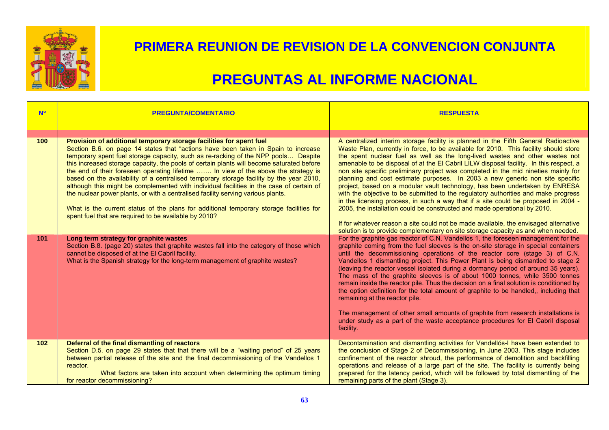

| <b>N<sup>o</sup></b> | <b>PREGUNTA/COMENTARIO</b>                                                                                                                                                                                                                                                                                                                                                                                                                                                                                                                                                                                                                                                                                                                                                                                                                                       | <b>RESPUESTA</b>                                                                                                                                                                                                                                                                                                                                                                                                                                                                                                                                                                                                                                                                                                                                                                                                                                                                                                                                                                                                                                |
|----------------------|------------------------------------------------------------------------------------------------------------------------------------------------------------------------------------------------------------------------------------------------------------------------------------------------------------------------------------------------------------------------------------------------------------------------------------------------------------------------------------------------------------------------------------------------------------------------------------------------------------------------------------------------------------------------------------------------------------------------------------------------------------------------------------------------------------------------------------------------------------------|-------------------------------------------------------------------------------------------------------------------------------------------------------------------------------------------------------------------------------------------------------------------------------------------------------------------------------------------------------------------------------------------------------------------------------------------------------------------------------------------------------------------------------------------------------------------------------------------------------------------------------------------------------------------------------------------------------------------------------------------------------------------------------------------------------------------------------------------------------------------------------------------------------------------------------------------------------------------------------------------------------------------------------------------------|
|                      |                                                                                                                                                                                                                                                                                                                                                                                                                                                                                                                                                                                                                                                                                                                                                                                                                                                                  |                                                                                                                                                                                                                                                                                                                                                                                                                                                                                                                                                                                                                                                                                                                                                                                                                                                                                                                                                                                                                                                 |
| 100                  | Provision of additional temporary storage facilities for spent fuel<br>Section B.6. on page 14 states that "actions have been taken in Spain to increase<br>temporary spent fuel storage capacity, such as re-racking of the NPP pools Despite<br>this increased storage capacity, the pools of certain plants will become saturated before<br>the end of their foreseen operating lifetime  In view of the above the strategy is<br>based on the availability of a centralised temporary storage facility by the year 2010,<br>although this might be complemented with individual facilities in the case of certain of<br>the nuclear power plants, or with a centralised facility serving various plants.<br>What is the current status of the plans for additional temporary storage facilities for<br>spent fuel that are required to be available by 2010? | A centralized interim storage facility is planned in the Fifth General Radioactive<br>Waste Plan, currently in force, to be available for 2010. This facility should store<br>the spent nuclear fuel as well as the long-lived wastes and other wastes not<br>amenable to be disposal of at the EI Cabril LILW disposal facility. In this respect, a<br>non site specific preliminary project was completed in the mid nineties mainly for<br>planning and cost estimate purposes. In 2003 a new generic non site specific<br>project, based on a modular vault technology, has been undertaken by ENRESA<br>with the objective to be submitted to the regulatory authorities and make progress<br>in the licensing process, in such a way that if a site could be proposed in 2004 -<br>2005, the installation could be constructed and made operational by 2010.<br>If for whatever reason a site could not be made available, the envisaged alternative<br>solution is to provide complementary on site storage capacity as and when needed. |
| 101                  | Long term strategy for graphite wastes<br>Section B.8. (page 20) states that graphite wastes fall into the category of those which<br>cannot be disposed of at the El Cabril facility.<br>What is the Spanish strategy for the long-term management of graphite wastes?                                                                                                                                                                                                                                                                                                                                                                                                                                                                                                                                                                                          | For the graphite gas reactor of C.N. Vandellos 1, the foreseen management for the<br>graphite coming from the fuel sleeves is the on-site storage in special containers<br>until the decommissioning operations of the reactor core (stage 3) of C.N.<br>Vandellos 1 dismantling project. This Power Plant is being dismantled to stage 2<br>(leaving the reactor vessel isolated during a dormancy period of around 35 years).<br>The mass of the graphite sleeves is of about 1000 tonnes, while 3500 tonnes<br>remain inside the reactor pile. Thus the decision on a final solution is conditioned by<br>the option definition for the total amount of graphite to be handled,, including that<br>remaining at the reactor pile.<br>The management of other small amounts of graphite from research installations is<br>under study as a part of the waste acceptance procedures for El Cabril disposal<br>facility.                                                                                                                        |
| 102                  | Deferral of the final dismantling of reactors<br>Section D.5. on page 29 states that that there will be a "waiting period" of 25 years<br>between partial release of the site and the final decommissioning of the Vandellos 1<br>reactor.<br>What factors are taken into account when determining the optimum timing<br>for reactor decommissioning?                                                                                                                                                                                                                                                                                                                                                                                                                                                                                                            | Decontamination and dismantling activities for Vandellós-I have been extended to<br>the conclusion of Stage 2 of Decommissioning, in June 2003. This stage includes<br>confinement of the reactor shroud, the performance of demolition and backfilling<br>operations and release of a large part of the site. The facility is currently being<br>prepared for the latency period, which will be followed by total dismantling of the<br>remaining parts of the plant (Stage 3).                                                                                                                                                                                                                                                                                                                                                                                                                                                                                                                                                                |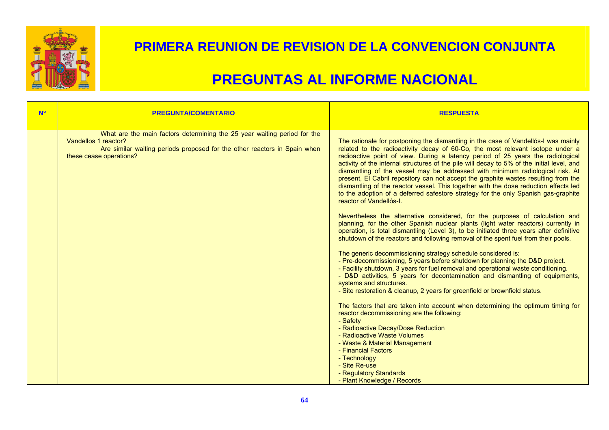

| <b>NO</b> | <b>PREGUNTA/COMENTARIO</b>                                                                                                                                                                               | <b>RESPUESTA</b>                                                                                                                                                                                                                                                                                                                                                                                                                                                                                                                                                                                                                                                                                                                       |
|-----------|----------------------------------------------------------------------------------------------------------------------------------------------------------------------------------------------------------|----------------------------------------------------------------------------------------------------------------------------------------------------------------------------------------------------------------------------------------------------------------------------------------------------------------------------------------------------------------------------------------------------------------------------------------------------------------------------------------------------------------------------------------------------------------------------------------------------------------------------------------------------------------------------------------------------------------------------------------|
|           |                                                                                                                                                                                                          |                                                                                                                                                                                                                                                                                                                                                                                                                                                                                                                                                                                                                                                                                                                                        |
|           | What are the main factors determining the 25 year waiting period for the<br>Vandellos 1 reactor?<br>Are similar waiting periods proposed for the other reactors in Spain when<br>these cease operations? | The rationale for postponing the dismantling in the case of Vandellós-I was mainly<br>related to the radioactivity decay of 60-Co, the most relevant isotope under a<br>radioactive point of view. During a latency period of 25 years the radiological<br>activity of the internal structures of the pile will decay to 5% of the initial level, and<br>dismantling of the vessel may be addressed with minimum radiological risk. At<br>present, El Cabril repository can not accept the graphite wastes resulting from the<br>dismantling of the reactor vessel. This together with the dose reduction effects led<br>to the adoption of a deferred safestore strategy for the only Spanish gas-graphite<br>reactor of Vandellós-I. |
|           |                                                                                                                                                                                                          | Nevertheless the alternative considered, for the purposes of calculation and<br>planning, for the other Spanish nuclear plants (light water reactors) currently in<br>operation, is total dismantling (Level 3), to be initiated three years after definitive<br>shutdown of the reactors and following removal of the spent fuel from their pools.                                                                                                                                                                                                                                                                                                                                                                                    |
|           |                                                                                                                                                                                                          | The generic decommissioning strategy schedule considered is:<br>- Pre-decommissioning, 5 years before shutdown for planning the D&D project.<br>- Facility shutdown, 3 years for fuel removal and operational waste conditioning.<br>- D&D activities, 5 years for decontamination and dismantling of equipments,<br>systems and structures.<br>- Site restoration & cleanup, 2 years for greenfield or brownfield status.                                                                                                                                                                                                                                                                                                             |
|           |                                                                                                                                                                                                          | The factors that are taken into account when determining the optimum timing for<br>reactor decommissioning are the following:<br>- Safety                                                                                                                                                                                                                                                                                                                                                                                                                                                                                                                                                                                              |
|           |                                                                                                                                                                                                          | - Radioactive Decay/Dose Reduction<br>- Radioactive Waste Volumes                                                                                                                                                                                                                                                                                                                                                                                                                                                                                                                                                                                                                                                                      |
|           |                                                                                                                                                                                                          | - Waste & Material Management<br>- Financial Factors                                                                                                                                                                                                                                                                                                                                                                                                                                                                                                                                                                                                                                                                                   |
|           |                                                                                                                                                                                                          | - Technology<br>- Site Re-use                                                                                                                                                                                                                                                                                                                                                                                                                                                                                                                                                                                                                                                                                                          |
|           |                                                                                                                                                                                                          | - Regulatory Standards                                                                                                                                                                                                                                                                                                                                                                                                                                                                                                                                                                                                                                                                                                                 |
|           |                                                                                                                                                                                                          | - Plant Knowledge / Records                                                                                                                                                                                                                                                                                                                                                                                                                                                                                                                                                                                                                                                                                                            |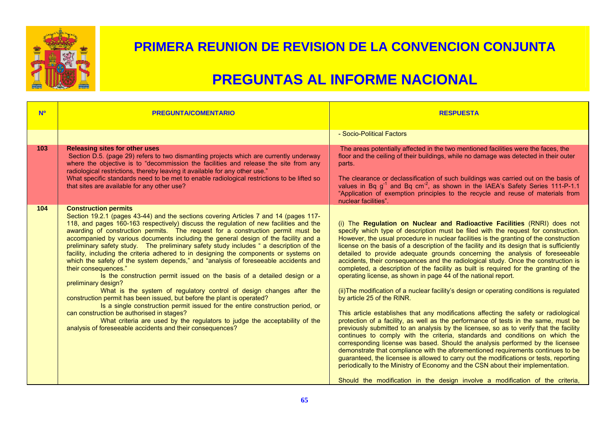

| <b>Nº</b> | <b>PREGUNTA/COMENTARIO</b>                                                                                                                                                                                                                                                                                                                                                                                                                                                                                                                                                                                                                                                                                                                                                                                                                                                                                                                                                                                                                                                                                                                                                                                             | <b>RESPUESTA</b>                                                                                                                                                                                                                                                                                                                                                                                                                                                                                                                                                                                                                                                                                                                                                                                                                                                                                                                                                                                                                                                                                                                                                                                                                                                                                                                                                                                                                                                                                                                                                                                             |
|-----------|------------------------------------------------------------------------------------------------------------------------------------------------------------------------------------------------------------------------------------------------------------------------------------------------------------------------------------------------------------------------------------------------------------------------------------------------------------------------------------------------------------------------------------------------------------------------------------------------------------------------------------------------------------------------------------------------------------------------------------------------------------------------------------------------------------------------------------------------------------------------------------------------------------------------------------------------------------------------------------------------------------------------------------------------------------------------------------------------------------------------------------------------------------------------------------------------------------------------|--------------------------------------------------------------------------------------------------------------------------------------------------------------------------------------------------------------------------------------------------------------------------------------------------------------------------------------------------------------------------------------------------------------------------------------------------------------------------------------------------------------------------------------------------------------------------------------------------------------------------------------------------------------------------------------------------------------------------------------------------------------------------------------------------------------------------------------------------------------------------------------------------------------------------------------------------------------------------------------------------------------------------------------------------------------------------------------------------------------------------------------------------------------------------------------------------------------------------------------------------------------------------------------------------------------------------------------------------------------------------------------------------------------------------------------------------------------------------------------------------------------------------------------------------------------------------------------------------------------|
| 103       | <b>Releasing sites for other uses</b><br>Section D.5. (page 29) refers to two dismantling projects which are currently underway<br>where the objective is to "decommission the facilities and release the site from any<br>radiological restrictions, thereby leaving it available for any other use."<br>What specific standards need to be met to enable radiological restrictions to be lifted so<br>that sites are available for any other use?                                                                                                                                                                                                                                                                                                                                                                                                                                                                                                                                                                                                                                                                                                                                                                    | - Socio-Political Factors<br>The areas potentially affected in the two mentioned facilities were the faces, the<br>floor and the ceiling of their buildings, while no damage was detected in their outer<br>parts.<br>The clearance or declassification of such buildings was carried out on the basis of<br>values in Bq $g^{-1}$ and Bq cm <sup>-2</sup> , as shown in the IAEA's Safety Series 111-P-1.1<br>"Application of exemption principles to the recycle and reuse of materials from<br>nuclear facilities".                                                                                                                                                                                                                                                                                                                                                                                                                                                                                                                                                                                                                                                                                                                                                                                                                                                                                                                                                                                                                                                                                       |
| 104       | <b>Construction permits</b><br>Section 19.2.1 (pages 43-44) and the sections covering Articles 7 and 14 (pages 117-<br>118, and pages 160-163 respectively) discuss the regulation of new facilities and the<br>awarding of construction permits. The request for a construction permit must be<br>accompanied by various documents including the general design of the facility and a<br>preliminary safety study. The preliminary safety study includes " a description of the<br>facility, including the criteria adhered to in designing the components or systems on<br>which the safety of the system depends," and "analysis of foreseeable accidents and<br>their consequences."<br>Is the construction permit issued on the basis of a detailed design or a<br>preliminary design?<br>What is the system of regulatory control of design changes after the<br>construction permit has been issued, but before the plant is operated?<br>Is a single construction permit issued for the entire construction period, or<br>can construction be authorised in stages?<br>What criteria are used by the regulators to judge the acceptability of the<br>analysis of foreseeable accidents and their consequences? | (i) The Regulation on Nuclear and Radioactive Facilities (RNRI) does not<br>specify which type of description must be filed with the request for construction.<br>However, the usual procedure in nuclear facilities is the granting of the construction<br>license on the basis of a description of the facility and its design that is sufficiently<br>detailed to provide adequate grounds concerning the analysis of foreseeable<br>accidents, their consequences and the radiological study. Once the construction is<br>completed, a description of the facility as built is required for the granting of the<br>operating license, as shown in page 44 of the national report.<br>(ii) The modification of a nuclear facility's design or operating conditions is regulated<br>by article 25 of the RINR.<br>This article establishes that any modifications affecting the safety or radiological<br>protection of a facility, as well as the performance of tests in the same, must be<br>previously submitted to an analysis by the licensee, so as to verify that the facility<br>continues to comply with the criteria, standards and conditions on which the<br>corresponding license was based. Should the analysis performed by the licensee<br>demonstrate that compliance with the aforementioned requirements continues to be<br>guaranteed, the licensee is allowed to carry out the modifications or tests, reporting<br>periodically to the Ministry of Economy and the CSN about their implementation.<br>Should the modification in the design involve a modification of the criteria, |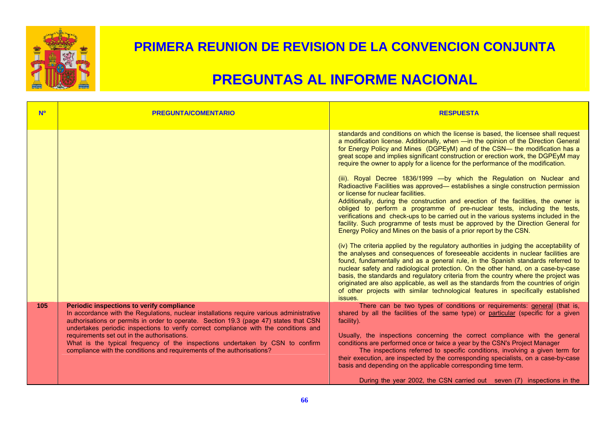

| <b>N<sup>o</sup></b> | <b>PREGUNTA/COMENTARIO</b>                                                                                                                                                                                                                                                                                                                                                                                                                                                                                                       | <b>RESPUESTA</b>                                                                                                                                                                                                                                                                                                                                                                                                                                                                                                                                                                                                                                                                                                                                                                                                                                                                                                                                                                                                                                                                                                                                                                                                                                                                                                                                                                                                                                                                                                                                                                                                                                                                                   |
|----------------------|----------------------------------------------------------------------------------------------------------------------------------------------------------------------------------------------------------------------------------------------------------------------------------------------------------------------------------------------------------------------------------------------------------------------------------------------------------------------------------------------------------------------------------|----------------------------------------------------------------------------------------------------------------------------------------------------------------------------------------------------------------------------------------------------------------------------------------------------------------------------------------------------------------------------------------------------------------------------------------------------------------------------------------------------------------------------------------------------------------------------------------------------------------------------------------------------------------------------------------------------------------------------------------------------------------------------------------------------------------------------------------------------------------------------------------------------------------------------------------------------------------------------------------------------------------------------------------------------------------------------------------------------------------------------------------------------------------------------------------------------------------------------------------------------------------------------------------------------------------------------------------------------------------------------------------------------------------------------------------------------------------------------------------------------------------------------------------------------------------------------------------------------------------------------------------------------------------------------------------------------|
|                      |                                                                                                                                                                                                                                                                                                                                                                                                                                                                                                                                  | standards and conditions on which the license is based, the licensee shall request<br>a modification license. Additionally, when -in the opinion of the Direction General<br>for Energy Policy and Mines (DGPEyM) and of the CSN— the modification has a<br>great scope and implies significant construction or erection work, the DGPEyM may<br>require the owner to apply for a licence for the performance of the modification.<br>(iii). Royal Decree 1836/1999 - by which the Regulation on Nuclear and<br>Radioactive Facilities was approved— establishes a single construction permission<br>or license for nuclear facilities.<br>Additionally, during the construction and erection of the facilities, the owner is<br>obliged to perform a programme of pre-nuclear tests, including the tests,<br>verifications and check-ups to be carried out in the various systems included in the<br>facility. Such programme of tests must be approved by the Direction General for<br>Energy Policy and Mines on the basis of a prior report by the CSN.<br>(iv) The criteria applied by the regulatory authorities in judging the acceptability of<br>the analyses and consequences of foreseeable accidents in nuclear facilities are<br>found, fundamentally and as a general rule, in the Spanish standards referred to<br>nuclear safety and radiological protection. On the other hand, on a case-by-case<br>basis, the standards and regulatory criteria from the country where the project was<br>originated are also applicable, as well as the standards from the countries of origin<br>of other projects with similar technological features in specifically established<br>issues. |
| 105                  | Periodic inspections to verify compliance<br>In accordance with the Regulations, nuclear installations require various administrative<br>authorisations or permits in order to operate. Section 19.3 (page 47) states that CSN<br>undertakes periodic inspections to verify correct compliance with the conditions and<br>requirements set out in the authorisations.<br>What is the typical frequency of the inspections undertaken by CSN to confirm<br>compliance with the conditions and requirements of the authorisations? | There can be two types of conditions or requirements: general (that is,<br>shared by all the facilities of the same type) or particular (specific for a given<br>facility).<br>Usually, the inspections concerning the correct compliance with the general<br>conditions are performed once or twice a year by the CSN's Project Manager<br>The inspections referred to specific conditions, involving a given term for<br>their execution, are inspected by the corresponding specialists, on a case-by-case<br>basis and depending on the applicable corresponding time term.<br>During the year 2002, the CSN carried out seven (7) inspections in the                                                                                                                                                                                                                                                                                                                                                                                                                                                                                                                                                                                                                                                                                                                                                                                                                                                                                                                                                                                                                                          |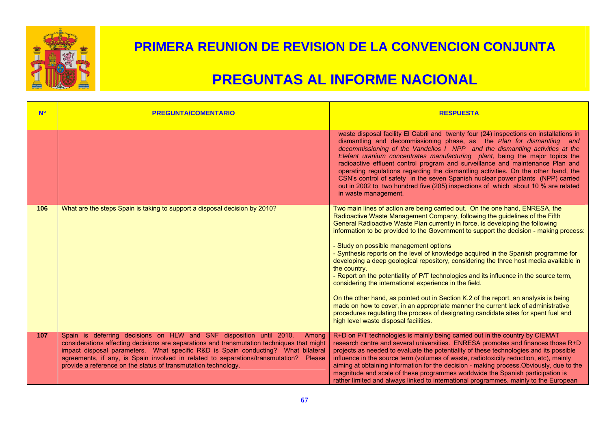

| <b>N<sup>o</sup></b> | <b>PREGUNTA/COMENTARIO</b>                                                                                                                                                                                                                                                                                                                                                                                                    | <b>RESPUESTA</b>                                                                                                                                                                                                                                                                                                                                                                                                                                                                                                                                                                                                                                                                                                                                                                                                                                                                                                                                                                                                                                    |
|----------------------|-------------------------------------------------------------------------------------------------------------------------------------------------------------------------------------------------------------------------------------------------------------------------------------------------------------------------------------------------------------------------------------------------------------------------------|-----------------------------------------------------------------------------------------------------------------------------------------------------------------------------------------------------------------------------------------------------------------------------------------------------------------------------------------------------------------------------------------------------------------------------------------------------------------------------------------------------------------------------------------------------------------------------------------------------------------------------------------------------------------------------------------------------------------------------------------------------------------------------------------------------------------------------------------------------------------------------------------------------------------------------------------------------------------------------------------------------------------------------------------------------|
|                      |                                                                                                                                                                                                                                                                                                                                                                                                                               | waste disposal facility El Cabril and twenty four (24) inspections on installations in<br>dismantling and decommissioning phase, as the Plan for dismantling and<br>decommissioning of the Vandellos I NPP and the dismantling activities at the<br>Elefant uranium concentrates manufacturing plant, being the major topics the<br>radioactive effluent control program and surveillance and maintenance Plan and<br>operating regulations regarding the dismantling activities. On the other hand, the<br>CSN's control of safety in the seven Spanish nuclear power plants (NPP) carried<br>out in 2002 to two hundred five (205) inspections of which about 10 % are related<br>in waste management.                                                                                                                                                                                                                                                                                                                                            |
| 106                  | What are the steps Spain is taking to support a disposal decision by 2010?                                                                                                                                                                                                                                                                                                                                                    | Two main lines of action are being carried out. On the one hand, ENRESA, the<br>Radioactive Waste Management Company, following the guidelines of the Fifth<br>General Radioactive Waste Plan currently in force, is developing the following<br>information to be provided to the Government to support the decision - making process:<br>- Study on possible management options<br>- Synthesis reports on the level of knowledge acquired in the Spanish programme for<br>developing a deep geological repository, considering the three host media available in<br>the country.<br>- Report on the potentiality of P/T technologies and its influence in the source term,<br>considering the international experience in the field.<br>On the other hand, as pointed out in Section K.2 of the report, an analysis is being<br>made on how to cover, in an appropriate manner the current lack of administrative<br>procedures regulating the process of designating candidate sites for spent fuel and<br>high level waste disposal facilities. |
| 107                  | Spain is deferring decisions on HLW and SNF disposition until 2010.<br>Among<br>considerations affecting decisions are separations and transmutation techniques that might<br>impact disposal parameters. What specific R&D is Spain conducting? What bilateral<br>agreements, if any, is Spain involved in related to separations/transmutation?<br>Please<br>provide a reference on the status of transmutation technology. | R+D on P/T technologies is mainly being carried out in the country by CIEMAT<br>research centre and several universities. ENRESA promotes and finances those R+D<br>projects as needed to evaluate the potentiality of these technologies and its possible<br>influence in the source term (volumes of waste, radiotoxicity reduction, etc), mainly<br>aiming at obtaining information for the decision - making process. Obviously, due to the<br>magnitude and scale of these programmes worldwide the Spanish participation is<br>rather limited and always linked to international programmes, mainly to the European                                                                                                                                                                                                                                                                                                                                                                                                                           |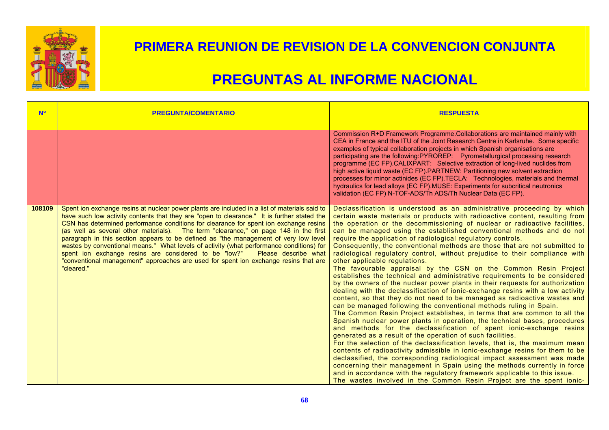

| <b>No</b> | <b>PREGUNTA/COMENTARIO</b>                                                                                                                                                                                                                                                                                                                                                                                                                                                                                                                                                                                                                                                                                                                               | <b>RESPUESTA</b>                                                                                                                                                                                                                                                                                                                                                                                                                                                                                                                                                                                                                                                                                                                                                                                                                                                                                                                                                                                                                                                                                                                                                                                                                                                                                                                                                                                                                                                                                                                                                                                                                                                                                                                                                                                                               |
|-----------|----------------------------------------------------------------------------------------------------------------------------------------------------------------------------------------------------------------------------------------------------------------------------------------------------------------------------------------------------------------------------------------------------------------------------------------------------------------------------------------------------------------------------------------------------------------------------------------------------------------------------------------------------------------------------------------------------------------------------------------------------------|--------------------------------------------------------------------------------------------------------------------------------------------------------------------------------------------------------------------------------------------------------------------------------------------------------------------------------------------------------------------------------------------------------------------------------------------------------------------------------------------------------------------------------------------------------------------------------------------------------------------------------------------------------------------------------------------------------------------------------------------------------------------------------------------------------------------------------------------------------------------------------------------------------------------------------------------------------------------------------------------------------------------------------------------------------------------------------------------------------------------------------------------------------------------------------------------------------------------------------------------------------------------------------------------------------------------------------------------------------------------------------------------------------------------------------------------------------------------------------------------------------------------------------------------------------------------------------------------------------------------------------------------------------------------------------------------------------------------------------------------------------------------------------------------------------------------------------|
|           |                                                                                                                                                                                                                                                                                                                                                                                                                                                                                                                                                                                                                                                                                                                                                          | Commission R+D Framework Programme.Collaborations are maintained mainly with<br>CEA in France and the ITU of the Joint Research Centre in Karlsruhe. Some specific<br>examples of typical collaboration projects in which Spanish organisations are<br>participating are the following:PYROREP: Pyrometallurgical processing research<br>programme (EC FP).CALIXPART: Selective extraction of long-lived nuclides from<br>high active liquid waste (EC FP).PARTNEW: Partitioning new solvent extraction<br>processes for minor actinides (EC FP). TECLA: Technologies, materials and thermal<br>hydraulics for lead alloys (EC FP). MUSE: Experiments for subcritical neutronics<br>validation (EC FP) N-TOF-ADS/Th ADS/Th Nuclear Data (EC FP).                                                                                                                                                                                                                                                                                                                                                                                                                                                                                                                                                                                                                                                                                                                                                                                                                                                                                                                                                                                                                                                                               |
| 108109    | Spent ion exchange resins at nuclear power plants are included in a list of materials said to<br>have such low activity contents that they are "open to clearance." It is further stated the<br>CSN has determined performance conditions for clearance for spent ion exchange resins<br>(as well as several other materials). The term "clearance," on page 148 in the first<br>paragraph in this section appears to be defined as "the management of very low level<br>wastes by conventional means." What levels of activity (what performance conditions) for<br>spent ion exchange resins are considered to be "low?"<br>Please describe what<br>"conventional management" approaches are used for spent ion exchange resins that are<br>"cleared." | Declassification is understood as an administrative proceeding by which<br>certain waste materials or products with radioactive content, resulting from<br>the operation or the decommissioning of nuclear or radioactive facilities,<br>can be managed using the established conventional methods and do not<br>require the application of radiological regulatory controls.<br>Consequently, the conventional methods are those that are not submitted to<br>radiological regulatory control, without prejudice to their compliance with<br>other applicable regulations.<br>The favourable appraisal by the CSN on the Common Resin Project<br>establishes the technical and administrative requirements to be considered<br>by the owners of the nuclear power plants in their requests for authorization<br>dealing with the declassification of ionic-exchange resins with a low activity<br>content, so that they do not need to be managed as radioactive wastes and<br>can be managed following the conventional methods ruling in Spain.<br>The Common Resin Project establishes, in terms that are common to all the<br>Spanish nuclear power plants in operation, the technical bases, procedures<br>and methods for the declassification of spent ionic-exchange resins<br>generated as a result of the operation of such facilities.<br>For the selection of the declassification levels, that is, the maximum mean<br>contents of radioactivity admissible in ionic-exchange resins for them to be<br>declassified, the corresponding radiological impact assessment was made<br>concerning their management in Spain using the methods currently in force<br>and in accordance with the regulatory framework applicable to this issue.<br>The wastes involved in the Common Resin Project are the spent ionic- |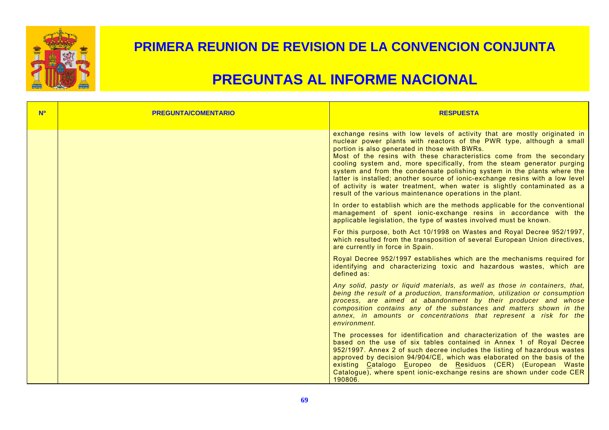

| <b>N<sup>o</sup></b> | <b>PREGUNTA/COMENTARIO</b> | <b>RESPUESTA</b>                                                                                                                                                                                                                                                                                                                                                                                                                                                                                                                                                                                                                                             |
|----------------------|----------------------------|--------------------------------------------------------------------------------------------------------------------------------------------------------------------------------------------------------------------------------------------------------------------------------------------------------------------------------------------------------------------------------------------------------------------------------------------------------------------------------------------------------------------------------------------------------------------------------------------------------------------------------------------------------------|
|                      |                            | exchange resins with low levels of activity that are mostly originated in<br>nuclear power plants with reactors of the PWR type, although a small<br>portion is also generated in those with BWRs.<br>Most of the resins with these characteristics come from the secondary<br>cooling system and, more specifically, from the steam generator purging<br>system and from the condensate polishing system in the plants where the<br>latter is installed; another source of ionic-exchange resins with a low level<br>of activity is water treatment, when water is slightly contaminated as a<br>result of the various maintenance operations in the plant. |
|                      |                            | In order to establish which are the methods applicable for the conventional<br>management of spent ionic-exchange resins in accordance with the<br>applicable legislation, the type of wastes involved must be known.                                                                                                                                                                                                                                                                                                                                                                                                                                        |
|                      |                            | For this purpose, both Act 10/1998 on Wastes and Royal Decree 952/1997,<br>which resulted from the transposition of several European Union directives,<br>are currently in force in Spain.                                                                                                                                                                                                                                                                                                                                                                                                                                                                   |
|                      |                            | Royal Decree 952/1997 establishes which are the mechanisms required for<br>identifying and characterizing toxic and hazardous wastes, which are<br>defined as:                                                                                                                                                                                                                                                                                                                                                                                                                                                                                               |
|                      |                            | Any solid, pasty or liquid materials, as well as those in containers, that,<br>being the result of a production, transformation, utilization or consumption<br>process, are aimed at abandonment by their producer and whose<br>composition contains any of the substances and matters shown in the<br>annex, in amounts or concentrations that represent a risk for the<br>environment.                                                                                                                                                                                                                                                                     |
|                      |                            | The processes for identification and characterization of the wastes are<br>based on the use of six tables contained in Annex 1 of Royal Decree<br>952/1997. Annex 2 of such decree includes the listing of hazardous wastes<br>approved by decision 94/904/CE, which was elaborated on the basis of the<br>existing Catalogo Europeo de Residuos (CER) (European Waste<br>Catalogue), where spent ionic-exchange resins are shown under code CER<br>190806.                                                                                                                                                                                                  |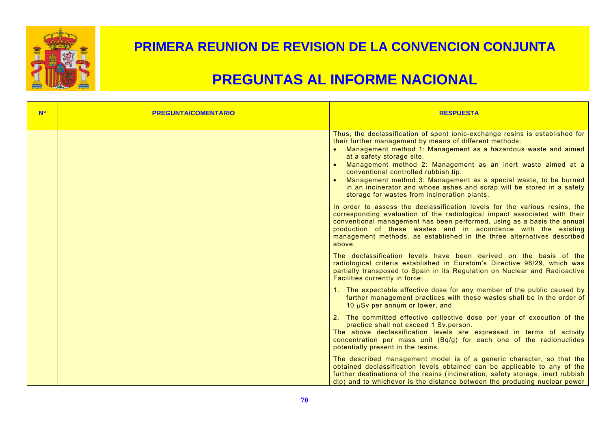

| <b>No</b> | <b>PREGUNTA/COMENTARIO</b> | <b>RESPUESTA</b>                                                                                                                                                                                                                                                                                                                                                                                                                                                                                                                             |
|-----------|----------------------------|----------------------------------------------------------------------------------------------------------------------------------------------------------------------------------------------------------------------------------------------------------------------------------------------------------------------------------------------------------------------------------------------------------------------------------------------------------------------------------------------------------------------------------------------|
|           |                            | Thus, the declassification of spent ionic-exchange resins is established for<br>their further management by means of different methods:<br>Management method 1: Management as a hazardous waste and aimed<br>at a safety storage site.<br>Management method 2: Management as an inert waste aimed at a<br>conventional controlled rubbish tip.<br>Management method 3: Management as a special waste, to be burned<br>in an incinerator and whose ashes and scrap will be stored in a safety<br>storage for wastes from incineration plants. |
|           |                            | In order to assess the declassification levels for the various resins, the<br>corresponding evaluation of the radiological impact associated with their<br>conventional management has been performed, using as a basis the annual<br>production of these wastes and in accordance with the existing<br>management methods, as established in the three alternatives described<br>above.                                                                                                                                                     |
|           |                            | The declassification levels have been derived on the basis of the<br>radiological criteria established in Euratom's Directive 96/29, which was<br>partially transposed to Spain in its Regulation on Nuclear and Radioactive<br>Facilities currently in force:                                                                                                                                                                                                                                                                               |
|           |                            | 1. The expectable effective dose for any member of the public caused by<br>further management practices with these wastes shall be in the order of<br>10 µSv per annum or lower, and                                                                                                                                                                                                                                                                                                                                                         |
|           |                            | 2. The committed effective collective dose per year of execution of the<br>practice shall not exceed 1 Sv.person.<br>The above declassification levels are expressed in terms of activity<br>concentration per mass unit (Bq/g) for each one of the radionuclides<br>potentially present in the resins.                                                                                                                                                                                                                                      |
|           |                            | The described management model is of a generic character, so that the<br>obtained declassification levels obtained can be applicable to any of the<br>further destinations of the resins (incineration, safety storage, inert rubbish<br>dip) and to whichever is the distance between the producing nuclear power                                                                                                                                                                                                                           |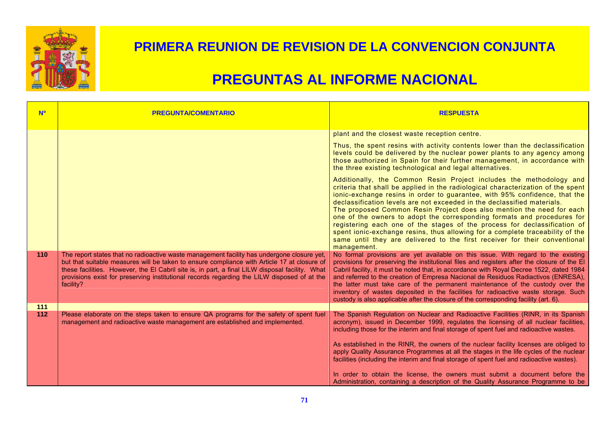

| <b>Nº</b>  | <b>PREGUNTA/COMENTARIO</b>                                                                                                                                                                                                                                                                                                                                                                               | <b>RESPUESTA</b>                                                                                                                                                                                                                                                                                                                                                                                                                                                                                                                                                                                                                                         |
|------------|----------------------------------------------------------------------------------------------------------------------------------------------------------------------------------------------------------------------------------------------------------------------------------------------------------------------------------------------------------------------------------------------------------|----------------------------------------------------------------------------------------------------------------------------------------------------------------------------------------------------------------------------------------------------------------------------------------------------------------------------------------------------------------------------------------------------------------------------------------------------------------------------------------------------------------------------------------------------------------------------------------------------------------------------------------------------------|
|            |                                                                                                                                                                                                                                                                                                                                                                                                          | plant and the closest waste reception centre.<br>Thus, the spent resins with activity contents lower than the declassification<br>levels could be delivered by the nuclear power plants to any agency among<br>those authorized in Spain for their further management, in accordance with<br>the three existing technological and legal alternatives.<br>Additionally, the Common Resin Project includes the methodology and                                                                                                                                                                                                                             |
|            |                                                                                                                                                                                                                                                                                                                                                                                                          | criteria that shall be applied in the radiological characterization of the spent<br>ionic-exchange resins in order to guarantee, with 95% confidence, that the<br>declassification levels are not exceeded in the declassified materials.<br>The proposed Common Resin Project does also mention the need for each<br>one of the owners to adopt the corresponding formats and procedures for<br>registering each one of the stages of the process for declassification of<br>spent ionic-exchange resins, thus allowing for a complete traceability of the<br>same until they are delivered to the first receiver for their conventional<br>management. |
| 110        | The report states that no radioactive waste management facility has undergone closure yet,<br>but that suitable measures will be taken to ensure compliance with Article 17 at closure of<br>these facilities. However, the El Cabril site is, in part, a final LILW disposal facility. What<br>provisions exist for preserving institutional records regarding the LILW disposed of at the<br>facility? | No formal provisions are yet available on this issue. With regard to the existing<br>provisions for preserving the institutional files and registers after the closure of the El<br>Cabril facility, it must be noted that, in accordance with Royal Decree 1522, dated 1984<br>and referred to the creation of Empresa Nacional de Residuos Radiactivos (ENRESA),<br>the latter must take care of the permanent maintenance of the custody over the<br>inventory of wastes deposited in the facilities for radioactive waste storage. Such<br>custody is also applicable after the closure of the corresponding facility (art. 6).                      |
| 111<br>112 | Please elaborate on the steps taken to ensure QA programs for the safety of spent fuel<br>management and radioactive waste management are established and implemented.                                                                                                                                                                                                                                   | The Spanish Regulation on Nuclear and Radioactive Facilities (RINR, in its Spanish<br>acronym), issued in December 1999, regulates the licensing of all nuclear facilities,<br>including those for the interim and final storage of spent fuel and radioactive wastes.<br>As established in the RINR, the owners of the nuclear facility licenses are obliged to<br>apply Quality Assurance Programmes at all the stages in the life cycles of the nuclear<br>facilities (including the interim and final storage of spent fuel and radioactive wastes).                                                                                                 |
|            |                                                                                                                                                                                                                                                                                                                                                                                                          | In order to obtain the license, the owners must submit a document before the<br>Administration, containing a description of the Quality Assurance Programme to be                                                                                                                                                                                                                                                                                                                                                                                                                                                                                        |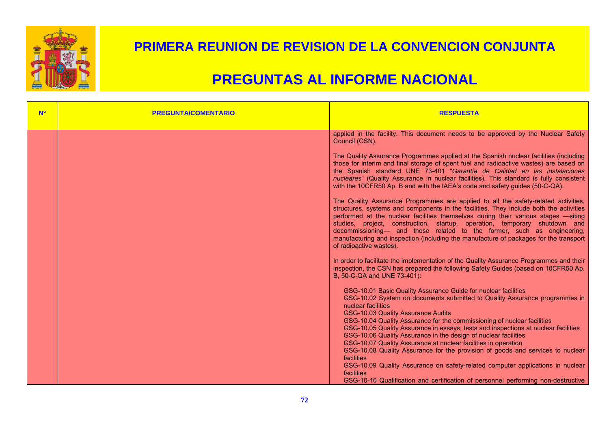

| <b>N<sup>o</sup></b> | <b>PREGUNTA/COMENTARIO</b> | <b>RESPUESTA</b>                                                                                                                                                                                                                                                                                                                                                                                                                                                                                                                                                                                                                                                                                                                                                                                    |
|----------------------|----------------------------|-----------------------------------------------------------------------------------------------------------------------------------------------------------------------------------------------------------------------------------------------------------------------------------------------------------------------------------------------------------------------------------------------------------------------------------------------------------------------------------------------------------------------------------------------------------------------------------------------------------------------------------------------------------------------------------------------------------------------------------------------------------------------------------------------------|
|                      |                            | applied in the facility. This document needs to be approved by the Nuclear Safety<br>Council (CSN).                                                                                                                                                                                                                                                                                                                                                                                                                                                                                                                                                                                                                                                                                                 |
|                      |                            | The Quality Assurance Programmes applied at the Spanish nuclear facilities (including<br>those for interim and final storage of spent fuel and radioactive wastes) are based on<br>the Spanish standard UNE 73-401 "Garantía de Calidad en las instalaciones<br>nucleares" (Quality Assurance in nuclear facilities). This standard is fully consistent<br>with the 10CFR50 Ap. B and with the IAEA's code and safety guides (50-C-QA).                                                                                                                                                                                                                                                                                                                                                             |
|                      |                            | The Quality Assurance Programmes are applied to all the safety-related activities,<br>structures, systems and components in the facilities. They include both the activities<br>performed at the nuclear facilities themselves during their various stages -siting<br>studies, project, construction, startup, operation, temporary shutdown and<br>decommissioning- and those related to the former, such as engineering,<br>manufacturing and inspection (including the manufacture of packages for the transport<br>of radioactive wastes).                                                                                                                                                                                                                                                      |
|                      |                            | In order to facilitate the implementation of the Quality Assurance Programmes and their<br>inspection, the CSN has prepared the following Safety Guides (based on 10CFR50 Ap.<br>B, 50-C-QA and UNE 73-401):                                                                                                                                                                                                                                                                                                                                                                                                                                                                                                                                                                                        |
|                      |                            | GSG-10.01 Basic Quality Assurance Guide for nuclear facilities<br>GSG-10.02 System on documents submitted to Quality Assurance programmes in<br>nuclear facilities<br>GSG-10.03 Quality Assurance Audits<br>GSG-10.04 Quality Assurance for the commissioning of nuclear facilities<br>GSG-10.05 Quality Assurance in essays, tests and inspections at nuclear facilities<br>GSG-10.06 Quality Assurance in the design of nuclear facilities<br>GSG-10.07 Quality Assurance at nuclear facilities in operation<br>GSG-10.08 Quality Assurance for the provision of goods and services to nuclear<br>facilities<br>GSG-10.09 Quality Assurance on safety-related computer applications in nuclear<br>facilities<br>GSG-10-10 Qualification and certification of personnel performing non-destructive |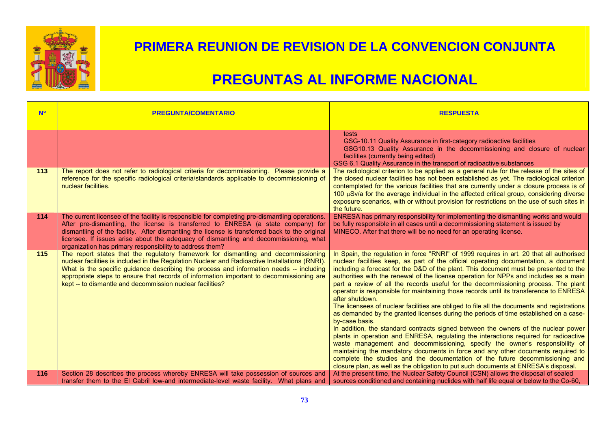

| <b>No</b> | <b>PREGUNTA/COMENTARIO</b>                                                                                                                                                                                                                                                                                                                                                                                                                 | <b>RESPUESTA</b>                                                                                                                                                                                                                                                                                                                                                                                                                                                                                                                                                                                                                                                                                                                                                                                                                                                                                                                                                                                                                                                                                                                                                                                                                                                                                        |
|-----------|--------------------------------------------------------------------------------------------------------------------------------------------------------------------------------------------------------------------------------------------------------------------------------------------------------------------------------------------------------------------------------------------------------------------------------------------|---------------------------------------------------------------------------------------------------------------------------------------------------------------------------------------------------------------------------------------------------------------------------------------------------------------------------------------------------------------------------------------------------------------------------------------------------------------------------------------------------------------------------------------------------------------------------------------------------------------------------------------------------------------------------------------------------------------------------------------------------------------------------------------------------------------------------------------------------------------------------------------------------------------------------------------------------------------------------------------------------------------------------------------------------------------------------------------------------------------------------------------------------------------------------------------------------------------------------------------------------------------------------------------------------------|
|           |                                                                                                                                                                                                                                                                                                                                                                                                                                            | tests<br>GSG-10.11 Quality Assurance in first-category radioactive facilities<br>GSG10.13 Quality Assurance in the decommissioning and closure of nuclear<br>facilities (currently being edited)<br>GSG 6.1 Quality Assurance in the transport of radioactive substances                                                                                                                                                                                                                                                                                                                                                                                                                                                                                                                                                                                                                                                                                                                                                                                                                                                                                                                                                                                                                                |
| 113       | The report does not refer to radiological criteria for decommissioning. Please provide a<br>reference for the specific radiological criteria/standards applicable to decommissioning of<br>nuclear facilities.                                                                                                                                                                                                                             | The radiological criterion to be applied as a general rule for the release of the sites of<br>the closed nuclear facilities has not been established as yet. The radiological criterion<br>contemplated for the various facilities that are currently under a closure process is of<br>100 $\mu$ Sv/a for the average individual in the affected critical group, considering diverse<br>exposure scenarios, with or without provision for restrictions on the use of such sites in<br>the future.                                                                                                                                                                                                                                                                                                                                                                                                                                                                                                                                                                                                                                                                                                                                                                                                       |
| 114       | The current licensee of the facility is responsible for completing pre-dismantling operations.<br>After pre-dismantling, the license is transferred to ENRESA (a state company) for<br>dismantling of the facility. After dismantling the license is transferred back to the original<br>licensee. If issues arise about the adequacy of dismantling and decommissioning, what<br>organization has primary responsibility to address them? | ENRESA has primary responsibility for implementing the dismantling works and would<br>be fully responsible in all cases until a decommissioning statement is issued by<br>MINECO. After that there will be no need for an operating license.                                                                                                                                                                                                                                                                                                                                                                                                                                                                                                                                                                                                                                                                                                                                                                                                                                                                                                                                                                                                                                                            |
| 115       | The report states that the regulatory framework for dismantling and decommissioning<br>nuclear facilities is included in the Regulation Nuclear and Radioactive Installations (RNRI).<br>What is the specific guidance describing the process and information needs -- including<br>appropriate steps to ensure that records of information important to decommissioning are<br>kept -- to dismantle and decommission nuclear facilities?  | In Spain, the regulation in force "RNRI" of 1999 requires in art. 20 that all authorised<br>nuclear facilities keep, as part of the official operating documentation, a document<br>including a forecast for the D&D of the plant. This document must be presented to the<br>authorities with the renewal of the license operation for NPPs and includes as a main<br>part a review of all the records useful for the decommissioning process. The plant<br>operator is responsible for maintaining those records until its transference to ENRESA<br>after shutdown.<br>The licensees of nuclear facilities are obliged to file all the documents and registrations<br>as demanded by the granted licenses during the periods of time established on a case-<br>by-case basis.<br>In addition, the standard contracts signed between the owners of the nuclear power<br>plants in operation and ENRESA, regulating the interactions required for radioactive<br>waste management and decommissioning, specify the owner's responsibility of<br>maintaining the mandatory documents in force and any other documents required to<br>complete the studies and the documentation of the future decommissioning and<br>closure plan, as well as the obligation to put such documents at ENRESA's disposal. |
| 116       | Section 28 describes the process whereby ENRESA will take possession of sources and<br>transfer them to the El Cabril low-and intermediate-level waste facility. What plans and                                                                                                                                                                                                                                                            | At the present time, the Nuclear Safety Council (CSN) allows the disposal of sealed<br>sources conditioned and containing nuclides with half life equal or below to the Co-60,                                                                                                                                                                                                                                                                                                                                                                                                                                                                                                                                                                                                                                                                                                                                                                                                                                                                                                                                                                                                                                                                                                                          |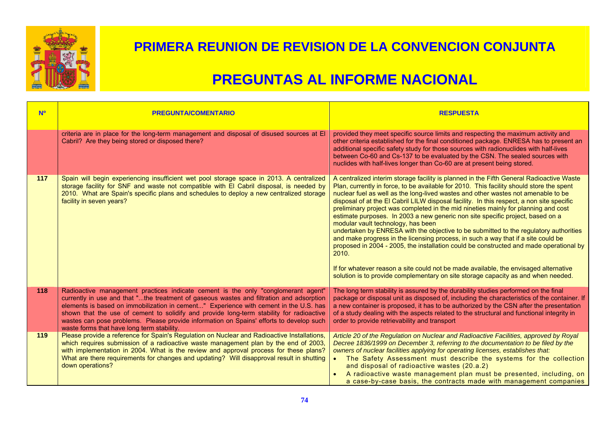

| <b>N<sup>o</sup></b> | <b>PREGUNTA/COMENTARIO</b>                                                                                                                                                                                                                                                                                                                                                                                                                                                                                  | <b>RESPUESTA</b>                                                                                                                                                                                                                                                                                                                                                                                                                                                                                                                                                                                                                                                                                                                                                                                                                                                                                                                                                                                                                                   |
|----------------------|-------------------------------------------------------------------------------------------------------------------------------------------------------------------------------------------------------------------------------------------------------------------------------------------------------------------------------------------------------------------------------------------------------------------------------------------------------------------------------------------------------------|----------------------------------------------------------------------------------------------------------------------------------------------------------------------------------------------------------------------------------------------------------------------------------------------------------------------------------------------------------------------------------------------------------------------------------------------------------------------------------------------------------------------------------------------------------------------------------------------------------------------------------------------------------------------------------------------------------------------------------------------------------------------------------------------------------------------------------------------------------------------------------------------------------------------------------------------------------------------------------------------------------------------------------------------------|
|                      | criteria are in place for the long-term management and disposal of disused sources at El<br>Cabril? Are they being stored or disposed there?                                                                                                                                                                                                                                                                                                                                                                | provided they meet specific source limits and respecting the maximum activity and<br>other criteria established for the final conditioned package. ENRESA has to present an<br>additional specific safety study for those sources with radionuclides with half-lives<br>between Co-60 and Cs-137 to be evaluated by the CSN. The sealed sources with<br>nuclides with half-lives longer than Co-60 are at present being stored.                                                                                                                                                                                                                                                                                                                                                                                                                                                                                                                                                                                                                    |
| 117                  | Spain will begin experiencing insufficient wet pool storage space in 2013. A centralized<br>storage facility for SNF and waste not compatible with El Cabril disposal, is needed by<br>2010. What are Spain's specific plans and schedules to deploy a new centralized storage<br>facility in seven years?                                                                                                                                                                                                  | A centralized interim storage facility is planned in the Fifth General Radioactive Waste<br>Plan, currently in force, to be available for 2010. This facility should store the spent<br>nuclear fuel as well as the long-lived wastes and other wastes not amenable to be<br>disposal of at the EI Cabril LILW disposal facility. In this respect, a non site specific<br>preliminary project was completed in the mid nineties mainly for planning and cost<br>estimate purposes. In 2003 a new generic non site specific project, based on a<br>modular vault technology, has been<br>undertaken by ENRESA with the objective to be submitted to the regulatory authorities<br>and make progress in the licensing process, in such a way that if a site could be<br>proposed in 2004 - 2005, the installation could be constructed and made operational by<br>2010.<br>If for whatever reason a site could not be made available, the envisaged alternative<br>solution is to provide complementary on site storage capacity as and when needed. |
| 118                  | Radioactive management practices indicate cement is the only "conglomerant agent"<br>currently in use and that "the treatment of gaseous wastes and filtration and adsorption<br>elements is based on immobilization in cement" Experience with cement in the U.S. has<br>shown that the use of cement to solidify and provide long-term stability for radioactive<br>wastes can pose problems. Please provide information on Spains' efforts to develop such<br>waste forms that have long term stability. | The long term stability is assured by the durability studies performed on the final<br>package or disposal unit as disposed of, including the characteristics of the container. If<br>a new container is proposed, it has to be authorized by the CSN after the presentation<br>of a study dealing with the aspects related to the structural and functional integrity in<br>order to provide retrievability and transport                                                                                                                                                                                                                                                                                                                                                                                                                                                                                                                                                                                                                         |
| 119                  | Please provide a reference for Spain's Regulation on Nuclear and Radioactive Installations,<br>which requires submission of a radioactive waste management plan by the end of 2003,<br>with implementation in 2004. What is the review and approval process for these plans?<br>What are there requirements for changes and updating? Will disapproval result in shutting<br>down operations?                                                                                                               | Article 20 of the Regulation on Nuclear and Radioactive Facilities, approved by Royal<br>Decree 1836/1999 on December 3, referring to the documentation to be filed by the<br>owners of nuclear facilities applying for operating licenses, establishes that:<br>The Safety Assessment must describe the systems for the collection<br>and disposal of radioactive wastes (20.a.2)<br>A radioactive waste management plan must be presented, including, on<br>a case-by-case basis, the contracts made with management companies                                                                                                                                                                                                                                                                                                                                                                                                                                                                                                                   |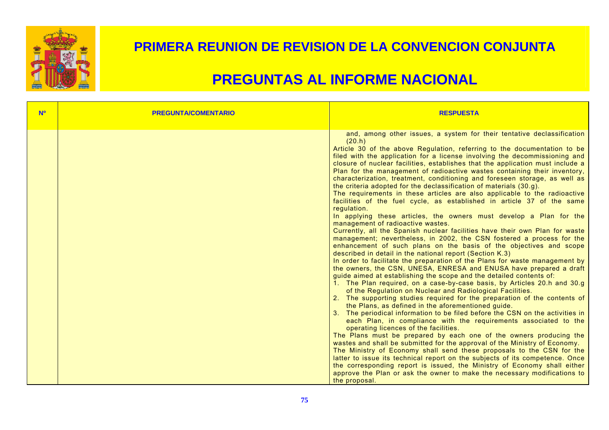

| <b>N<sup>o</sup></b> | <b>PREGUNTA/COMENTARIO</b> | <b>RESPUESTA</b>                                                                                                                                                                                                                                                                                                                                                                                                                                                                                                                                                                                                                                                                                                                                                                                                                                                                                                                                                                                                                                                                                                                                                                                                                                                                                                                                                                                                                                                                                                                                                                                                                                                                                                                                                                                                                                                                                                                                                                                                                                                                                                                                                                                                                                                                                                                     |
|----------------------|----------------------------|--------------------------------------------------------------------------------------------------------------------------------------------------------------------------------------------------------------------------------------------------------------------------------------------------------------------------------------------------------------------------------------------------------------------------------------------------------------------------------------------------------------------------------------------------------------------------------------------------------------------------------------------------------------------------------------------------------------------------------------------------------------------------------------------------------------------------------------------------------------------------------------------------------------------------------------------------------------------------------------------------------------------------------------------------------------------------------------------------------------------------------------------------------------------------------------------------------------------------------------------------------------------------------------------------------------------------------------------------------------------------------------------------------------------------------------------------------------------------------------------------------------------------------------------------------------------------------------------------------------------------------------------------------------------------------------------------------------------------------------------------------------------------------------------------------------------------------------------------------------------------------------------------------------------------------------------------------------------------------------------------------------------------------------------------------------------------------------------------------------------------------------------------------------------------------------------------------------------------------------------------------------------------------------------------------------------------------------|
|                      |                            | and, among other issues, a system for their tentative declassification<br>(20.h)<br>Article 30 of the above Regulation, referring to the documentation to be<br>filed with the application for a license involving the decommissioning and<br>closure of nuclear facilities, establishes that the application must include a<br>Plan for the management of radioactive wastes containing their inventory,<br>characterization, treatment, conditioning and foreseen storage, as well as<br>the criteria adopted for the declassification of materials (30.g).<br>The requirements in these articles are also applicable to the radioactive<br>facilities of the fuel cycle, as established in article 37 of the same<br>regulation.<br>In applying these articles, the owners must develop a Plan for the<br>management of radioactive wastes.<br>Currently, all the Spanish nuclear facilities have their own Plan for waste<br>management; nevertheless, in 2002, the CSN fostered a process for the<br>enhancement of such plans on the basis of the objectives and scope<br>described in detail in the national report (Section K.3)<br>In order to facilitate the preparation of the Plans for waste management by<br>the owners, the CSN, UNESA, ENRESA and ENUSA have prepared a draft<br>guide aimed at establishing the scope and the detailed contents of:<br>1. The Plan required, on a case-by-case basis, by Articles 20.h and 30.g<br>of the Regulation on Nuclear and Radiological Facilities.<br>2. The supporting studies required for the preparation of the contents of<br>the Plans, as defined in the aforementioned guide.<br>3. The periodical information to be filed before the CSN on the activities in<br>each Plan, in compliance with the requirements associated to the<br>operating licences of the facilities.<br>The Plans must be prepared by each one of the owners producing the<br>wastes and shall be submitted for the approval of the Ministry of Economy.<br>The Ministry of Economy shall send these proposals to the CSN for the<br>latter to issue its technical report on the subjects of its competence. Once<br>the corresponding report is issued, the Ministry of Economy shall either<br>approve the Plan or ask the owner to make the necessary modifications to<br>the proposal. |